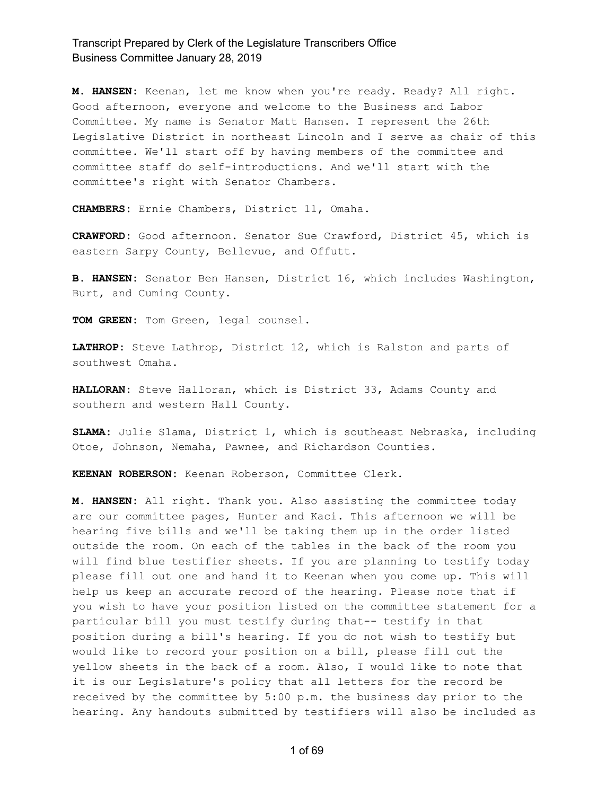**M. HANSEN:** Keenan, let me know when you're ready. Ready? All right. Good afternoon, everyone and welcome to the Business and Labor Committee. My name is Senator Matt Hansen. I represent the 26th Legislative District in northeast Lincoln and I serve as chair of this committee. We'll start off by having members of the committee and committee staff do self-introductions. And we'll start with the committee's right with Senator Chambers.

**CHAMBERS:** Ernie Chambers, District 11, Omaha.

**CRAWFORD:** Good afternoon. Senator Sue Crawford, District 45, which is eastern Sarpy County, Bellevue, and Offutt.

**B. HANSEN:** Senator Ben Hansen, District 16, which includes Washington, Burt, and Cuming County.

**TOM GREEN:** Tom Green, legal counsel.

**LATHROP:** Steve Lathrop, District 12, which is Ralston and parts of southwest Omaha.

**HALLORAN:** Steve Halloran, which is District 33, Adams County and southern and western Hall County.

**SLAMA:** Julie Slama, District 1, which is southeast Nebraska, including Otoe, Johnson, Nemaha, Pawnee, and Richardson Counties.

**KEENAN ROBERSON:** Keenan Roberson, Committee Clerk.

**M. HANSEN:** All right. Thank you. Also assisting the committee today are our committee pages, Hunter and Kaci. This afternoon we will be hearing five bills and we'll be taking them up in the order listed outside the room. On each of the tables in the back of the room you will find blue testifier sheets. If you are planning to testify today please fill out one and hand it to Keenan when you come up. This will help us keep an accurate record of the hearing. Please note that if you wish to have your position listed on the committee statement for a particular bill you must testify during that-- testify in that position during a bill's hearing. If you do not wish to testify but would like to record your position on a bill, please fill out the yellow sheets in the back of a room. Also, I would like to note that it is our Legislature's policy that all letters for the record be received by the committee by 5:00 p.m. the business day prior to the hearing. Any handouts submitted by testifiers will also be included as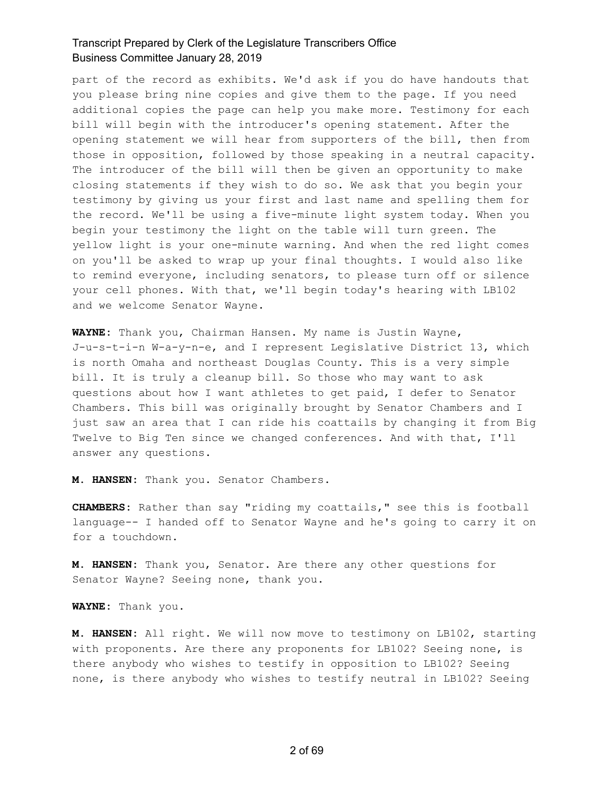part of the record as exhibits. We'd ask if you do have handouts that you please bring nine copies and give them to the page. If you need additional copies the page can help you make more. Testimony for each bill will begin with the introducer's opening statement. After the opening statement we will hear from supporters of the bill, then from those in opposition, followed by those speaking in a neutral capacity. The introducer of the bill will then be given an opportunity to make closing statements if they wish to do so. We ask that you begin your testimony by giving us your first and last name and spelling them for the record. We'll be using a five-minute light system today. When you begin your testimony the light on the table will turn green. The yellow light is your one-minute warning. And when the red light comes on you'll be asked to wrap up your final thoughts. I would also like to remind everyone, including senators, to please turn off or silence your cell phones. With that, we'll begin today's hearing with LB102 and we welcome Senator Wayne.

**WAYNE:** Thank you, Chairman Hansen. My name is Justin Wayne, J-u-s-t-i-n W-a-y-n-e, and I represent Legislative District 13, which is north Omaha and northeast Douglas County. This is a very simple bill. It is truly a cleanup bill. So those who may want to ask questions about how I want athletes to get paid, I defer to Senator Chambers. This bill was originally brought by Senator Chambers and I just saw an area that I can ride his coattails by changing it from Big Twelve to Big Ten since we changed conferences. And with that, I'll answer any questions.

**M. HANSEN:** Thank you. Senator Chambers.

**CHAMBERS:** Rather than say "riding my coattails," see this is football language-- I handed off to Senator Wayne and he's going to carry it on for a touchdown.

**M. HANSEN:** Thank you, Senator. Are there any other questions for Senator Wayne? Seeing none, thank you.

**WAYNE:** Thank you.

**M. HANSEN:** All right. We will now move to testimony on LB102, starting with proponents. Are there any proponents for LB102? Seeing none, is there anybody who wishes to testify in opposition to LB102? Seeing none, is there anybody who wishes to testify neutral in LB102? Seeing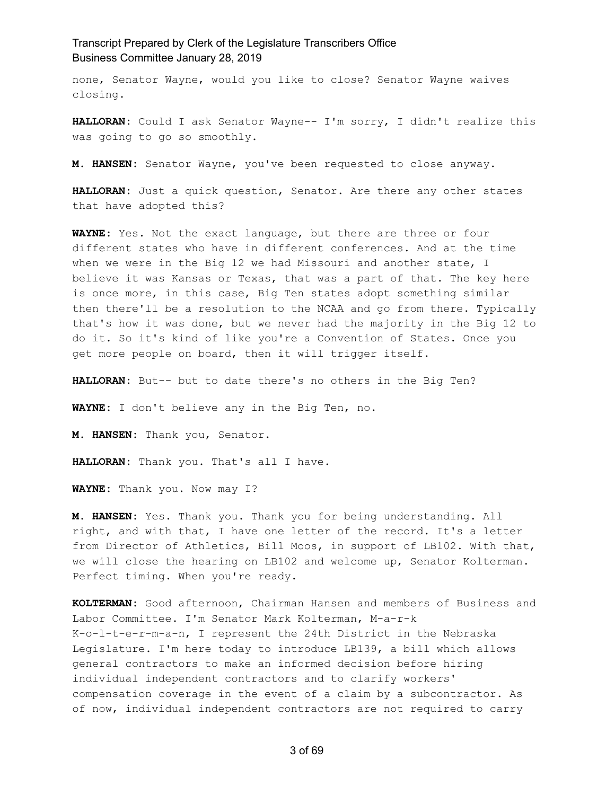none, Senator Wayne, would you like to close? Senator Wayne waives closing.

**HALLORAN:** Could I ask Senator Wayne-- I'm sorry, I didn't realize this was going to go so smoothly.

**M. HANSEN:** Senator Wayne, you've been requested to close anyway.

**HALLORAN:** Just a quick question, Senator. Are there any other states that have adopted this?

**WAYNE:** Yes. Not the exact language, but there are three or four different states who have in different conferences. And at the time when we were in the Big 12 we had Missouri and another state, I believe it was Kansas or Texas, that was a part of that. The key here is once more, in this case, Big Ten states adopt something similar then there'll be a resolution to the NCAA and go from there. Typically that's how it was done, but we never had the majority in the Big 12 to do it. So it's kind of like you're a Convention of States. Once you get more people on board, then it will trigger itself.

**HALLORAN:** But-- but to date there's no others in the Big Ten?

**WAYNE:** I don't believe any in the Big Ten, no.

**M. HANSEN:** Thank you, Senator.

**HALLORAN:** Thank you. That's all I have.

**WAYNE:** Thank you. Now may I?

**M. HANSEN:** Yes. Thank you. Thank you for being understanding. All right, and with that, I have one letter of the record. It's a letter from Director of Athletics, Bill Moos, in support of LB102. With that, we will close the hearing on LB102 and welcome up, Senator Kolterman. Perfect timing. When you're ready.

**KOLTERMAN:** Good afternoon, Chairman Hansen and members of Business and Labor Committee. I'm Senator Mark Kolterman, M-a-r-k K-o-l-t-e-r-m-a-n, I represent the 24th District in the Nebraska Legislature. I'm here today to introduce LB139, a bill which allows general contractors to make an informed decision before hiring individual independent contractors and to clarify workers' compensation coverage in the event of a claim by a subcontractor. As of now, individual independent contractors are not required to carry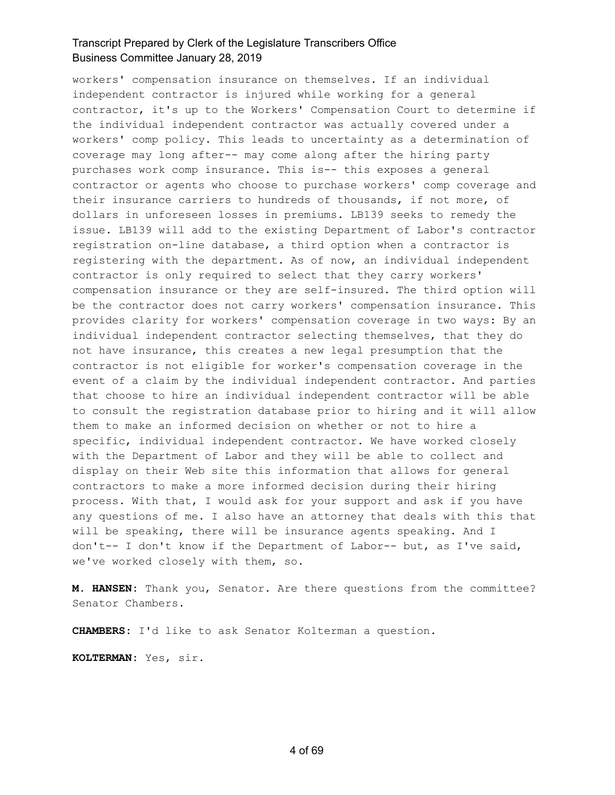workers' compensation insurance on themselves. If an individual independent contractor is injured while working for a general contractor, it's up to the Workers' Compensation Court to determine if the individual independent contractor was actually covered under a workers' comp policy. This leads to uncertainty as a determination of coverage may long after-- may come along after the hiring party purchases work comp insurance. This is-- this exposes a general contractor or agents who choose to purchase workers' comp coverage and their insurance carriers to hundreds of thousands, if not more, of dollars in unforeseen losses in premiums. LB139 seeks to remedy the issue. LB139 will add to the existing Department of Labor's contractor registration on-line database, a third option when a contractor is registering with the department. As of now, an individual independent contractor is only required to select that they carry workers' compensation insurance or they are self-insured. The third option will be the contractor does not carry workers' compensation insurance. This provides clarity for workers' compensation coverage in two ways: By an individual independent contractor selecting themselves, that they do not have insurance, this creates a new legal presumption that the contractor is not eligible for worker's compensation coverage in the event of a claim by the individual independent contractor. And parties that choose to hire an individual independent contractor will be able to consult the registration database prior to hiring and it will allow them to make an informed decision on whether or not to hire a specific, individual independent contractor. We have worked closely with the Department of Labor and they will be able to collect and display on their Web site this information that allows for general contractors to make a more informed decision during their hiring process. With that, I would ask for your support and ask if you have any questions of me. I also have an attorney that deals with this that will be speaking, there will be insurance agents speaking. And I don't-- I don't know if the Department of Labor-- but, as I've said, we've worked closely with them, so.

**M. HANSEN:** Thank you, Senator. Are there questions from the committee? Senator Chambers.

**CHAMBERS:** I'd like to ask Senator Kolterman a question.

**KOLTERMAN:** Yes, sir.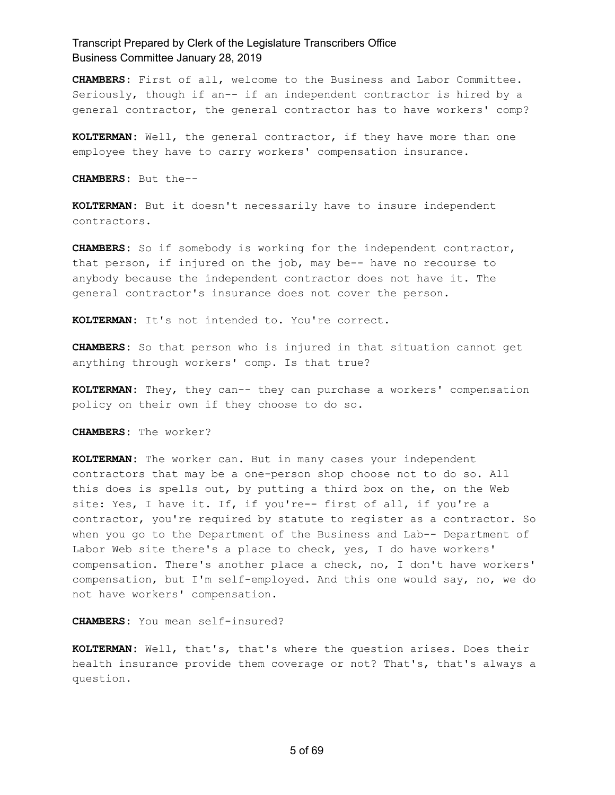**CHAMBERS:** First of all, welcome to the Business and Labor Committee. Seriously, though if an-- if an independent contractor is hired by a general contractor, the general contractor has to have workers' comp?

**KOLTERMAN:** Well, the general contractor, if they have more than one employee they have to carry workers' compensation insurance.

**CHAMBERS:** But the--

**KOLTERMAN:** But it doesn't necessarily have to insure independent contractors.

**CHAMBERS:** So if somebody is working for the independent contractor, that person, if injured on the job, may be-- have no recourse to anybody because the independent contractor does not have it. The general contractor's insurance does not cover the person.

**KOLTERMAN:** It's not intended to. You're correct.

**CHAMBERS:** So that person who is injured in that situation cannot get anything through workers' comp. Is that true?

**KOLTERMAN:** They, they can-- they can purchase a workers' compensation policy on their own if they choose to do so.

**CHAMBERS:** The worker?

**KOLTERMAN:** The worker can. But in many cases your independent contractors that may be a one-person shop choose not to do so. All this does is spells out, by putting a third box on the, on the Web site: Yes, I have it. If, if you're-- first of all, if you're a contractor, you're required by statute to register as a contractor. So when you go to the Department of the Business and Lab-- Department of Labor Web site there's a place to check, yes, I do have workers' compensation. There's another place a check, no, I don't have workers' compensation, but I'm self-employed. And this one would say, no, we do not have workers' compensation.

**CHAMBERS:** You mean self-insured?

**KOLTERMAN:** Well, that's, that's where the question arises. Does their health insurance provide them coverage or not? That's, that's always a question.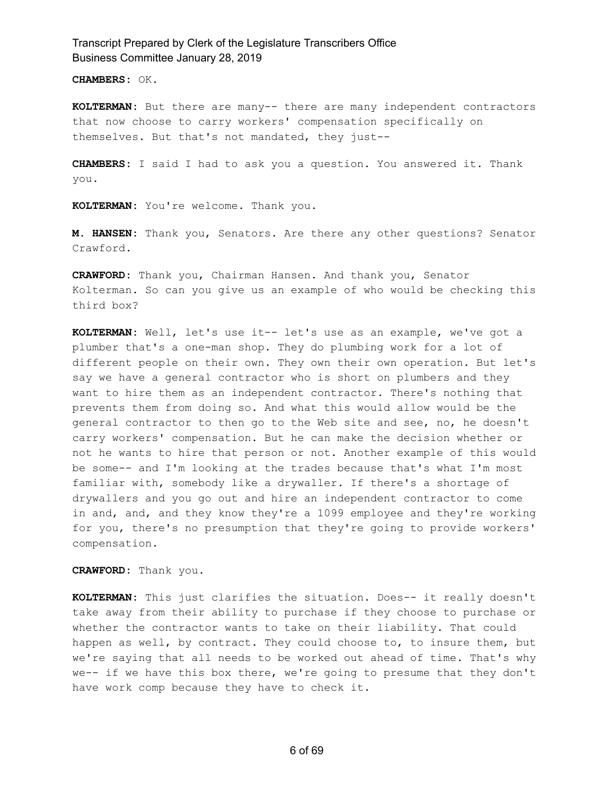**CHAMBERS:** OK.

**KOLTERMAN:** But there are many-- there are many independent contractors that now choose to carry workers' compensation specifically on themselves. But that's not mandated, they just--

**CHAMBERS:** I said I had to ask you a question. You answered it. Thank you.

**KOLTERMAN:** You're welcome. Thank you.

**M. HANSEN:** Thank you, Senators. Are there any other questions? Senator Crawford.

**CRAWFORD:** Thank you, Chairman Hansen. And thank you, Senator Kolterman. So can you give us an example of who would be checking this third box?

**KOLTERMAN:** Well, let's use it-- let's use as an example, we've got a plumber that's a one-man shop. They do plumbing work for a lot of different people on their own. They own their own operation. But let's say we have a general contractor who is short on plumbers and they want to hire them as an independent contractor. There's nothing that prevents them from doing so. And what this would allow would be the general contractor to then go to the Web site and see, no, he doesn't carry workers' compensation. But he can make the decision whether or not he wants to hire that person or not. Another example of this would be some-- and I'm looking at the trades because that's what I'm most familiar with, somebody like a drywaller. If there's a shortage of drywallers and you go out and hire an independent contractor to come in and, and, and they know they're a 1099 employee and they're working for you, there's no presumption that they're going to provide workers' compensation.

**CRAWFORD:** Thank you.

**KOLTERMAN:** This just clarifies the situation. Does-- it really doesn't take away from their ability to purchase if they choose to purchase or whether the contractor wants to take on their liability. That could happen as well, by contract. They could choose to, to insure them, but we're saying that all needs to be worked out ahead of time. That's why we-- if we have this box there, we're going to presume that they don't have work comp because they have to check it.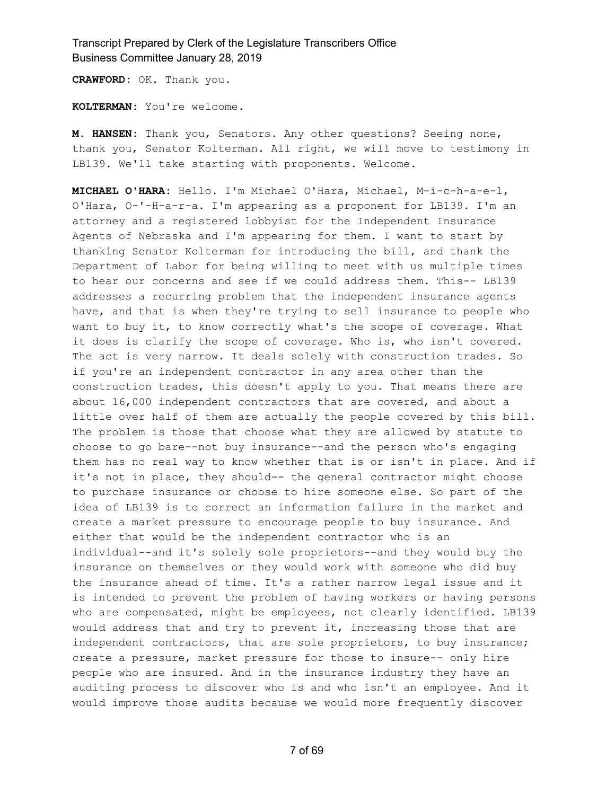**CRAWFORD:** OK. Thank you.

**KOLTERMAN:** You're welcome.

**M. HANSEN:** Thank you, Senators. Any other questions? Seeing none, thank you, Senator Kolterman. All right, we will move to testimony in LB139. We'll take starting with proponents. Welcome.

**MICHAEL O'HARA:** Hello. I'm Michael O'Hara, Michael, M-i-c-h-a-e-l, O'Hara, O-'-H-a-r-a. I'm appearing as a proponent for LB139. I'm an attorney and a registered lobbyist for the Independent Insurance Agents of Nebraska and I'm appearing for them. I want to start by thanking Senator Kolterman for introducing the bill, and thank the Department of Labor for being willing to meet with us multiple times to hear our concerns and see if we could address them. This-- LB139 addresses a recurring problem that the independent insurance agents have, and that is when they're trying to sell insurance to people who want to buy it, to know correctly what's the scope of coverage. What it does is clarify the scope of coverage. Who is, who isn't covered. The act is very narrow. It deals solely with construction trades. So if you're an independent contractor in any area other than the construction trades, this doesn't apply to you. That means there are about 16,000 independent contractors that are covered, and about a little over half of them are actually the people covered by this bill. The problem is those that choose what they are allowed by statute to choose to go bare--not buy insurance--and the person who's engaging them has no real way to know whether that is or isn't in place. And if it's not in place, they should-- the general contractor might choose to purchase insurance or choose to hire someone else. So part of the idea of LB139 is to correct an information failure in the market and create a market pressure to encourage people to buy insurance. And either that would be the independent contractor who is an individual--and it's solely sole proprietors--and they would buy the insurance on themselves or they would work with someone who did buy the insurance ahead of time. It's a rather narrow legal issue and it is intended to prevent the problem of having workers or having persons who are compensated, might be employees, not clearly identified. LB139 would address that and try to prevent it, increasing those that are independent contractors, that are sole proprietors, to buy insurance; create a pressure, market pressure for those to insure-- only hire people who are insured. And in the insurance industry they have an auditing process to discover who is and who isn't an employee. And it would improve those audits because we would more frequently discover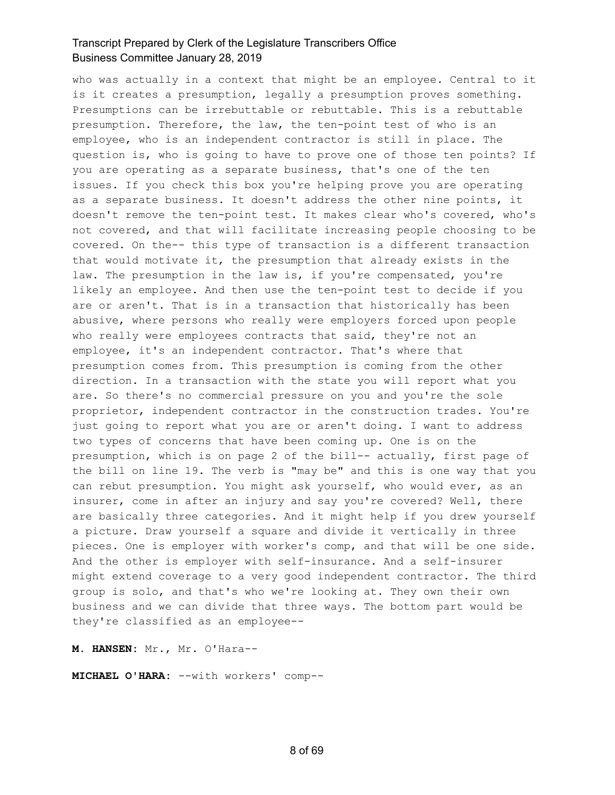who was actually in a context that might be an employee. Central to it is it creates a presumption, legally a presumption proves something. Presumptions can be irrebuttable or rebuttable. This is a rebuttable presumption. Therefore, the law, the ten-point test of who is an employee, who is an independent contractor is still in place. The question is, who is going to have to prove one of those ten points? If you are operating as a separate business, that's one of the ten issues. If you check this box you're helping prove you are operating as a separate business. It doesn't address the other nine points, it doesn't remove the ten-point test. It makes clear who's covered, who's not covered, and that will facilitate increasing people choosing to be covered. On the-- this type of transaction is a different transaction that would motivate it, the presumption that already exists in the law. The presumption in the law is, if you're compensated, you're likely an employee. And then use the ten-point test to decide if you are or aren't. That is in a transaction that historically has been abusive, where persons who really were employers forced upon people who really were employees contracts that said, they're not an employee, it's an independent contractor. That's where that presumption comes from. This presumption is coming from the other direction. In a transaction with the state you will report what you are. So there's no commercial pressure on you and you're the sole proprietor, independent contractor in the construction trades. You're just going to report what you are or aren't doing. I want to address two types of concerns that have been coming up. One is on the presumption, which is on page 2 of the bill-- actually, first page of the bill on line 19. The verb is "may be" and this is one way that you can rebut presumption. You might ask yourself, who would ever, as an insurer, come in after an injury and say you're covered? Well, there are basically three categories. And it might help if you drew yourself a picture. Draw yourself a square and divide it vertically in three pieces. One is employer with worker's comp, and that will be one side. And the other is employer with self-insurance. And a self-insurer might extend coverage to a very good independent contractor. The third group is solo, and that's who we're looking at. They own their own business and we can divide that three ways. The bottom part would be they're classified as an employee--

**M. HANSEN:** Mr., Mr. O'Hara--

**MICHAEL O'HARA:** --with workers' comp--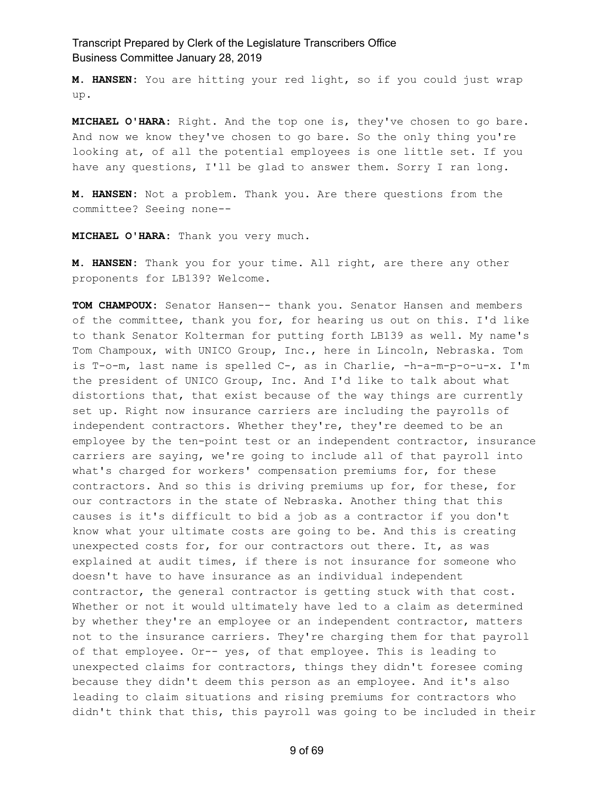**M. HANSEN:** You are hitting your red light, so if you could just wrap up.

**MICHAEL O'HARA:** Right. And the top one is, they've chosen to go bare. And now we know they've chosen to go bare. So the only thing you're looking at, of all the potential employees is one little set. If you have any questions, I'll be glad to answer them. Sorry I ran long.

**M. HANSEN:** Not a problem. Thank you. Are there questions from the committee? Seeing none--

**MICHAEL O'HARA:** Thank you very much.

**M. HANSEN:** Thank you for your time. All right, are there any other proponents for LB139? Welcome.

**TOM CHAMPOUX:** Senator Hansen-- thank you. Senator Hansen and members of the committee, thank you for, for hearing us out on this. I'd like to thank Senator Kolterman for putting forth LB139 as well. My name's Tom Champoux, with UNICO Group, Inc., here in Lincoln, Nebraska. Tom is T-o-m, last name is spelled C-, as in Charlie, -h-a-m-p-o-u-x. I'm the president of UNICO Group, Inc. And I'd like to talk about what distortions that, that exist because of the way things are currently set up. Right now insurance carriers are including the payrolls of independent contractors. Whether they're, they're deemed to be an employee by the ten-point test or an independent contractor, insurance carriers are saying, we're going to include all of that payroll into what's charged for workers' compensation premiums for, for these contractors. And so this is driving premiums up for, for these, for our contractors in the state of Nebraska. Another thing that this causes is it's difficult to bid a job as a contractor if you don't know what your ultimate costs are going to be. And this is creating unexpected costs for, for our contractors out there. It, as was explained at audit times, if there is not insurance for someone who doesn't have to have insurance as an individual independent contractor, the general contractor is getting stuck with that cost. Whether or not it would ultimately have led to a claim as determined by whether they're an employee or an independent contractor, matters not to the insurance carriers. They're charging them for that payroll of that employee. Or-- yes, of that employee. This is leading to unexpected claims for contractors, things they didn't foresee coming because they didn't deem this person as an employee. And it's also leading to claim situations and rising premiums for contractors who didn't think that this, this payroll was going to be included in their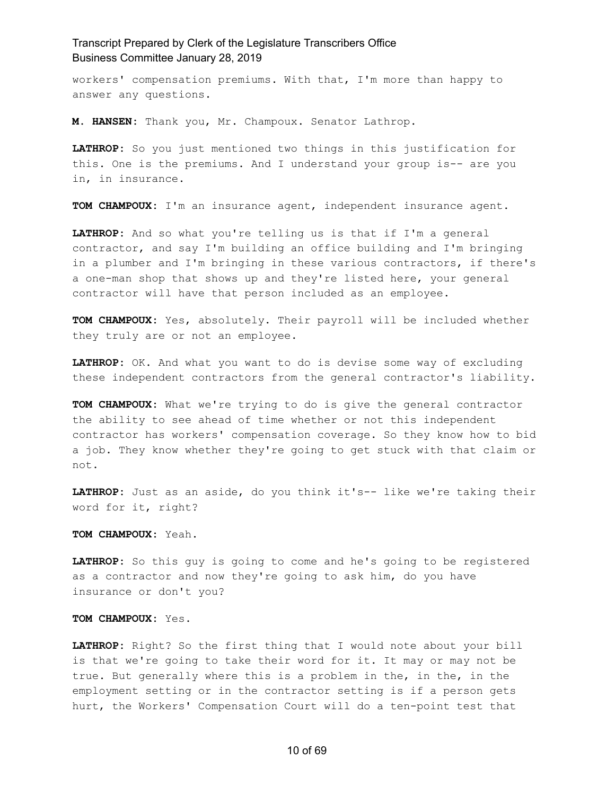workers' compensation premiums. With that, I'm more than happy to answer any questions.

**M. HANSEN:** Thank you, Mr. Champoux. Senator Lathrop.

**LATHROP:** So you just mentioned two things in this justification for this. One is the premiums. And I understand your group is-- are you in, in insurance.

**TOM CHAMPOUX:** I'm an insurance agent, independent insurance agent.

**LATHROP:** And so what you're telling us is that if I'm a general contractor, and say I'm building an office building and I'm bringing in a plumber and I'm bringing in these various contractors, if there's a one-man shop that shows up and they're listed here, your general contractor will have that person included as an employee.

**TOM CHAMPOUX:** Yes, absolutely. Their payroll will be included whether they truly are or not an employee.

**LATHROP:** OK. And what you want to do is devise some way of excluding these independent contractors from the general contractor's liability.

**TOM CHAMPOUX:** What we're trying to do is give the general contractor the ability to see ahead of time whether or not this independent contractor has workers' compensation coverage. So they know how to bid a job. They know whether they're going to get stuck with that claim or not.

**LATHROP:** Just as an aside, do you think it's-- like we're taking their word for it, right?

**TOM CHAMPOUX:** Yeah.

**LATHROP:** So this guy is going to come and he's going to be registered as a contractor and now they're going to ask him, do you have insurance or don't you?

**TOM CHAMPOUX:** Yes.

**LATHROP:** Right? So the first thing that I would note about your bill is that we're going to take their word for it. It may or may not be true. But generally where this is a problem in the, in the, in the employment setting or in the contractor setting is if a person gets hurt, the Workers' Compensation Court will do a ten-point test that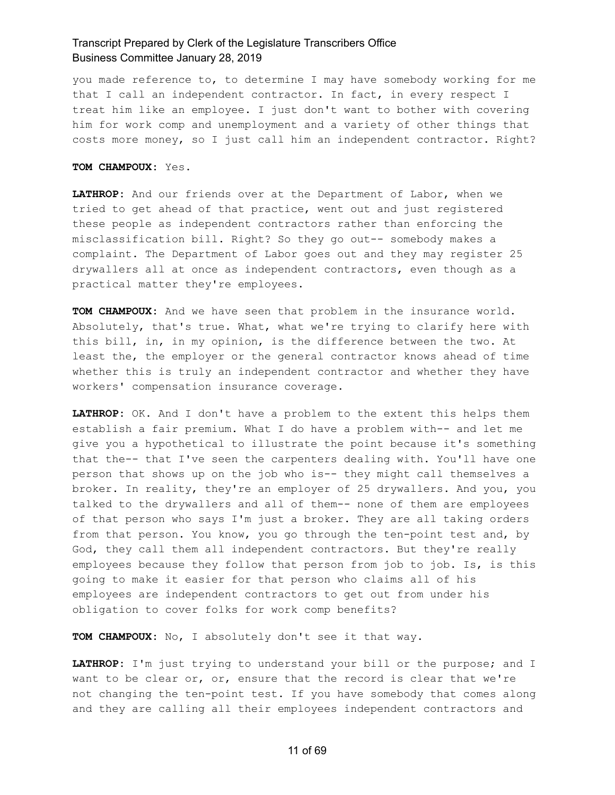you made reference to, to determine I may have somebody working for me that I call an independent contractor. In fact, in every respect I treat him like an employee. I just don't want to bother with covering him for work comp and unemployment and a variety of other things that costs more money, so I just call him an independent contractor. Right?

**TOM CHAMPOUX:** Yes.

**LATHROP:** And our friends over at the Department of Labor, when we tried to get ahead of that practice, went out and just registered these people as independent contractors rather than enforcing the misclassification bill. Right? So they go out-- somebody makes a complaint. The Department of Labor goes out and they may register 25 drywallers all at once as independent contractors, even though as a practical matter they're employees.

**TOM CHAMPOUX:** And we have seen that problem in the insurance world. Absolutely, that's true. What, what we're trying to clarify here with this bill, in, in my opinion, is the difference between the two. At least the, the employer or the general contractor knows ahead of time whether this is truly an independent contractor and whether they have workers' compensation insurance coverage.

**LATHROP:** OK. And I don't have a problem to the extent this helps them establish a fair premium. What I do have a problem with-- and let me give you a hypothetical to illustrate the point because it's something that the-- that I've seen the carpenters dealing with. You'll have one person that shows up on the job who is-- they might call themselves a broker. In reality, they're an employer of 25 drywallers. And you, you talked to the drywallers and all of them-- none of them are employees of that person who says I'm just a broker. They are all taking orders from that person. You know, you go through the ten-point test and, by God, they call them all independent contractors. But they're really employees because they follow that person from job to job. Is, is this going to make it easier for that person who claims all of his employees are independent contractors to get out from under his obligation to cover folks for work comp benefits?

**TOM CHAMPOUX:** No, I absolutely don't see it that way.

**LATHROP:** I'm just trying to understand your bill or the purpose; and I want to be clear or, or, ensure that the record is clear that we're not changing the ten-point test. If you have somebody that comes along and they are calling all their employees independent contractors and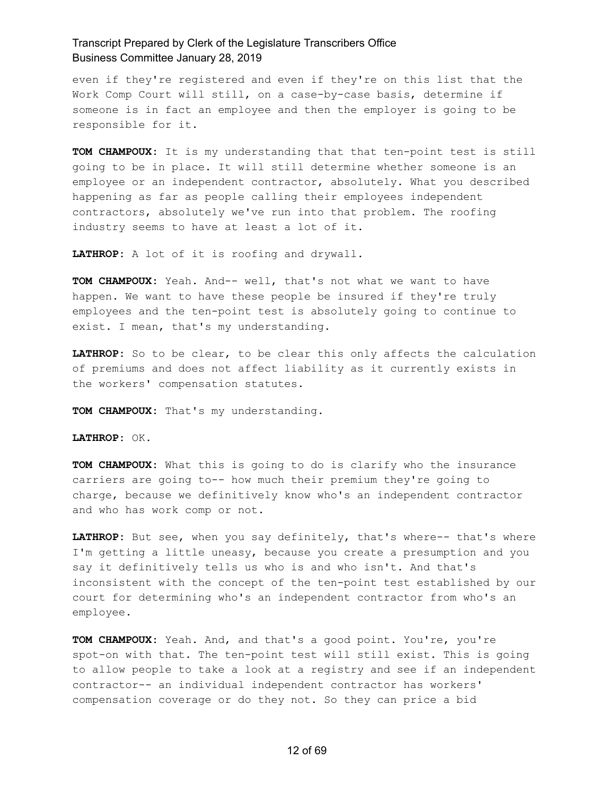even if they're registered and even if they're on this list that the Work Comp Court will still, on a case-by-case basis, determine if someone is in fact an employee and then the employer is going to be responsible for it.

**TOM CHAMPOUX:** It is my understanding that that ten-point test is still going to be in place. It will still determine whether someone is an employee or an independent contractor, absolutely. What you described happening as far as people calling their employees independent contractors, absolutely we've run into that problem. The roofing industry seems to have at least a lot of it.

**LATHROP:** A lot of it is roofing and drywall.

**TOM CHAMPOUX:** Yeah. And-- well, that's not what we want to have happen. We want to have these people be insured if they're truly employees and the ten-point test is absolutely going to continue to exist. I mean, that's my understanding.

**LATHROP:** So to be clear, to be clear this only affects the calculation of premiums and does not affect liability as it currently exists in the workers' compensation statutes.

**TOM CHAMPOUX:** That's my understanding.

**LATHROP:** OK.

**TOM CHAMPOUX:** What this is going to do is clarify who the insurance carriers are going to-- how much their premium they're going to charge, because we definitively know who's an independent contractor and who has work comp or not.

**LATHROP:** But see, when you say definitely, that's where-- that's where I'm getting a little uneasy, because you create a presumption and you say it definitively tells us who is and who isn't. And that's inconsistent with the concept of the ten-point test established by our court for determining who's an independent contractor from who's an employee.

**TOM CHAMPOUX:** Yeah. And, and that's a good point. You're, you're spot-on with that. The ten-point test will still exist. This is going to allow people to take a look at a registry and see if an independent contractor-- an individual independent contractor has workers' compensation coverage or do they not. So they can price a bid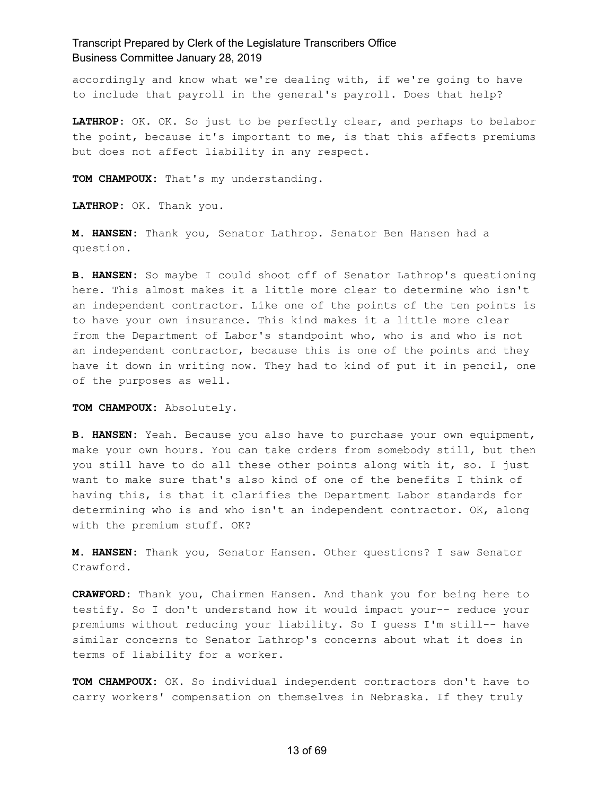accordingly and know what we're dealing with, if we're going to have to include that payroll in the general's payroll. Does that help?

**LATHROP:** OK. OK. So just to be perfectly clear, and perhaps to belabor the point, because it's important to me, is that this affects premiums but does not affect liability in any respect.

**TOM CHAMPOUX:** That's my understanding.

**LATHROP:** OK. Thank you.

**M. HANSEN:** Thank you, Senator Lathrop. Senator Ben Hansen had a question.

**B. HANSEN:** So maybe I could shoot off of Senator Lathrop's questioning here. This almost makes it a little more clear to determine who isn't an independent contractor. Like one of the points of the ten points is to have your own insurance. This kind makes it a little more clear from the Department of Labor's standpoint who, who is and who is not an independent contractor, because this is one of the points and they have it down in writing now. They had to kind of put it in pencil, one of the purposes as well.

**TOM CHAMPOUX:** Absolutely.

**B. HANSEN:** Yeah. Because you also have to purchase your own equipment, make your own hours. You can take orders from somebody still, but then you still have to do all these other points along with it, so. I just want to make sure that's also kind of one of the benefits I think of having this, is that it clarifies the Department Labor standards for determining who is and who isn't an independent contractor. OK, along with the premium stuff. OK?

**M. HANSEN:** Thank you, Senator Hansen. Other questions? I saw Senator Crawford.

**CRAWFORD:** Thank you, Chairmen Hansen. And thank you for being here to testify. So I don't understand how it would impact your-- reduce your premiums without reducing your liability. So I guess I'm still-- have similar concerns to Senator Lathrop's concerns about what it does in terms of liability for a worker.

**TOM CHAMPOUX:** OK. So individual independent contractors don't have to carry workers' compensation on themselves in Nebraska. If they truly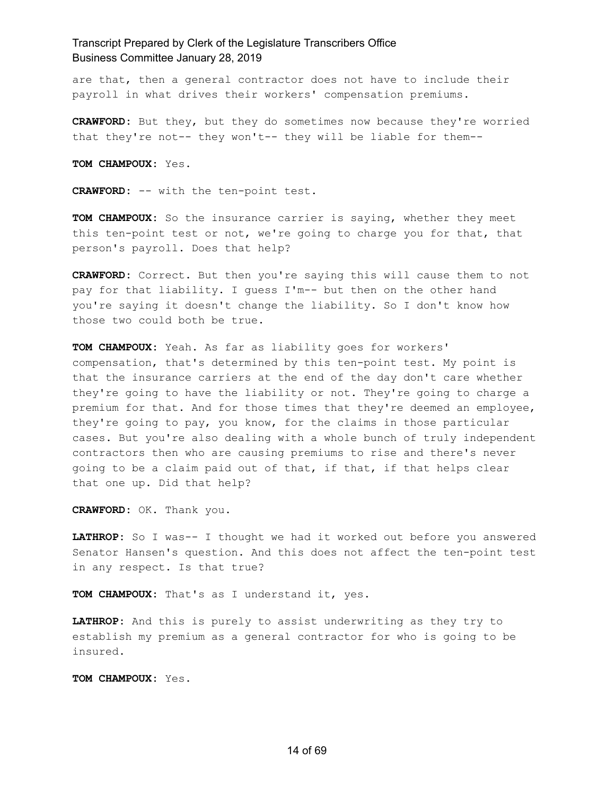are that, then a general contractor does not have to include their payroll in what drives their workers' compensation premiums.

**CRAWFORD:** But they, but they do sometimes now because they're worried that they're not-- they won't-- they will be liable for them--

**TOM CHAMPOUX:** Yes.

**CRAWFORD:** -- with the ten-point test.

**TOM CHAMPOUX:** So the insurance carrier is saying, whether they meet this ten-point test or not, we're going to charge you for that, that person's payroll. Does that help?

**CRAWFORD:** Correct. But then you're saying this will cause them to not pay for that liability. I guess I'm-- but then on the other hand you're saying it doesn't change the liability. So I don't know how those two could both be true.

**TOM CHAMPOUX:** Yeah. As far as liability goes for workers' compensation, that's determined by this ten-point test. My point is that the insurance carriers at the end of the day don't care whether they're going to have the liability or not. They're going to charge a premium for that. And for those times that they're deemed an employee, they're going to pay, you know, for the claims in those particular cases. But you're also dealing with a whole bunch of truly independent contractors then who are causing premiums to rise and there's never going to be a claim paid out of that, if that, if that helps clear that one up. Did that help?

**CRAWFORD:** OK. Thank you.

**LATHROP:** So I was-- I thought we had it worked out before you answered Senator Hansen's question. And this does not affect the ten-point test in any respect. Is that true?

**TOM CHAMPOUX:** That's as I understand it, yes.

**LATHROP:** And this is purely to assist underwriting as they try to establish my premium as a general contractor for who is going to be insured.

**TOM CHAMPOUX:** Yes.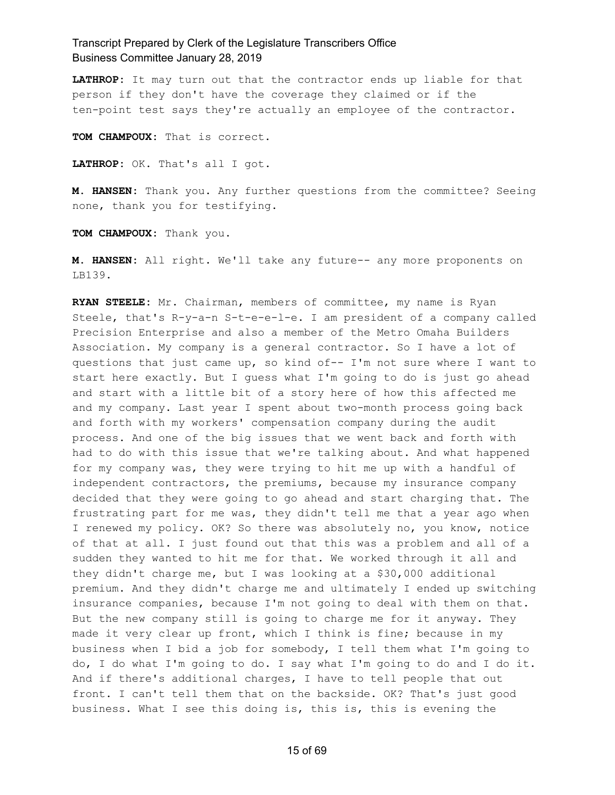**LATHROP:** It may turn out that the contractor ends up liable for that person if they don't have the coverage they claimed or if the ten-point test says they're actually an employee of the contractor.

**TOM CHAMPOUX:** That is correct.

**LATHROP:** OK. That's all I got.

**M. HANSEN:** Thank you. Any further questions from the committee? Seeing none, thank you for testifying.

**TOM CHAMPOUX:** Thank you.

**M. HANSEN:** All right. We'll take any future-- any more proponents on LB139.

**RYAN STEELE:** Mr. Chairman, members of committee, my name is Ryan Steele, that's R-y-a-n S-t-e-e-l-e. I am president of a company called Precision Enterprise and also a member of the Metro Omaha Builders Association. My company is a general contractor. So I have a lot of questions that just came up, so kind of-- I'm not sure where I want to start here exactly. But I guess what I'm going to do is just go ahead and start with a little bit of a story here of how this affected me and my company. Last year I spent about two-month process going back and forth with my workers' compensation company during the audit process. And one of the big issues that we went back and forth with had to do with this issue that we're talking about. And what happened for my company was, they were trying to hit me up with a handful of independent contractors, the premiums, because my insurance company decided that they were going to go ahead and start charging that. The frustrating part for me was, they didn't tell me that a year ago when I renewed my policy. OK? So there was absolutely no, you know, notice of that at all. I just found out that this was a problem and all of a sudden they wanted to hit me for that. We worked through it all and they didn't charge me, but I was looking at a \$30,000 additional premium. And they didn't charge me and ultimately I ended up switching insurance companies, because I'm not going to deal with them on that. But the new company still is going to charge me for it anyway. They made it very clear up front, which I think is fine; because in my business when I bid a job for somebody, I tell them what I'm going to do, I do what I'm going to do. I say what I'm going to do and I do it. And if there's additional charges, I have to tell people that out front. I can't tell them that on the backside. OK? That's just good business. What I see this doing is, this is, this is evening the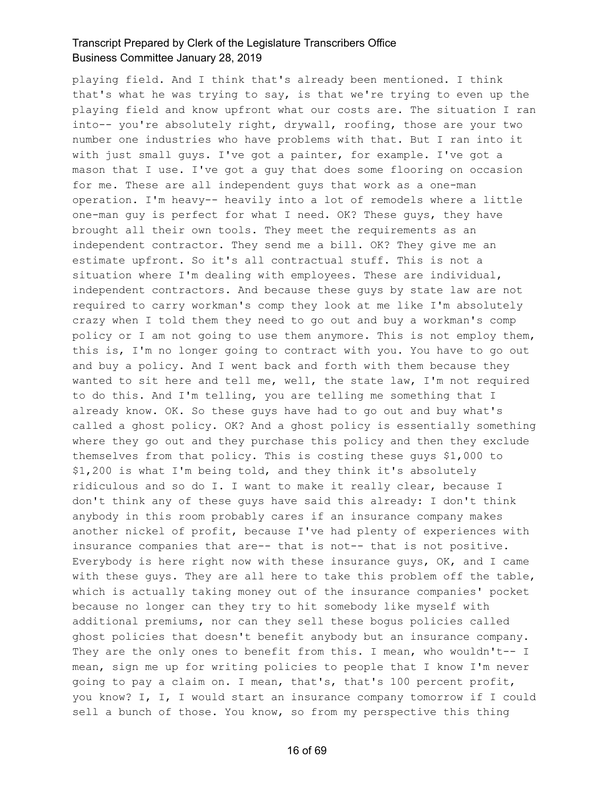playing field. And I think that's already been mentioned. I think that's what he was trying to say, is that we're trying to even up the playing field and know upfront what our costs are. The situation I ran into-- you're absolutely right, drywall, roofing, those are your two number one industries who have problems with that. But I ran into it with just small guys. I've got a painter, for example. I've got a mason that I use. I've got a guy that does some flooring on occasion for me. These are all independent guys that work as a one-man operation. I'm heavy-- heavily into a lot of remodels where a little one-man guy is perfect for what I need. OK? These guys, they have brought all their own tools. They meet the requirements as an independent contractor. They send me a bill. OK? They give me an estimate upfront. So it's all contractual stuff. This is not a situation where I'm dealing with employees. These are individual, independent contractors. And because these guys by state law are not required to carry workman's comp they look at me like I'm absolutely crazy when I told them they need to go out and buy a workman's comp policy or I am not going to use them anymore. This is not employ them, this is, I'm no longer going to contract with you. You have to go out and buy a policy. And I went back and forth with them because they wanted to sit here and tell me, well, the state law, I'm not required to do this. And I'm telling, you are telling me something that I already know. OK. So these guys have had to go out and buy what's called a ghost policy. OK? And a ghost policy is essentially something where they go out and they purchase this policy and then they exclude themselves from that policy. This is costing these guys \$1,000 to \$1,200 is what I'm being told, and they think it's absolutely ridiculous and so do I. I want to make it really clear, because I don't think any of these guys have said this already: I don't think anybody in this room probably cares if an insurance company makes another nickel of profit, because I've had plenty of experiences with insurance companies that are-- that is not-- that is not positive. Everybody is here right now with these insurance guys, OK, and I came with these guys. They are all here to take this problem off the table, which is actually taking money out of the insurance companies' pocket because no longer can they try to hit somebody like myself with additional premiums, nor can they sell these bogus policies called ghost policies that doesn't benefit anybody but an insurance company. They are the only ones to benefit from this. I mean, who wouldn't-- I mean, sign me up for writing policies to people that I know I'm never going to pay a claim on. I mean, that's, that's 100 percent profit, you know? I, I, I would start an insurance company tomorrow if I could sell a bunch of those. You know, so from my perspective this thing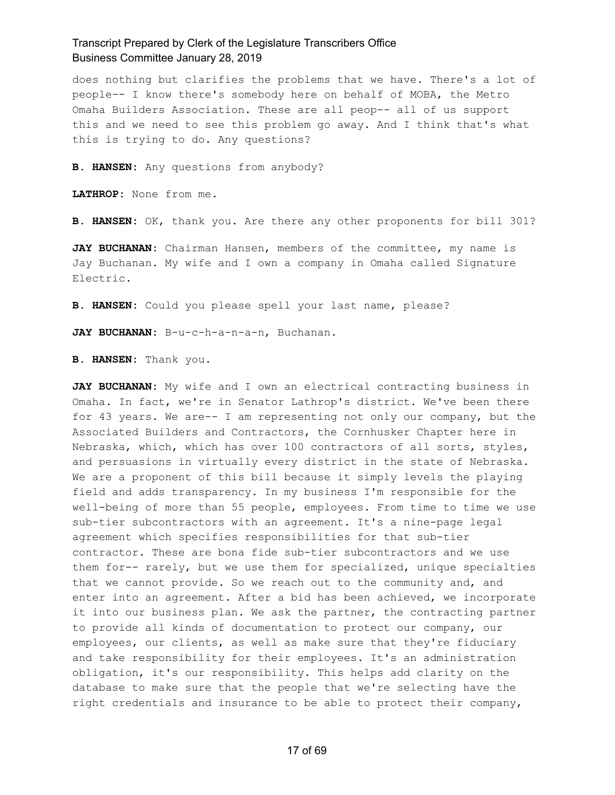does nothing but clarifies the problems that we have. There's a lot of people-- I know there's somebody here on behalf of MOBA, the Metro Omaha Builders Association. These are all peop-- all of us support this and we need to see this problem go away. And I think that's what this is trying to do. Any questions?

**B. HANSEN:** Any questions from anybody?

**LATHROP:** None from me.

**B. HANSEN:** OK, thank you. Are there any other proponents for bill 301?

JAY BUCHANAN: Chairman Hansen, members of the committee, my name is Jay Buchanan. My wife and I own a company in Omaha called Signature Electric.

**B. HANSEN:** Could you please spell your last name, please?

**JAY BUCHANAN:** B-u-c-h-a-n-a-n, Buchanan.

**B. HANSEN:** Thank you.

**JAY BUCHANAN:** My wife and I own an electrical contracting business in Omaha. In fact, we're in Senator Lathrop's district. We've been there for 43 years. We are-- I am representing not only our company, but the Associated Builders and Contractors, the Cornhusker Chapter here in Nebraska, which, which has over 100 contractors of all sorts, styles, and persuasions in virtually every district in the state of Nebraska. We are a proponent of this bill because it simply levels the playing field and adds transparency. In my business I'm responsible for the well-being of more than 55 people, employees. From time to time we use sub-tier subcontractors with an agreement. It's a nine-page legal agreement which specifies responsibilities for that sub-tier contractor. These are bona fide sub-tier subcontractors and we use them for-- rarely, but we use them for specialized, unique specialties that we cannot provide. So we reach out to the community and, and enter into an agreement. After a bid has been achieved, we incorporate it into our business plan. We ask the partner, the contracting partner to provide all kinds of documentation to protect our company, our employees, our clients, as well as make sure that they're fiduciary and take responsibility for their employees. It's an administration obligation, it's our responsibility. This helps add clarity on the database to make sure that the people that we're selecting have the right credentials and insurance to be able to protect their company,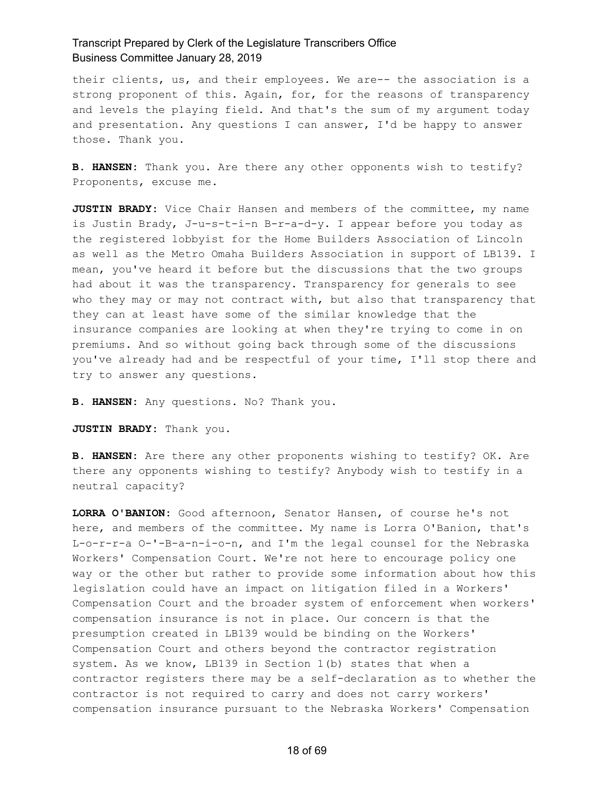their clients, us, and their employees. We are-- the association is a strong proponent of this. Again, for, for the reasons of transparency and levels the playing field. And that's the sum of my argument today and presentation. Any questions I can answer, I'd be happy to answer those. Thank you.

**B. HANSEN:** Thank you. Are there any other opponents wish to testify? Proponents, excuse me.

**JUSTIN BRADY:** Vice Chair Hansen and members of the committee, my name is Justin Brady, J-u-s-t-i-n B-r-a-d-y. I appear before you today as the registered lobbyist for the Home Builders Association of Lincoln as well as the Metro Omaha Builders Association in support of LB139. I mean, you've heard it before but the discussions that the two groups had about it was the transparency. Transparency for generals to see who they may or may not contract with, but also that transparency that they can at least have some of the similar knowledge that the insurance companies are looking at when they're trying to come in on premiums. And so without going back through some of the discussions you've already had and be respectful of your time, I'll stop there and try to answer any questions.

**B. HANSEN:** Any questions. No? Thank you.

**JUSTIN BRADY:** Thank you.

**B. HANSEN:** Are there any other proponents wishing to testify? OK. Are there any opponents wishing to testify? Anybody wish to testify in a neutral capacity?

**LORRA O'BANION:** Good afternoon, Senator Hansen, of course he's not here, and members of the committee. My name is Lorra O'Banion, that's L-o-r-r-a O-'-B-a-n-i-o-n, and I'm the legal counsel for the Nebraska Workers' Compensation Court. We're not here to encourage policy one way or the other but rather to provide some information about how this legislation could have an impact on litigation filed in a Workers' Compensation Court and the broader system of enforcement when workers' compensation insurance is not in place. Our concern is that the presumption created in LB139 would be binding on the Workers' Compensation Court and others beyond the contractor registration system. As we know, LB139 in Section 1(b) states that when a contractor registers there may be a self-declaration as to whether the contractor is not required to carry and does not carry workers' compensation insurance pursuant to the Nebraska Workers' Compensation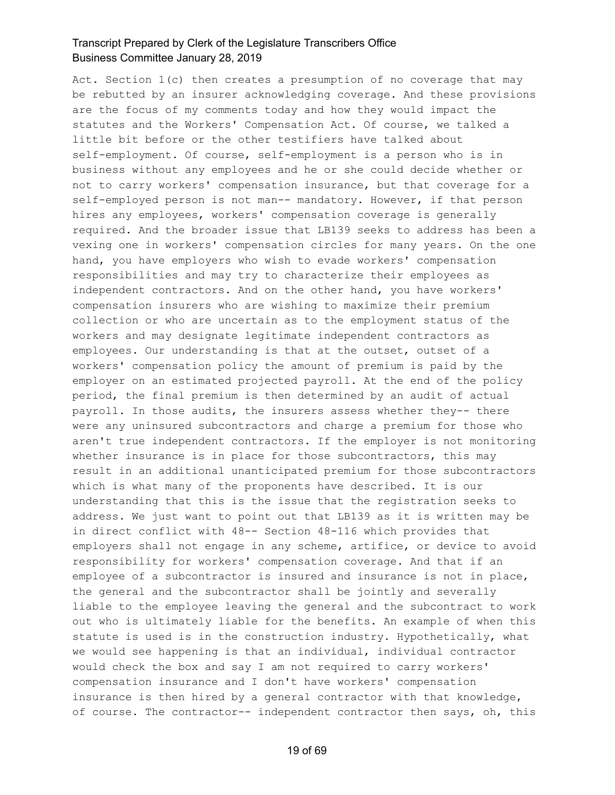Act. Section 1(c) then creates a presumption of no coverage that may be rebutted by an insurer acknowledging coverage. And these provisions are the focus of my comments today and how they would impact the statutes and the Workers' Compensation Act. Of course, we talked a little bit before or the other testifiers have talked about self-employment. Of course, self-employment is a person who is in business without any employees and he or she could decide whether or not to carry workers' compensation insurance, but that coverage for a self-employed person is not man-- mandatory. However, if that person hires any employees, workers' compensation coverage is generally required. And the broader issue that LB139 seeks to address has been a vexing one in workers' compensation circles for many years. On the one hand, you have employers who wish to evade workers' compensation responsibilities and may try to characterize their employees as independent contractors. And on the other hand, you have workers' compensation insurers who are wishing to maximize their premium collection or who are uncertain as to the employment status of the workers and may designate legitimate independent contractors as employees. Our understanding is that at the outset, outset of a workers' compensation policy the amount of premium is paid by the employer on an estimated projected payroll. At the end of the policy period, the final premium is then determined by an audit of actual payroll. In those audits, the insurers assess whether they-- there were any uninsured subcontractors and charge a premium for those who aren't true independent contractors. If the employer is not monitoring whether insurance is in place for those subcontractors, this may result in an additional unanticipated premium for those subcontractors which is what many of the proponents have described. It is our understanding that this is the issue that the registration seeks to address. We just want to point out that LB139 as it is written may be in direct conflict with 48-- Section 48-116 which provides that employers shall not engage in any scheme, artifice, or device to avoid responsibility for workers' compensation coverage. And that if an employee of a subcontractor is insured and insurance is not in place, the general and the subcontractor shall be jointly and severally liable to the employee leaving the general and the subcontract to work out who is ultimately liable for the benefits. An example of when this statute is used is in the construction industry. Hypothetically, what we would see happening is that an individual, individual contractor would check the box and say I am not required to carry workers' compensation insurance and I don't have workers' compensation insurance is then hired by a general contractor with that knowledge, of course. The contractor-- independent contractor then says, oh, this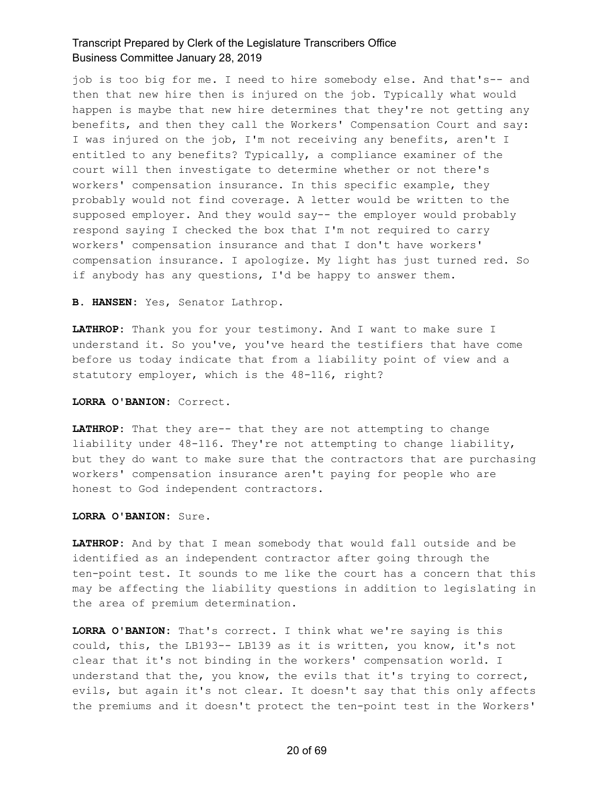job is too big for me. I need to hire somebody else. And that's-- and then that new hire then is injured on the job. Typically what would happen is maybe that new hire determines that they're not getting any benefits, and then they call the Workers' Compensation Court and say: I was injured on the job, I'm not receiving any benefits, aren't I entitled to any benefits? Typically, a compliance examiner of the court will then investigate to determine whether or not there's workers' compensation insurance. In this specific example, they probably would not find coverage. A letter would be written to the supposed employer. And they would say-- the employer would probably respond saying I checked the box that I'm not required to carry workers' compensation insurance and that I don't have workers' compensation insurance. I apologize. My light has just turned red. So if anybody has any questions, I'd be happy to answer them.

**B. HANSEN:** Yes, Senator Lathrop.

**LATHROP:** Thank you for your testimony. And I want to make sure I understand it. So you've, you've heard the testifiers that have come before us today indicate that from a liability point of view and a statutory employer, which is the 48-116, right?

**LORRA O'BANION:** Correct.

**LATHROP:** That they are-- that they are not attempting to change liability under 48-116. They're not attempting to change liability, but they do want to make sure that the contractors that are purchasing workers' compensation insurance aren't paying for people who are honest to God independent contractors.

**LORRA O'BANION:** Sure.

**LATHROP:** And by that I mean somebody that would fall outside and be identified as an independent contractor after going through the ten-point test. It sounds to me like the court has a concern that this may be affecting the liability questions in addition to legislating in the area of premium determination.

**LORRA O'BANION:** That's correct. I think what we're saying is this could, this, the LB193-- LB139 as it is written, you know, it's not clear that it's not binding in the workers' compensation world. I understand that the, you know, the evils that it's trying to correct, evils, but again it's not clear. It doesn't say that this only affects the premiums and it doesn't protect the ten-point test in the Workers'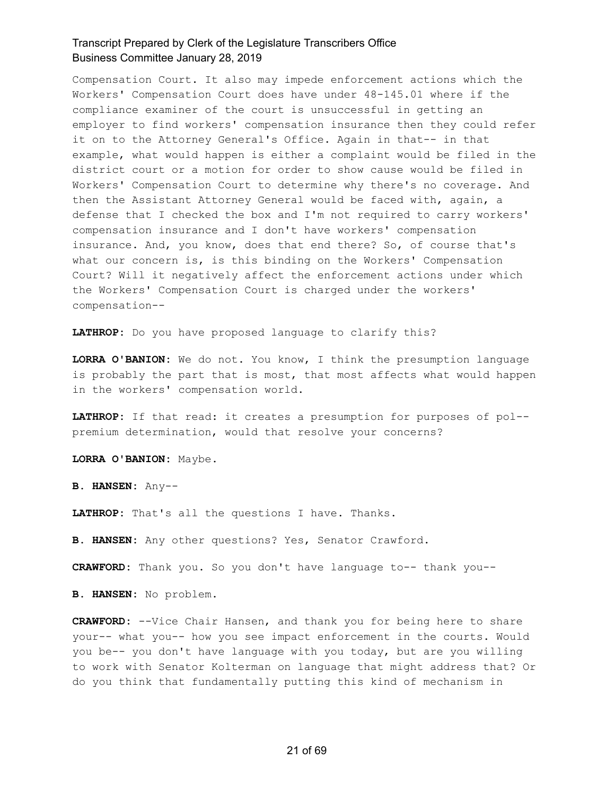Compensation Court. It also may impede enforcement actions which the Workers' Compensation Court does have under 48-145.01 where if the compliance examiner of the court is unsuccessful in getting an employer to find workers' compensation insurance then they could refer it on to the Attorney General's Office. Again in that-- in that example, what would happen is either a complaint would be filed in the district court or a motion for order to show cause would be filed in Workers' Compensation Court to determine why there's no coverage. And then the Assistant Attorney General would be faced with, again, a defense that I checked the box and I'm not required to carry workers' compensation insurance and I don't have workers' compensation insurance. And, you know, does that end there? So, of course that's what our concern is, is this binding on the Workers' Compensation Court? Will it negatively affect the enforcement actions under which the Workers' Compensation Court is charged under the workers' compensation--

**LATHROP:** Do you have proposed language to clarify this?

**LORRA O'BANION:** We do not. You know, I think the presumption language is probably the part that is most, that most affects what would happen in the workers' compensation world.

**LATHROP:** If that read: it creates a presumption for purposes of pol- premium determination, would that resolve your concerns?

**LORRA O'BANION:** Maybe.

**B. HANSEN:** Any--

**LATHROP:** That's all the questions I have. Thanks.

**B. HANSEN:** Any other questions? Yes, Senator Crawford.

**CRAWFORD:** Thank you. So you don't have language to-- thank you--

**B. HANSEN:** No problem.

**CRAWFORD:** --Vice Chair Hansen, and thank you for being here to share your-- what you-- how you see impact enforcement in the courts. Would you be-- you don't have language with you today, but are you willing to work with Senator Kolterman on language that might address that? Or do you think that fundamentally putting this kind of mechanism in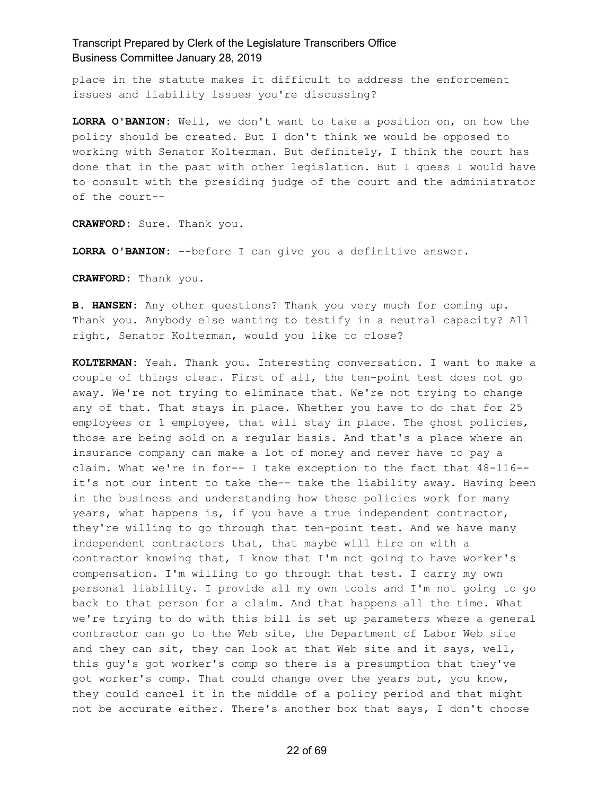place in the statute makes it difficult to address the enforcement issues and liability issues you're discussing?

**LORRA O'BANION:** Well, we don't want to take a position on, on how the policy should be created. But I don't think we would be opposed to working with Senator Kolterman. But definitely, I think the court has done that in the past with other legislation. But I guess I would have to consult with the presiding judge of the court and the administrator of the court--

**CRAWFORD:** Sure. Thank you.

**LORRA O'BANION:** --before I can give you a definitive answer.

**CRAWFORD:** Thank you.

**B. HANSEN:** Any other questions? Thank you very much for coming up. Thank you. Anybody else wanting to testify in a neutral capacity? All right, Senator Kolterman, would you like to close?

**KOLTERMAN:** Yeah. Thank you. Interesting conversation. I want to make a couple of things clear. First of all, the ten-point test does not go away. We're not trying to eliminate that. We're not trying to change any of that. That stays in place. Whether you have to do that for 25 employees or 1 employee, that will stay in place. The ghost policies, those are being sold on a regular basis. And that's a place where an insurance company can make a lot of money and never have to pay a claim. What we're in for-- I take exception to the fact that 48-116- it's not our intent to take the-- take the liability away. Having been in the business and understanding how these policies work for many years, what happens is, if you have a true independent contractor, they're willing to go through that ten-point test. And we have many independent contractors that, that maybe will hire on with a contractor knowing that, I know that I'm not going to have worker's compensation. I'm willing to go through that test. I carry my own personal liability. I provide all my own tools and I'm not going to go back to that person for a claim. And that happens all the time. What we're trying to do with this bill is set up parameters where a general contractor can go to the Web site, the Department of Labor Web site and they can sit, they can look at that Web site and it says, well, this guy's got worker's comp so there is a presumption that they've got worker's comp. That could change over the years but, you know, they could cancel it in the middle of a policy period and that might not be accurate either. There's another box that says, I don't choose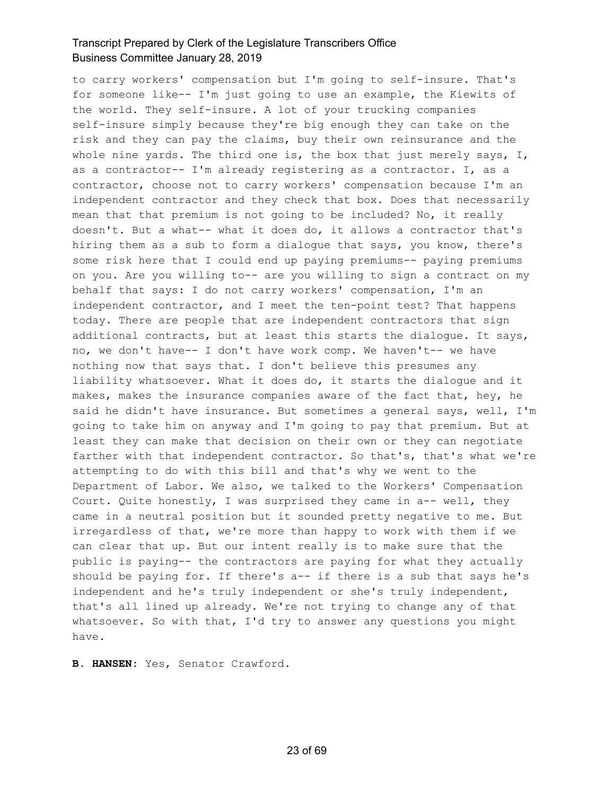to carry workers' compensation but I'm going to self-insure. That's for someone like-- I'm just going to use an example, the Kiewits of the world. They self-insure. A lot of your trucking companies self-insure simply because they're big enough they can take on the risk and they can pay the claims, buy their own reinsurance and the whole nine yards. The third one is, the box that just merely says,  $I$ , as a contractor-- I'm already registering as a contractor. I, as a contractor, choose not to carry workers' compensation because I'm an independent contractor and they check that box. Does that necessarily mean that that premium is not going to be included? No, it really doesn't. But a what-- what it does do, it allows a contractor that's hiring them as a sub to form a dialogue that says, you know, there's some risk here that I could end up paying premiums-- paying premiums on you. Are you willing to-- are you willing to sign a contract on my behalf that says: I do not carry workers' compensation, I'm an independent contractor, and I meet the ten-point test? That happens today. There are people that are independent contractors that sign additional contracts, but at least this starts the dialogue. It says, no, we don't have-- I don't have work comp. We haven't-- we have nothing now that says that. I don't believe this presumes any liability whatsoever. What it does do, it starts the dialogue and it makes, makes the insurance companies aware of the fact that, hey, he said he didn't have insurance. But sometimes a general says, well, I'm going to take him on anyway and I'm going to pay that premium. But at least they can make that decision on their own or they can negotiate farther with that independent contractor. So that's, that's what we're attempting to do with this bill and that's why we went to the Department of Labor. We also, we talked to the Workers' Compensation Court. Quite honestly, I was surprised they came in a-- well, they came in a neutral position but it sounded pretty negative to me. But irregardless of that, we're more than happy to work with them if we can clear that up. But our intent really is to make sure that the public is paying-- the contractors are paying for what they actually should be paying for. If there's a-- if there is a sub that says he's independent and he's truly independent or she's truly independent, that's all lined up already. We're not trying to change any of that whatsoever. So with that, I'd try to answer any questions you might have.

**B. HANSEN:** Yes, Senator Crawford.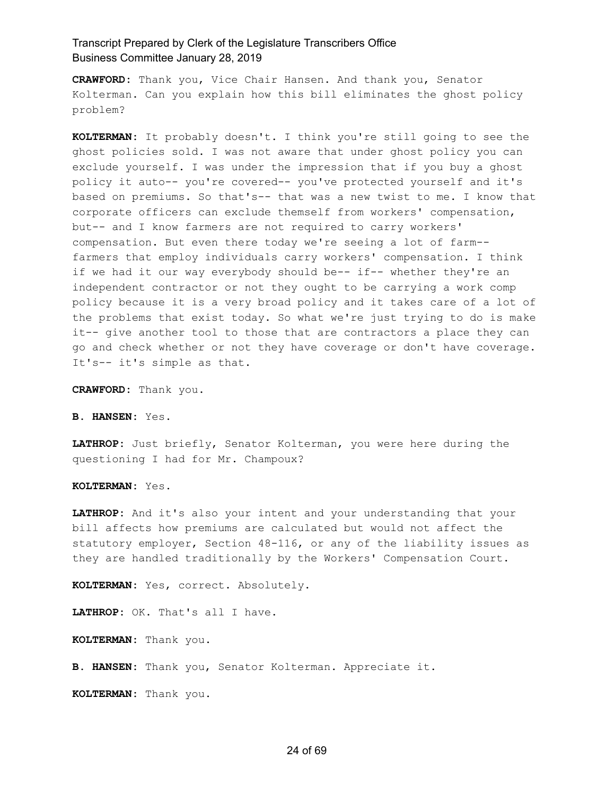**CRAWFORD:** Thank you, Vice Chair Hansen. And thank you, Senator Kolterman. Can you explain how this bill eliminates the ghost policy problem?

**KOLTERMAN:** It probably doesn't. I think you're still going to see the ghost policies sold. I was not aware that under ghost policy you can exclude yourself. I was under the impression that if you buy a ghost policy it auto-- you're covered-- you've protected yourself and it's based on premiums. So that's-- that was a new twist to me. I know that corporate officers can exclude themself from workers' compensation, but-- and I know farmers are not required to carry workers' compensation. But even there today we're seeing a lot of farm- farmers that employ individuals carry workers' compensation. I think if we had it our way everybody should be-- if-- whether they're an independent contractor or not they ought to be carrying a work comp policy because it is a very broad policy and it takes care of a lot of the problems that exist today. So what we're just trying to do is make it-- give another tool to those that are contractors a place they can go and check whether or not they have coverage or don't have coverage. It's-- it's simple as that.

**CRAWFORD:** Thank you.

**B. HANSEN:** Yes.

**LATHROP:** Just briefly, Senator Kolterman, you were here during the questioning I had for Mr. Champoux?

**KOLTERMAN:** Yes.

**LATHROP:** And it's also your intent and your understanding that your bill affects how premiums are calculated but would not affect the statutory employer, Section 48-116, or any of the liability issues as they are handled traditionally by the Workers' Compensation Court.

**KOLTERMAN:** Yes, correct. Absolutely.

**LATHROP:** OK. That's all I have.

**KOLTERMAN:** Thank you.

**B. HANSEN:** Thank you, Senator Kolterman. Appreciate it.

**KOLTERMAN:** Thank you.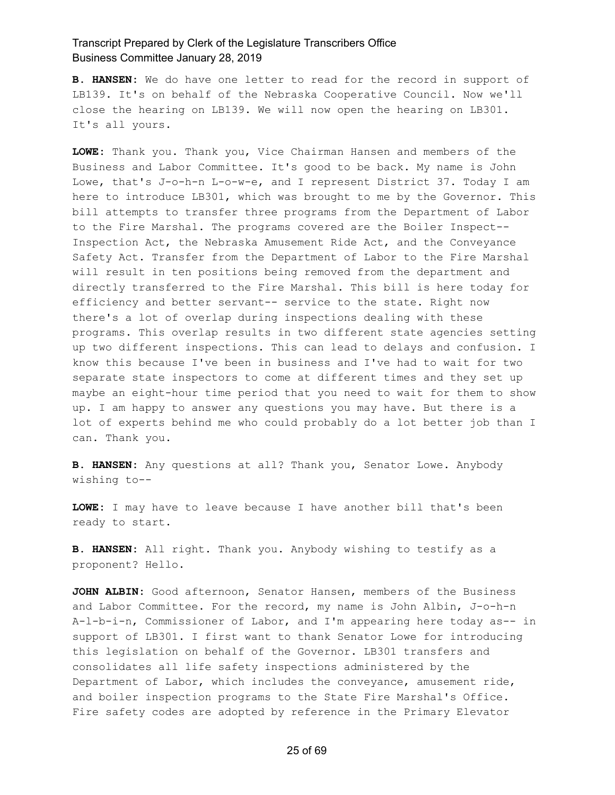**B. HANSEN:** We do have one letter to read for the record in support of LB139. It's on behalf of the Nebraska Cooperative Council. Now we'll close the hearing on LB139. We will now open the hearing on LB301. It's all yours.

**LOWE:** Thank you. Thank you, Vice Chairman Hansen and members of the Business and Labor Committee. It's good to be back. My name is John Lowe, that's J-o-h-n L-o-w-e, and I represent District 37. Today I am here to introduce LB301, which was brought to me by the Governor. This bill attempts to transfer three programs from the Department of Labor to the Fire Marshal. The programs covered are the Boiler Inspect-- Inspection Act, the Nebraska Amusement Ride Act, and the Conveyance Safety Act. Transfer from the Department of Labor to the Fire Marshal will result in ten positions being removed from the department and directly transferred to the Fire Marshal. This bill is here today for efficiency and better servant-- service to the state. Right now there's a lot of overlap during inspections dealing with these programs. This overlap results in two different state agencies setting up two different inspections. This can lead to delays and confusion. I know this because I've been in business and I've had to wait for two separate state inspectors to come at different times and they set up maybe an eight-hour time period that you need to wait for them to show up. I am happy to answer any questions you may have. But there is a lot of experts behind me who could probably do a lot better job than I can. Thank you.

**B. HANSEN:** Any questions at all? Thank you, Senator Lowe. Anybody wishing to--

**LOWE:** I may have to leave because I have another bill that's been ready to start.

**B. HANSEN:** All right. Thank you. Anybody wishing to testify as a proponent? Hello.

**JOHN ALBIN:** Good afternoon, Senator Hansen, members of the Business and Labor Committee. For the record, my name is John Albin, J-o-h-n A-l-b-i-n, Commissioner of Labor, and I'm appearing here today as-- in support of LB301. I first want to thank Senator Lowe for introducing this legislation on behalf of the Governor. LB301 transfers and consolidates all life safety inspections administered by the Department of Labor, which includes the conveyance, amusement ride, and boiler inspection programs to the State Fire Marshal's Office. Fire safety codes are adopted by reference in the Primary Elevator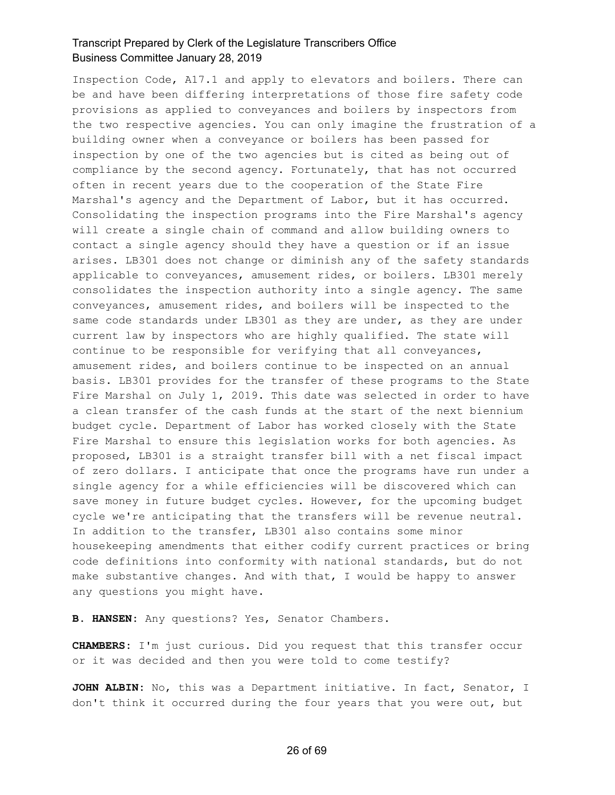Inspection Code, A17.1 and apply to elevators and boilers. There can be and have been differing interpretations of those fire safety code provisions as applied to conveyances and boilers by inspectors from the two respective agencies. You can only imagine the frustration of a building owner when a conveyance or boilers has been passed for inspection by one of the two agencies but is cited as being out of compliance by the second agency. Fortunately, that has not occurred often in recent years due to the cooperation of the State Fire Marshal's agency and the Department of Labor, but it has occurred. Consolidating the inspection programs into the Fire Marshal's agency will create a single chain of command and allow building owners to contact a single agency should they have a question or if an issue arises. LB301 does not change or diminish any of the safety standards applicable to conveyances, amusement rides, or boilers. LB301 merely consolidates the inspection authority into a single agency. The same conveyances, amusement rides, and boilers will be inspected to the same code standards under LB301 as they are under, as they are under current law by inspectors who are highly qualified. The state will continue to be responsible for verifying that all conveyances, amusement rides, and boilers continue to be inspected on an annual basis. LB301 provides for the transfer of these programs to the State Fire Marshal on July 1, 2019. This date was selected in order to have a clean transfer of the cash funds at the start of the next biennium budget cycle. Department of Labor has worked closely with the State Fire Marshal to ensure this legislation works for both agencies. As proposed, LB301 is a straight transfer bill with a net fiscal impact of zero dollars. I anticipate that once the programs have run under a single agency for a while efficiencies will be discovered which can save money in future budget cycles. However, for the upcoming budget cycle we're anticipating that the transfers will be revenue neutral. In addition to the transfer, LB301 also contains some minor housekeeping amendments that either codify current practices or bring code definitions into conformity with national standards, but do not make substantive changes. And with that, I would be happy to answer any questions you might have.

**B. HANSEN:** Any questions? Yes, Senator Chambers.

**CHAMBERS:** I'm just curious. Did you request that this transfer occur or it was decided and then you were told to come testify?

**JOHN ALBIN:** No, this was a Department initiative. In fact, Senator, I don't think it occurred during the four years that you were out, but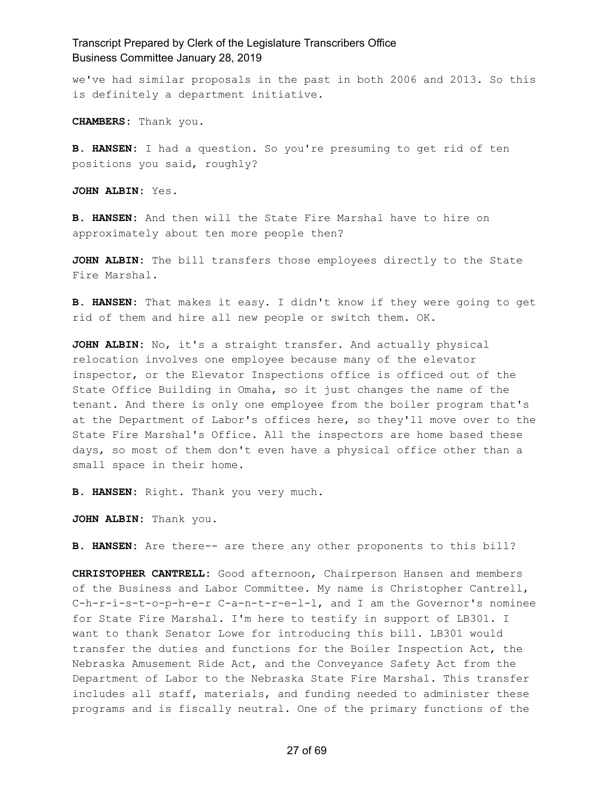we've had similar proposals in the past in both 2006 and 2013. So this is definitely a department initiative.

**CHAMBERS:** Thank you.

**B. HANSEN:** I had a question. So you're presuming to get rid of ten positions you said, roughly?

**JOHN ALBIN:** Yes.

**B. HANSEN:** And then will the State Fire Marshal have to hire on approximately about ten more people then?

**JOHN ALBIN:** The bill transfers those employees directly to the State Fire Marshal.

**B. HANSEN:** That makes it easy. I didn't know if they were going to get rid of them and hire all new people or switch them. OK.

**JOHN ALBIN:** No, it's a straight transfer. And actually physical relocation involves one employee because many of the elevator inspector, or the Elevator Inspections office is officed out of the State Office Building in Omaha, so it just changes the name of the tenant. And there is only one employee from the boiler program that's at the Department of Labor's offices here, so they'll move over to the State Fire Marshal's Office. All the inspectors are home based these days, so most of them don't even have a physical office other than a small space in their home.

**B. HANSEN:** Right. Thank you very much.

**JOHN ALBIN:** Thank you.

**B. HANSEN:** Are there-- are there any other proponents to this bill?

**CHRISTOPHER CANTRELL:** Good afternoon, Chairperson Hansen and members of the Business and Labor Committee. My name is Christopher Cantrell, C-h-r-i-s-t-o-p-h-e-r C-a-n-t-r-e-l-l, and I am the Governor's nominee for State Fire Marshal. I'm here to testify in support of LB301. I want to thank Senator Lowe for introducing this bill. LB301 would transfer the duties and functions for the Boiler Inspection Act, the Nebraska Amusement Ride Act, and the Conveyance Safety Act from the Department of Labor to the Nebraska State Fire Marshal. This transfer includes all staff, materials, and funding needed to administer these programs and is fiscally neutral. One of the primary functions of the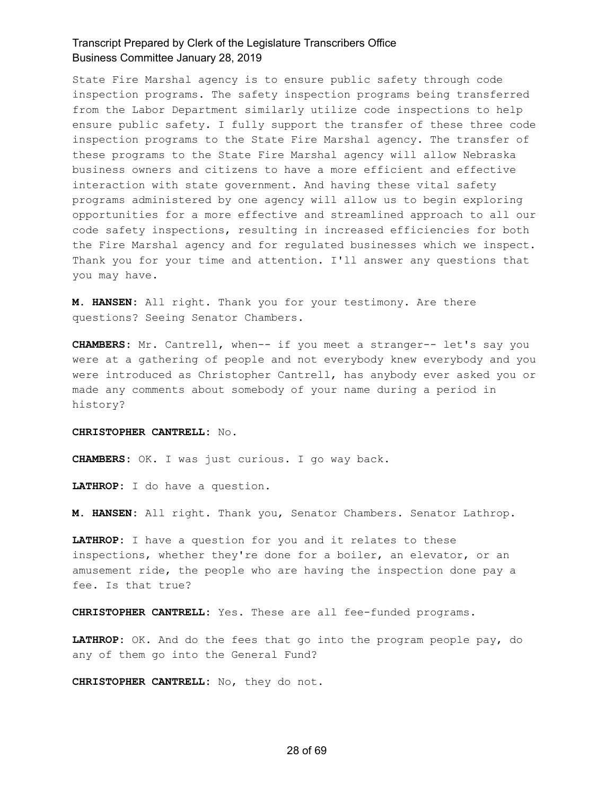State Fire Marshal agency is to ensure public safety through code inspection programs. The safety inspection programs being transferred from the Labor Department similarly utilize code inspections to help ensure public safety. I fully support the transfer of these three code inspection programs to the State Fire Marshal agency. The transfer of these programs to the State Fire Marshal agency will allow Nebraska business owners and citizens to have a more efficient and effective interaction with state government. And having these vital safety programs administered by one agency will allow us to begin exploring opportunities for a more effective and streamlined approach to all our code safety inspections, resulting in increased efficiencies for both the Fire Marshal agency and for regulated businesses which we inspect. Thank you for your time and attention. I'll answer any questions that you may have.

**M. HANSEN:** All right. Thank you for your testimony. Are there questions? Seeing Senator Chambers.

**CHAMBERS:** Mr. Cantrell, when-- if you meet a stranger-- let's say you were at a gathering of people and not everybody knew everybody and you were introduced as Christopher Cantrell, has anybody ever asked you or made any comments about somebody of your name during a period in history?

#### **CHRISTOPHER CANTRELL:** No.

**CHAMBERS:** OK. I was just curious. I go way back.

**LATHROP:** I do have a question.

**M. HANSEN:** All right. Thank you, Senator Chambers. Senator Lathrop.

**LATHROP:** I have a question for you and it relates to these inspections, whether they're done for a boiler, an elevator, or an amusement ride, the people who are having the inspection done pay a fee. Is that true?

**CHRISTOPHER CANTRELL:** Yes. These are all fee-funded programs.

**LATHROP:** OK. And do the fees that go into the program people pay, do any of them go into the General Fund?

**CHRISTOPHER CANTRELL:** No, they do not.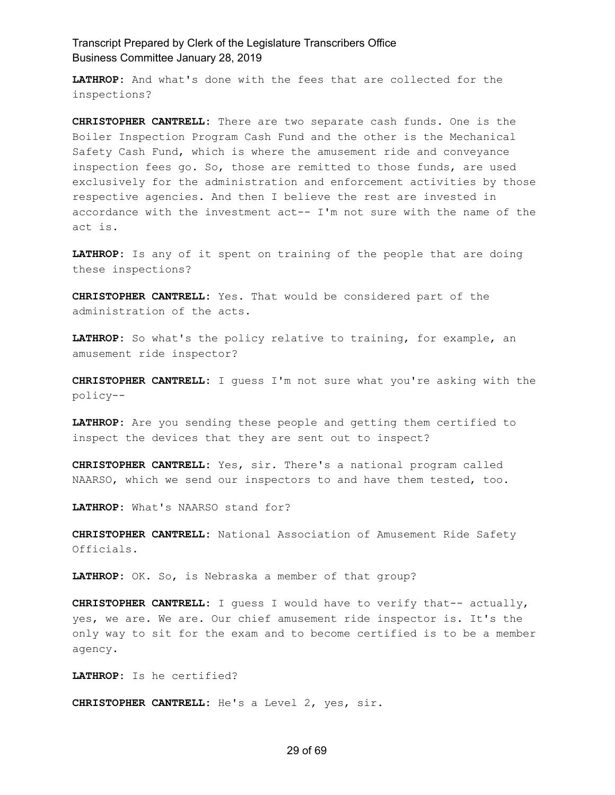**LATHROP:** And what's done with the fees that are collected for the inspections?

**CHRISTOPHER CANTRELL:** There are two separate cash funds. One is the Boiler Inspection Program Cash Fund and the other is the Mechanical Safety Cash Fund, which is where the amusement ride and conveyance inspection fees go. So, those are remitted to those funds, are used exclusively for the administration and enforcement activities by those respective agencies. And then I believe the rest are invested in accordance with the investment act-- I'm not sure with the name of the act is.

**LATHROP:** Is any of it spent on training of the people that are doing these inspections?

**CHRISTOPHER CANTRELL:** Yes. That would be considered part of the administration of the acts.

**LATHROP:** So what's the policy relative to training, for example, an amusement ride inspector?

**CHRISTOPHER CANTRELL:** I guess I'm not sure what you're asking with the policy--

**LATHROP:** Are you sending these people and getting them certified to inspect the devices that they are sent out to inspect?

**CHRISTOPHER CANTRELL:** Yes, sir. There's a national program called NAARSO, which we send our inspectors to and have them tested, too.

**LATHROP:** What's NAARSO stand for?

**CHRISTOPHER CANTRELL:** National Association of Amusement Ride Safety Officials.

**LATHROP:** OK. So, is Nebraska a member of that group?

**CHRISTOPHER CANTRELL:** I guess I would have to verify that-- actually, yes, we are. We are. Our chief amusement ride inspector is. It's the only way to sit for the exam and to become certified is to be a member agency.

**LATHROP:** Is he certified?

**CHRISTOPHER CANTRELL:** He's a Level 2, yes, sir.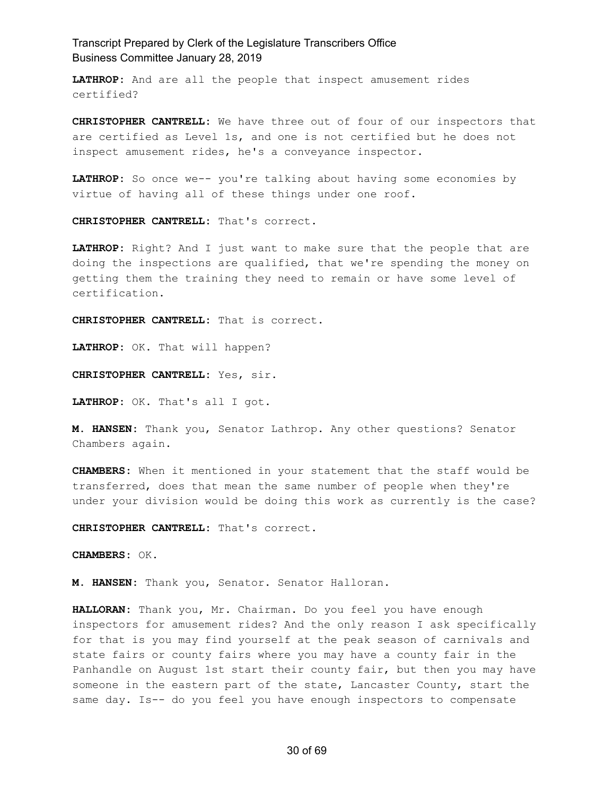**LATHROP:** And are all the people that inspect amusement rides certified?

**CHRISTOPHER CANTRELL:** We have three out of four of our inspectors that are certified as Level 1s, and one is not certified but he does not inspect amusement rides, he's a conveyance inspector.

**LATHROP:** So once we-- you're talking about having some economies by virtue of having all of these things under one roof.

**CHRISTOPHER CANTRELL:** That's correct.

**LATHROP:** Right? And I just want to make sure that the people that are doing the inspections are qualified, that we're spending the money on getting them the training they need to remain or have some level of certification.

**CHRISTOPHER CANTRELL:** That is correct.

**LATHROP:** OK. That will happen?

**CHRISTOPHER CANTRELL:** Yes, sir.

**LATHROP:** OK. That's all I got.

**M. HANSEN:** Thank you, Senator Lathrop. Any other questions? Senator Chambers again.

**CHAMBERS:** When it mentioned in your statement that the staff would be transferred, does that mean the same number of people when they're under your division would be doing this work as currently is the case?

**CHRISTOPHER CANTRELL:** That's correct.

**CHAMBERS:** OK.

**M. HANSEN:** Thank you, Senator. Senator Halloran.

**HALLORAN:** Thank you, Mr. Chairman. Do you feel you have enough inspectors for amusement rides? And the only reason I ask specifically for that is you may find yourself at the peak season of carnivals and state fairs or county fairs where you may have a county fair in the Panhandle on August 1st start their county fair, but then you may have someone in the eastern part of the state, Lancaster County, start the same day. Is-- do you feel you have enough inspectors to compensate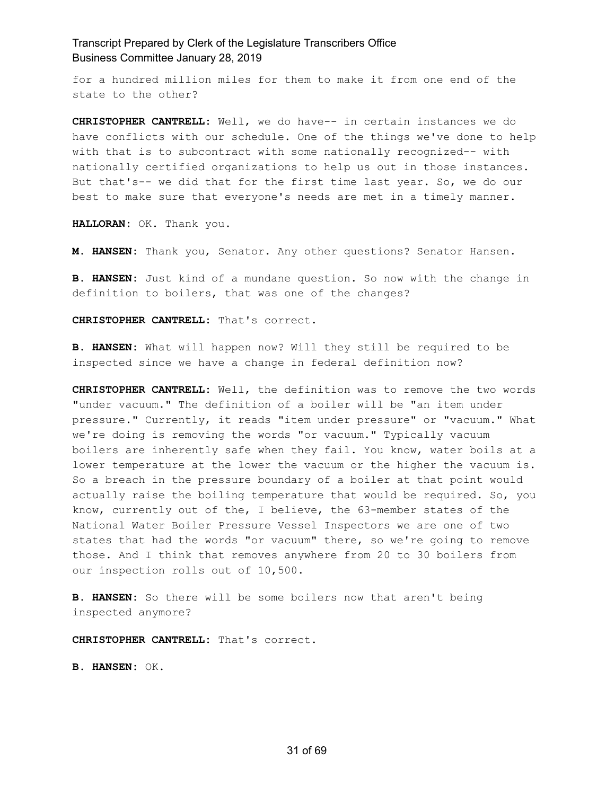for a hundred million miles for them to make it from one end of the state to the other?

**CHRISTOPHER CANTRELL:** Well, we do have-- in certain instances we do have conflicts with our schedule. One of the things we've done to help with that is to subcontract with some nationally recognized-- with nationally certified organizations to help us out in those instances. But that's-- we did that for the first time last year. So, we do our best to make sure that everyone's needs are met in a timely manner.

**HALLORAN:** OK. Thank you.

**M. HANSEN:** Thank you, Senator. Any other questions? Senator Hansen.

**B. HANSEN:** Just kind of a mundane question. So now with the change in definition to boilers, that was one of the changes?

**CHRISTOPHER CANTRELL:** That's correct.

**B. HANSEN:** What will happen now? Will they still be required to be inspected since we have a change in federal definition now?

**CHRISTOPHER CANTRELL:** Well, the definition was to remove the two words "under vacuum." The definition of a boiler will be "an item under pressure." Currently, it reads "item under pressure" or "vacuum." What we're doing is removing the words "or vacuum." Typically vacuum boilers are inherently safe when they fail. You know, water boils at a lower temperature at the lower the vacuum or the higher the vacuum is. So a breach in the pressure boundary of a boiler at that point would actually raise the boiling temperature that would be required. So, you know, currently out of the, I believe, the 63-member states of the National Water Boiler Pressure Vessel Inspectors we are one of two states that had the words "or vacuum" there, so we're going to remove those. And I think that removes anywhere from 20 to 30 boilers from our inspection rolls out of 10,500.

**B. HANSEN:** So there will be some boilers now that aren't being inspected anymore?

**CHRISTOPHER CANTRELL:** That's correct.

**B. HANSEN:** OK.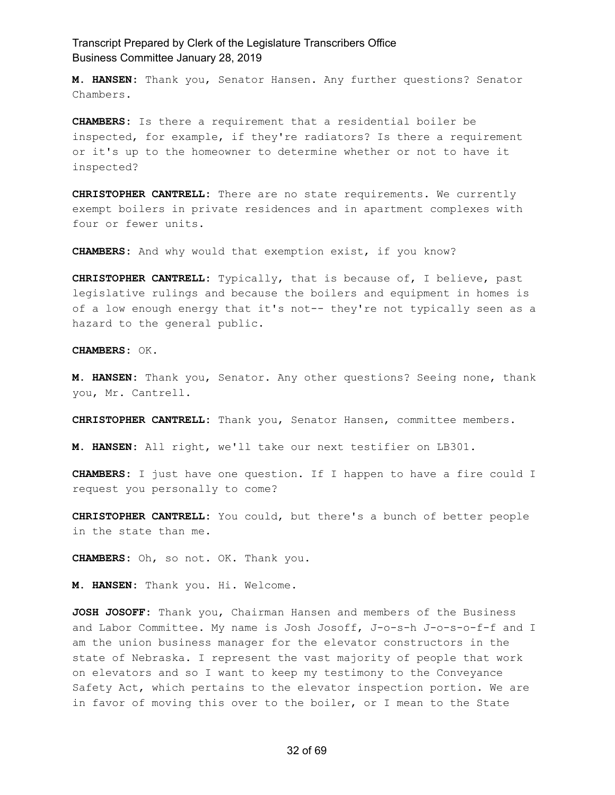**M. HANSEN:** Thank you, Senator Hansen. Any further questions? Senator Chambers.

**CHAMBERS:** Is there a requirement that a residential boiler be inspected, for example, if they're radiators? Is there a requirement or it's up to the homeowner to determine whether or not to have it inspected?

**CHRISTOPHER CANTRELL:** There are no state requirements. We currently exempt boilers in private residences and in apartment complexes with four or fewer units.

**CHAMBERS:** And why would that exemption exist, if you know?

**CHRISTOPHER CANTRELL:** Typically, that is because of, I believe, past legislative rulings and because the boilers and equipment in homes is of a low enough energy that it's not-- they're not typically seen as a hazard to the general public.

**CHAMBERS:** OK.

**M. HANSEN:** Thank you, Senator. Any other questions? Seeing none, thank you, Mr. Cantrell.

**CHRISTOPHER CANTRELL:** Thank you, Senator Hansen, committee members.

**M. HANSEN:** All right, we'll take our next testifier on LB301.

**CHAMBERS:** I just have one question. If I happen to have a fire could I request you personally to come?

**CHRISTOPHER CANTRELL:** You could, but there's a bunch of better people in the state than me.

**CHAMBERS:** Oh, so not. OK. Thank you.

**M. HANSEN:** Thank you. Hi. Welcome.

**JOSH JOSOFF:** Thank you, Chairman Hansen and members of the Business and Labor Committee. My name is Josh Josoff, J-o-s-h J-o-s-o-f-f and I am the union business manager for the elevator constructors in the state of Nebraska. I represent the vast majority of people that work on elevators and so I want to keep my testimony to the Conveyance Safety Act, which pertains to the elevator inspection portion. We are in favor of moving this over to the boiler, or I mean to the State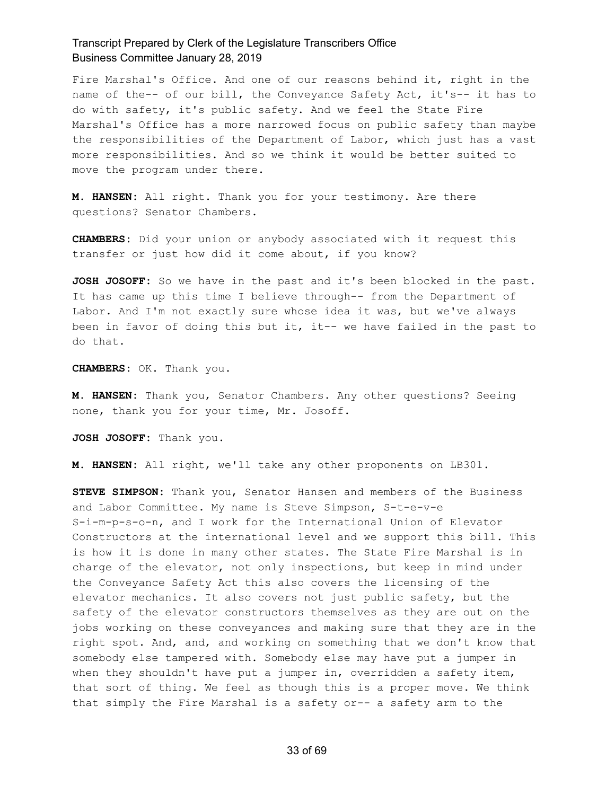Fire Marshal's Office. And one of our reasons behind it, right in the name of the-- of our bill, the Conveyance Safety Act, it's-- it has to do with safety, it's public safety. And we feel the State Fire Marshal's Office has a more narrowed focus on public safety than maybe the responsibilities of the Department of Labor, which just has a vast more responsibilities. And so we think it would be better suited to move the program under there.

**M. HANSEN:** All right. Thank you for your testimony. Are there questions? Senator Chambers.

**CHAMBERS:** Did your union or anybody associated with it request this transfer or just how did it come about, if you know?

**JOSH JOSOFF:** So we have in the past and it's been blocked in the past. It has came up this time I believe through-- from the Department of Labor. And I'm not exactly sure whose idea it was, but we've always been in favor of doing this but it, it-- we have failed in the past to do that.

**CHAMBERS:** OK. Thank you.

**M. HANSEN:** Thank you, Senator Chambers. Any other questions? Seeing none, thank you for your time, Mr. Josoff.

**JOSH JOSOFF:** Thank you.

**M. HANSEN:** All right, we'll take any other proponents on LB301.

**STEVE SIMPSON:** Thank you, Senator Hansen and members of the Business and Labor Committee. My name is Steve Simpson, S-t-e-v-e S-i-m-p-s-o-n, and I work for the International Union of Elevator Constructors at the international level and we support this bill. This is how it is done in many other states. The State Fire Marshal is in charge of the elevator, not only inspections, but keep in mind under the Conveyance Safety Act this also covers the licensing of the elevator mechanics. It also covers not just public safety, but the safety of the elevator constructors themselves as they are out on the jobs working on these conveyances and making sure that they are in the right spot. And, and, and working on something that we don't know that somebody else tampered with. Somebody else may have put a jumper in when they shouldn't have put a jumper in, overridden a safety item, that sort of thing. We feel as though this is a proper move. We think that simply the Fire Marshal is a safety or-- a safety arm to the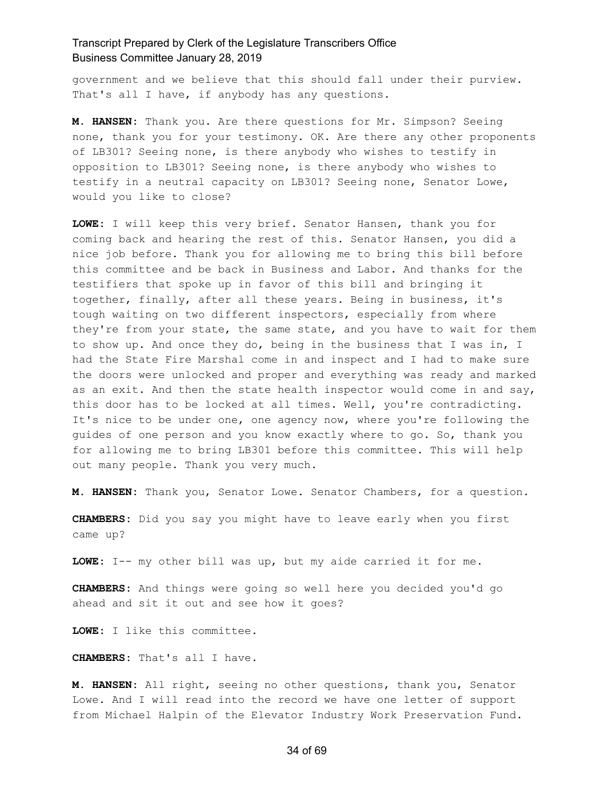government and we believe that this should fall under their purview. That's all I have, if anybody has any questions.

**M. HANSEN:** Thank you. Are there questions for Mr. Simpson? Seeing none, thank you for your testimony. OK. Are there any other proponents of LB301? Seeing none, is there anybody who wishes to testify in opposition to LB301? Seeing none, is there anybody who wishes to testify in a neutral capacity on LB301? Seeing none, Senator Lowe, would you like to close?

**LOWE:** I will keep this very brief. Senator Hansen, thank you for coming back and hearing the rest of this. Senator Hansen, you did a nice job before. Thank you for allowing me to bring this bill before this committee and be back in Business and Labor. And thanks for the testifiers that spoke up in favor of this bill and bringing it together, finally, after all these years. Being in business, it's tough waiting on two different inspectors, especially from where they're from your state, the same state, and you have to wait for them to show up. And once they do, being in the business that I was in, I had the State Fire Marshal come in and inspect and I had to make sure the doors were unlocked and proper and everything was ready and marked as an exit. And then the state health inspector would come in and say, this door has to be locked at all times. Well, you're contradicting. It's nice to be under one, one agency now, where you're following the guides of one person and you know exactly where to go. So, thank you for allowing me to bring LB301 before this committee. This will help out many people. Thank you very much.

**M. HANSEN:** Thank you, Senator Lowe. Senator Chambers, for a question.

**CHAMBERS:** Did you say you might have to leave early when you first came up?

**LOWE:** I-- my other bill was up, but my aide carried it for me.

**CHAMBERS:** And things were going so well here you decided you'd go ahead and sit it out and see how it goes?

**LOWE:** I like this committee.

**CHAMBERS:** That's all I have.

**M. HANSEN:** All right, seeing no other questions, thank you, Senator Lowe. And I will read into the record we have one letter of support from Michael Halpin of the Elevator Industry Work Preservation Fund.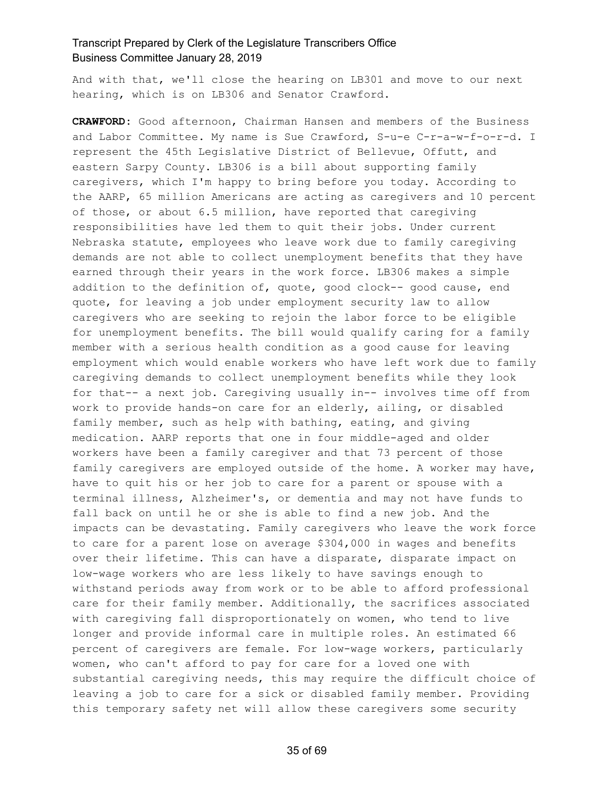And with that, we'll close the hearing on LB301 and move to our next hearing, which is on LB306 and Senator Crawford.

**CRAWFORD:** Good afternoon, Chairman Hansen and members of the Business and Labor Committee. My name is Sue Crawford, S-u-e C-r-a-w-f-o-r-d. I represent the 45th Legislative District of Bellevue, Offutt, and eastern Sarpy County. LB306 is a bill about supporting family caregivers, which I'm happy to bring before you today. According to the AARP, 65 million Americans are acting as caregivers and 10 percent of those, or about 6.5 million, have reported that caregiving responsibilities have led them to quit their jobs. Under current Nebraska statute, employees who leave work due to family caregiving demands are not able to collect unemployment benefits that they have earned through their years in the work force. LB306 makes a simple addition to the definition of, quote, good clock-- good cause, end quote, for leaving a job under employment security law to allow caregivers who are seeking to rejoin the labor force to be eligible for unemployment benefits. The bill would qualify caring for a family member with a serious health condition as a good cause for leaving employment which would enable workers who have left work due to family caregiving demands to collect unemployment benefits while they look for that-- a next job. Caregiving usually in-- involves time off from work to provide hands-on care for an elderly, ailing, or disabled family member, such as help with bathing, eating, and giving medication. AARP reports that one in four middle-aged and older workers have been a family caregiver and that 73 percent of those family caregivers are employed outside of the home. A worker may have, have to quit his or her job to care for a parent or spouse with a terminal illness, Alzheimer's, or dementia and may not have funds to fall back on until he or she is able to find a new job. And the impacts can be devastating. Family caregivers who leave the work force to care for a parent lose on average \$304,000 in wages and benefits over their lifetime. This can have a disparate, disparate impact on low-wage workers who are less likely to have savings enough to withstand periods away from work or to be able to afford professional care for their family member. Additionally, the sacrifices associated with caregiving fall disproportionately on women, who tend to live longer and provide informal care in multiple roles. An estimated 66 percent of caregivers are female. For low-wage workers, particularly women, who can't afford to pay for care for a loved one with substantial caregiving needs, this may require the difficult choice of leaving a job to care for a sick or disabled family member. Providing this temporary safety net will allow these caregivers some security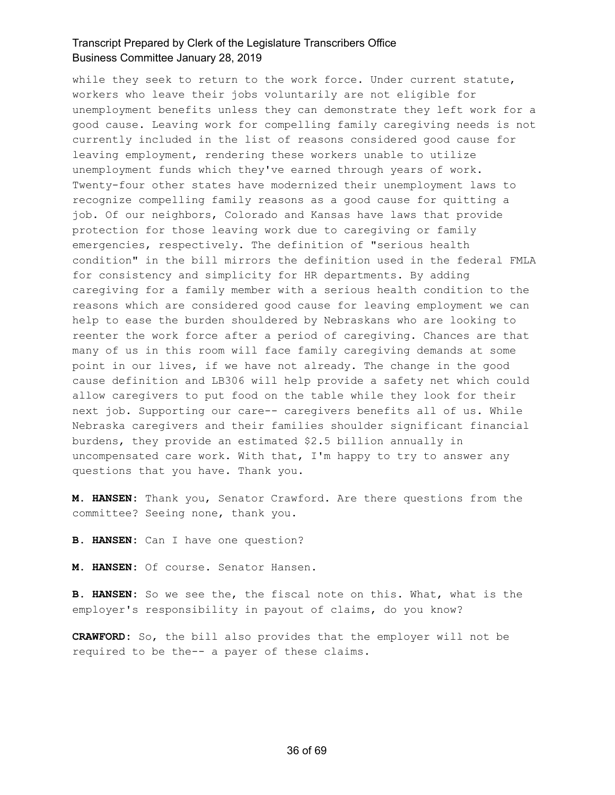while they seek to return to the work force. Under current statute, workers who leave their jobs voluntarily are not eligible for unemployment benefits unless they can demonstrate they left work for a good cause. Leaving work for compelling family caregiving needs is not currently included in the list of reasons considered good cause for leaving employment, rendering these workers unable to utilize unemployment funds which they've earned through years of work. Twenty-four other states have modernized their unemployment laws to recognize compelling family reasons as a good cause for quitting a job. Of our neighbors, Colorado and Kansas have laws that provide protection for those leaving work due to caregiving or family emergencies, respectively. The definition of "serious health condition" in the bill mirrors the definition used in the federal FMLA for consistency and simplicity for HR departments. By adding caregiving for a family member with a serious health condition to the reasons which are considered good cause for leaving employment we can help to ease the burden shouldered by Nebraskans who are looking to reenter the work force after a period of caregiving. Chances are that many of us in this room will face family caregiving demands at some point in our lives, if we have not already. The change in the good cause definition and LB306 will help provide a safety net which could allow caregivers to put food on the table while they look for their next job. Supporting our care-- caregivers benefits all of us. While Nebraska caregivers and their families shoulder significant financial burdens, they provide an estimated \$2.5 billion annually in uncompensated care work. With that, I'm happy to try to answer any questions that you have. Thank you.

**M. HANSEN:** Thank you, Senator Crawford. Are there questions from the committee? Seeing none, thank you.

**B. HANSEN:** Can I have one question?

**M. HANSEN:** Of course. Senator Hansen.

**B. HANSEN:** So we see the, the fiscal note on this. What, what is the employer's responsibility in payout of claims, do you know?

**CRAWFORD:** So, the bill also provides that the employer will not be required to be the-- a payer of these claims.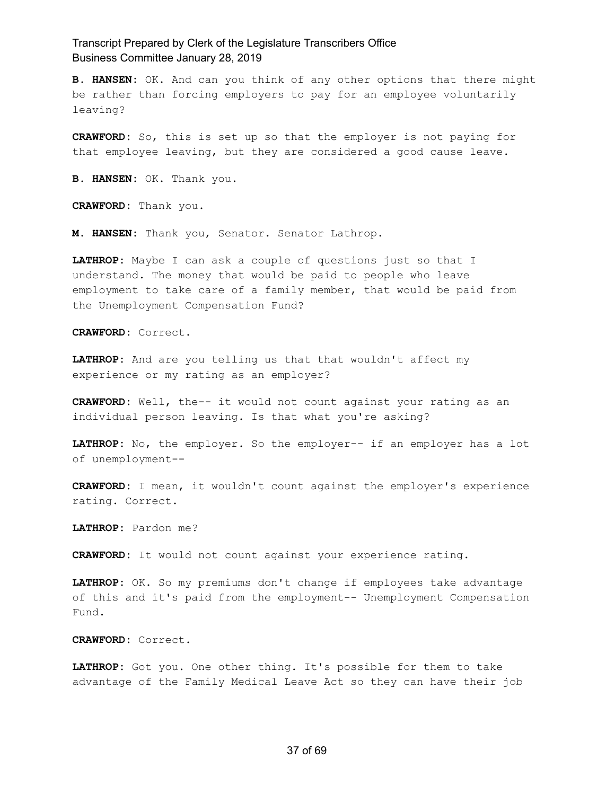**B. HANSEN:** OK. And can you think of any other options that there might be rather than forcing employers to pay for an employee voluntarily leaving?

**CRAWFORD:** So, this is set up so that the employer is not paying for that employee leaving, but they are considered a good cause leave.

**B. HANSEN:** OK. Thank you.

**CRAWFORD:** Thank you.

**M. HANSEN:** Thank you, Senator. Senator Lathrop.

**LATHROP:** Maybe I can ask a couple of questions just so that I understand. The money that would be paid to people who leave employment to take care of a family member, that would be paid from the Unemployment Compensation Fund?

**CRAWFORD:** Correct.

**LATHROP:** And are you telling us that that wouldn't affect my experience or my rating as an employer?

**CRAWFORD:** Well, the-- it would not count against your rating as an individual person leaving. Is that what you're asking?

**LATHROP:** No, the employer. So the employer-- if an employer has a lot of unemployment--

**CRAWFORD:** I mean, it wouldn't count against the employer's experience rating. Correct.

**LATHROP:** Pardon me?

**CRAWFORD:** It would not count against your experience rating.

**LATHROP:** OK. So my premiums don't change if employees take advantage of this and it's paid from the employment-- Unemployment Compensation Fund.

**CRAWFORD:** Correct.

**LATHROP:** Got you. One other thing. It's possible for them to take advantage of the Family Medical Leave Act so they can have their job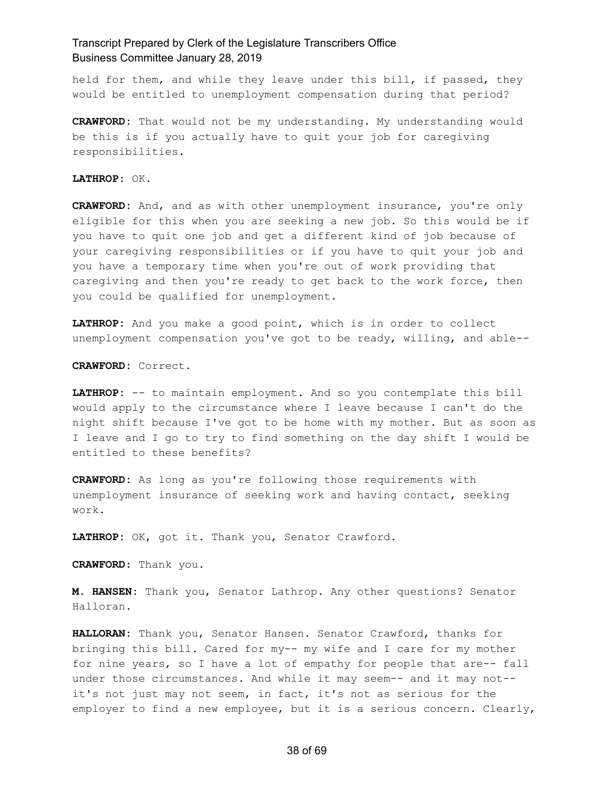held for them, and while they leave under this bill, if passed, they would be entitled to unemployment compensation during that period?

**CRAWFORD:** That would not be my understanding. My understanding would be this is if you actually have to quit your job for caregiving responsibilities.

**LATHROP:** OK.

**CRAWFORD:** And, and as with other unemployment insurance, you're only eligible for this when you are seeking a new job. So this would be if you have to quit one job and get a different kind of job because of your caregiving responsibilities or if you have to quit your job and you have a temporary time when you're out of work providing that caregiving and then you're ready to get back to the work force, then you could be qualified for unemployment.

**LATHROP:** And you make a good point, which is in order to collect unemployment compensation you've got to be ready, willing, and able--

**CRAWFORD:** Correct.

**LATHROP:** -- to maintain employment. And so you contemplate this bill would apply to the circumstance where I leave because I can't do the night shift because I've got to be home with my mother. But as soon as I leave and I go to try to find something on the day shift I would be entitled to these benefits?

**CRAWFORD:** As long as you're following those requirements with unemployment insurance of seeking work and having contact, seeking work.

**LATHROP:** OK, got it. Thank you, Senator Crawford.

**CRAWFORD:** Thank you.

**M. HANSEN:** Thank you, Senator Lathrop. Any other questions? Senator Halloran.

**HALLORAN:** Thank you, Senator Hansen. Senator Crawford, thanks for bringing this bill. Cared for my-- my wife and I care for my mother for nine years, so I have a lot of empathy for people that are-- fall under those circumstances. And while it may seem-- and it may not- it's not just may not seem, in fact, it's not as serious for the employer to find a new employee, but it is a serious concern. Clearly,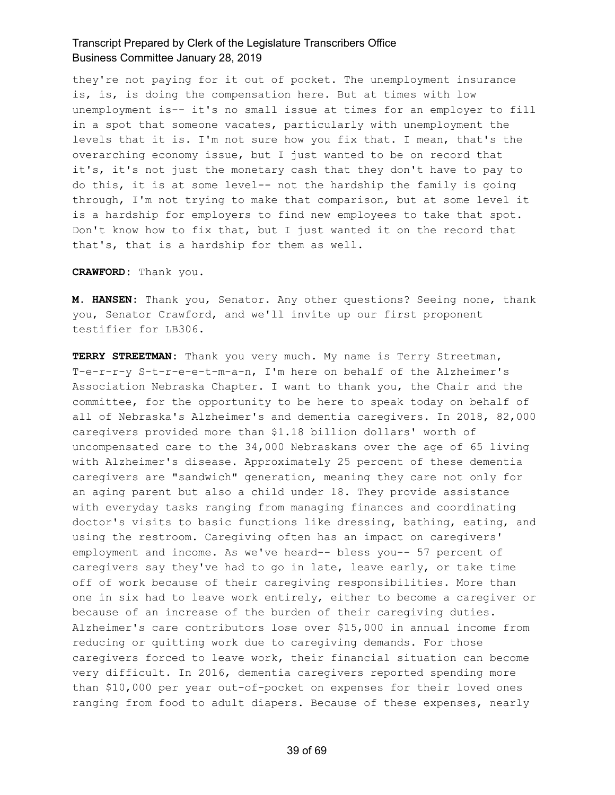they're not paying for it out of pocket. The unemployment insurance is, is, is doing the compensation here. But at times with low unemployment is-- it's no small issue at times for an employer to fill in a spot that someone vacates, particularly with unemployment the levels that it is. I'm not sure how you fix that. I mean, that's the overarching economy issue, but I just wanted to be on record that it's, it's not just the monetary cash that they don't have to pay to do this, it is at some level-- not the hardship the family is going through, I'm not trying to make that comparison, but at some level it is a hardship for employers to find new employees to take that spot. Don't know how to fix that, but I just wanted it on the record that that's, that is a hardship for them as well.

**CRAWFORD:** Thank you.

**M. HANSEN:** Thank you, Senator. Any other questions? Seeing none, thank you, Senator Crawford, and we'll invite up our first proponent testifier for LB306.

**TERRY STREETMAN:** Thank you very much. My name is Terry Streetman, T-e-r-r-y S-t-r-e-e-t-m-a-n, I'm here on behalf of the Alzheimer's Association Nebraska Chapter. I want to thank you, the Chair and the committee, for the opportunity to be here to speak today on behalf of all of Nebraska's Alzheimer's and dementia caregivers. In 2018, 82,000 caregivers provided more than \$1.18 billion dollars' worth of uncompensated care to the 34,000 Nebraskans over the age of 65 living with Alzheimer's disease. Approximately 25 percent of these dementia caregivers are "sandwich" generation, meaning they care not only for an aging parent but also a child under 18. They provide assistance with everyday tasks ranging from managing finances and coordinating doctor's visits to basic functions like dressing, bathing, eating, and using the restroom. Caregiving often has an impact on caregivers' employment and income. As we've heard-- bless you-- 57 percent of caregivers say they've had to go in late, leave early, or take time off of work because of their caregiving responsibilities. More than one in six had to leave work entirely, either to become a caregiver or because of an increase of the burden of their caregiving duties. Alzheimer's care contributors lose over \$15,000 in annual income from reducing or quitting work due to caregiving demands. For those caregivers forced to leave work, their financial situation can become very difficult. In 2016, dementia caregivers reported spending more than \$10,000 per year out-of-pocket on expenses for their loved ones ranging from food to adult diapers. Because of these expenses, nearly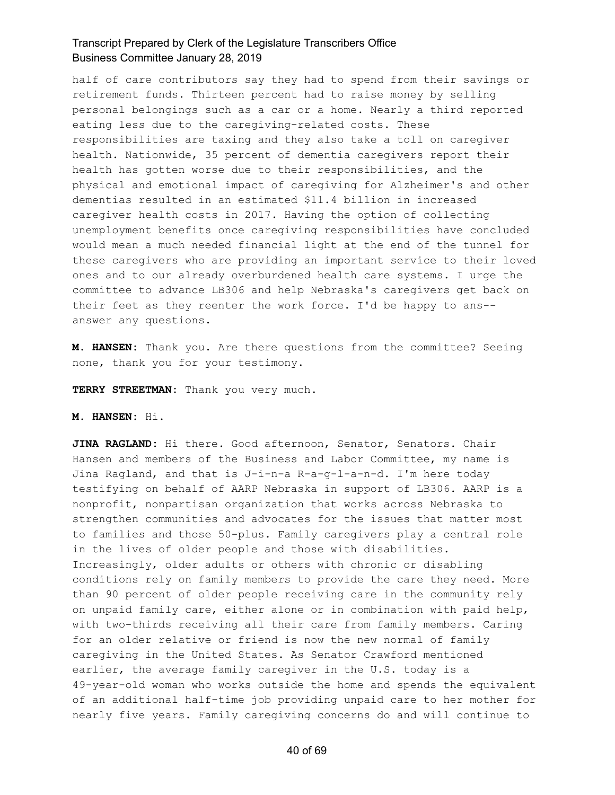half of care contributors say they had to spend from their savings or retirement funds. Thirteen percent had to raise money by selling personal belongings such as a car or a home. Nearly a third reported eating less due to the caregiving-related costs. These responsibilities are taxing and they also take a toll on caregiver health. Nationwide, 35 percent of dementia caregivers report their health has gotten worse due to their responsibilities, and the physical and emotional impact of caregiving for Alzheimer's and other dementias resulted in an estimated \$11.4 billion in increased caregiver health costs in 2017. Having the option of collecting unemployment benefits once caregiving responsibilities have concluded would mean a much needed financial light at the end of the tunnel for these caregivers who are providing an important service to their loved ones and to our already overburdened health care systems. I urge the committee to advance LB306 and help Nebraska's caregivers get back on their feet as they reenter the work force. I'd be happy to ans- answer any questions.

**M. HANSEN:** Thank you. Are there questions from the committee? Seeing none, thank you for your testimony.

**TERRY STREETMAN:** Thank you very much.

#### **M. HANSEN:** Hi.

**JINA RAGLAND:** Hi there. Good afternoon, Senator, Senators. Chair Hansen and members of the Business and Labor Committee, my name is Jina Ragland, and that is J-i-n-a R-a-g-l-a-n-d. I'm here today testifying on behalf of AARP Nebraska in support of LB306. AARP is a nonprofit, nonpartisan organization that works across Nebraska to strengthen communities and advocates for the issues that matter most to families and those 50-plus. Family caregivers play a central role in the lives of older people and those with disabilities. Increasingly, older adults or others with chronic or disabling conditions rely on family members to provide the care they need. More than 90 percent of older people receiving care in the community rely on unpaid family care, either alone or in combination with paid help, with two-thirds receiving all their care from family members. Caring for an older relative or friend is now the new normal of family caregiving in the United States. As Senator Crawford mentioned earlier, the average family caregiver in the U.S. today is a 49-year-old woman who works outside the home and spends the equivalent of an additional half-time job providing unpaid care to her mother for nearly five years. Family caregiving concerns do and will continue to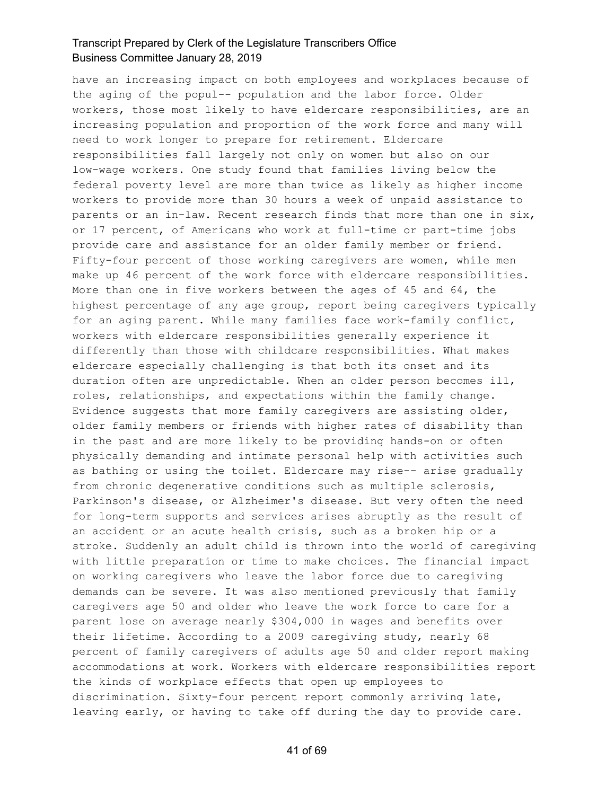have an increasing impact on both employees and workplaces because of the aging of the popul-- population and the labor force. Older workers, those most likely to have eldercare responsibilities, are an increasing population and proportion of the work force and many will need to work longer to prepare for retirement. Eldercare responsibilities fall largely not only on women but also on our low-wage workers. One study found that families living below the federal poverty level are more than twice as likely as higher income workers to provide more than 30 hours a week of unpaid assistance to parents or an in-law. Recent research finds that more than one in six, or 17 percent, of Americans who work at full-time or part-time jobs provide care and assistance for an older family member or friend. Fifty-four percent of those working caregivers are women, while men make up 46 percent of the work force with eldercare responsibilities. More than one in five workers between the ages of 45 and 64, the highest percentage of any age group, report being caregivers typically for an aging parent. While many families face work-family conflict, workers with eldercare responsibilities generally experience it differently than those with childcare responsibilities. What makes eldercare especially challenging is that both its onset and its duration often are unpredictable. When an older person becomes ill, roles, relationships, and expectations within the family change. Evidence suggests that more family caregivers are assisting older, older family members or friends with higher rates of disability than in the past and are more likely to be providing hands-on or often physically demanding and intimate personal help with activities such as bathing or using the toilet. Eldercare may rise-- arise gradually from chronic degenerative conditions such as multiple sclerosis, Parkinson's disease, or Alzheimer's disease. But very often the need for long-term supports and services arises abruptly as the result of an accident or an acute health crisis, such as a broken hip or a stroke. Suddenly an adult child is thrown into the world of caregiving with little preparation or time to make choices. The financial impact on working caregivers who leave the labor force due to caregiving demands can be severe. It was also mentioned previously that family caregivers age 50 and older who leave the work force to care for a parent lose on average nearly \$304,000 in wages and benefits over their lifetime. According to a 2009 caregiving study, nearly 68 percent of family caregivers of adults age 50 and older report making accommodations at work. Workers with eldercare responsibilities report the kinds of workplace effects that open up employees to discrimination. Sixty-four percent report commonly arriving late, leaving early, or having to take off during the day to provide care.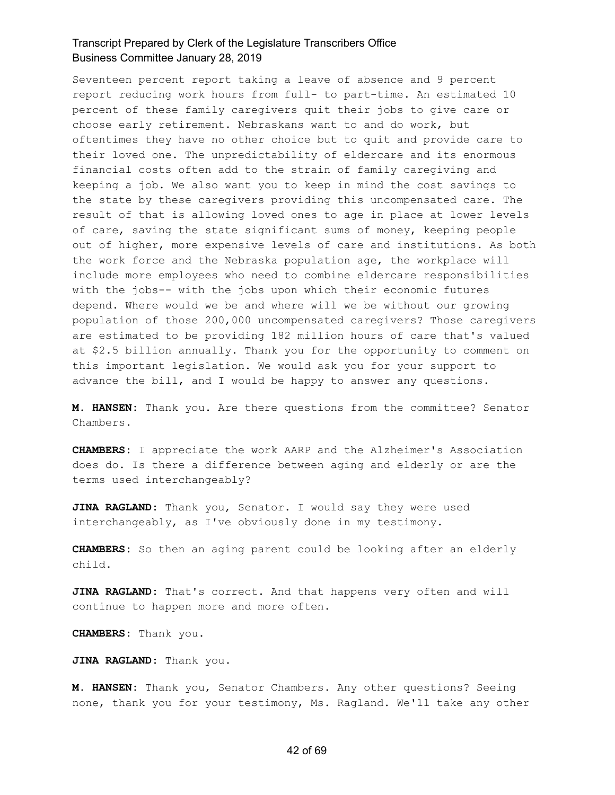Seventeen percent report taking a leave of absence and 9 percent report reducing work hours from full- to part-time. An estimated 10 percent of these family caregivers quit their jobs to give care or choose early retirement. Nebraskans want to and do work, but oftentimes they have no other choice but to quit and provide care to their loved one. The unpredictability of eldercare and its enormous financial costs often add to the strain of family caregiving and keeping a job. We also want you to keep in mind the cost savings to the state by these caregivers providing this uncompensated care. The result of that is allowing loved ones to age in place at lower levels of care, saving the state significant sums of money, keeping people out of higher, more expensive levels of care and institutions. As both the work force and the Nebraska population age, the workplace will include more employees who need to combine eldercare responsibilities with the jobs-- with the jobs upon which their economic futures depend. Where would we be and where will we be without our growing population of those 200,000 uncompensated caregivers? Those caregivers are estimated to be providing 182 million hours of care that's valued at \$2.5 billion annually. Thank you for the opportunity to comment on this important legislation. We would ask you for your support to advance the bill, and I would be happy to answer any questions.

**M. HANSEN:** Thank you. Are there questions from the committee? Senator Chambers.

**CHAMBERS:** I appreciate the work AARP and the Alzheimer's Association does do. Is there a difference between aging and elderly or are the terms used interchangeably?

**JINA RAGLAND:** Thank you, Senator. I would say they were used interchangeably, as I've obviously done in my testimony.

**CHAMBERS:** So then an aging parent could be looking after an elderly child.

**JINA RAGLAND:** That's correct. And that happens very often and will continue to happen more and more often.

**CHAMBERS:** Thank you.

**JINA RAGLAND:** Thank you.

**M. HANSEN:** Thank you, Senator Chambers. Any other questions? Seeing none, thank you for your testimony, Ms. Ragland. We'll take any other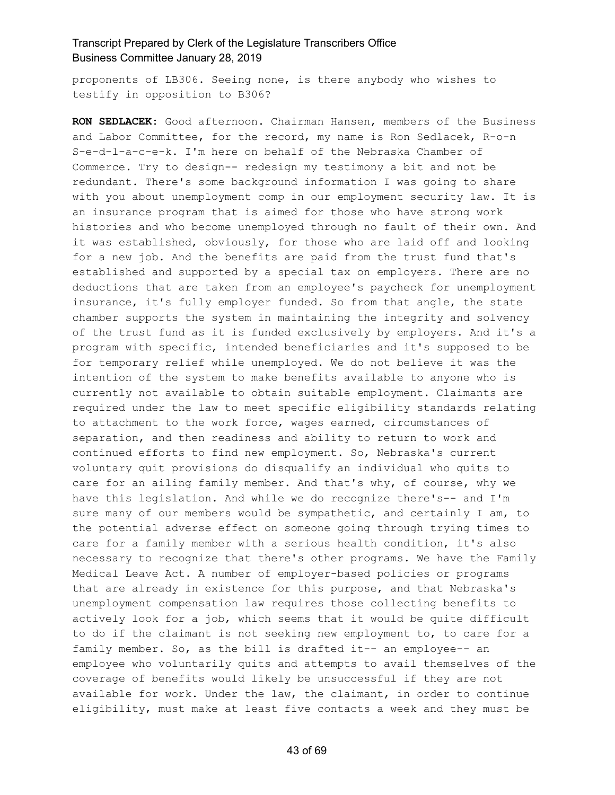proponents of LB306. Seeing none, is there anybody who wishes to testify in opposition to B306?

**RON SEDLACEK:** Good afternoon. Chairman Hansen, members of the Business and Labor Committee, for the record, my name is Ron Sedlacek, R-o-n S-e-d-l-a-c-e-k. I'm here on behalf of the Nebraska Chamber of Commerce. Try to design-- redesign my testimony a bit and not be redundant. There's some background information I was going to share with you about unemployment comp in our employment security law. It is an insurance program that is aimed for those who have strong work histories and who become unemployed through no fault of their own. And it was established, obviously, for those who are laid off and looking for a new job. And the benefits are paid from the trust fund that's established and supported by a special tax on employers. There are no deductions that are taken from an employee's paycheck for unemployment insurance, it's fully employer funded. So from that angle, the state chamber supports the system in maintaining the integrity and solvency of the trust fund as it is funded exclusively by employers. And it's a program with specific, intended beneficiaries and it's supposed to be for temporary relief while unemployed. We do not believe it was the intention of the system to make benefits available to anyone who is currently not available to obtain suitable employment. Claimants are required under the law to meet specific eligibility standards relating to attachment to the work force, wages earned, circumstances of separation, and then readiness and ability to return to work and continued efforts to find new employment. So, Nebraska's current voluntary quit provisions do disqualify an individual who quits to care for an ailing family member. And that's why, of course, why we have this legislation. And while we do recognize there's-- and I'm sure many of our members would be sympathetic, and certainly I am, to the potential adverse effect on someone going through trying times to care for a family member with a serious health condition, it's also necessary to recognize that there's other programs. We have the Family Medical Leave Act. A number of employer-based policies or programs that are already in existence for this purpose, and that Nebraska's unemployment compensation law requires those collecting benefits to actively look for a job, which seems that it would be quite difficult to do if the claimant is not seeking new employment to, to care for a family member. So, as the bill is drafted it-- an employee-- an employee who voluntarily quits and attempts to avail themselves of the coverage of benefits would likely be unsuccessful if they are not available for work. Under the law, the claimant, in order to continue eligibility, must make at least five contacts a week and they must be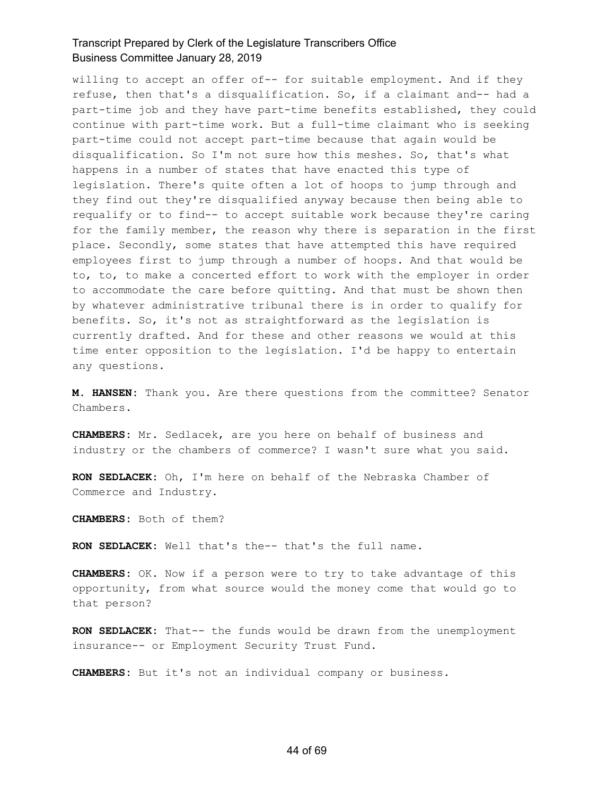willing to accept an offer of-- for suitable employment. And if they refuse, then that's a disqualification. So, if a claimant and-- had a part-time job and they have part-time benefits established, they could continue with part-time work. But a full-time claimant who is seeking part-time could not accept part-time because that again would be disqualification. So I'm not sure how this meshes. So, that's what happens in a number of states that have enacted this type of legislation. There's quite often a lot of hoops to jump through and they find out they're disqualified anyway because then being able to requalify or to find-- to accept suitable work because they're caring for the family member, the reason why there is separation in the first place. Secondly, some states that have attempted this have required employees first to jump through a number of hoops. And that would be to, to, to make a concerted effort to work with the employer in order to accommodate the care before quitting. And that must be shown then by whatever administrative tribunal there is in order to qualify for benefits. So, it's not as straightforward as the legislation is currently drafted. And for these and other reasons we would at this time enter opposition to the legislation. I'd be happy to entertain any questions.

**M. HANSEN:** Thank you. Are there questions from the committee? Senator Chambers.

**CHAMBERS:** Mr. Sedlacek, are you here on behalf of business and industry or the chambers of commerce? I wasn't sure what you said.

**RON SEDLACEK:** Oh, I'm here on behalf of the Nebraska Chamber of Commerce and Industry.

**CHAMBERS:** Both of them?

**RON SEDLACEK:** Well that's the-- that's the full name.

**CHAMBERS:** OK. Now if a person were to try to take advantage of this opportunity, from what source would the money come that would go to that person?

**RON SEDLACEK:** That-- the funds would be drawn from the unemployment insurance-- or Employment Security Trust Fund.

**CHAMBERS:** But it's not an individual company or business.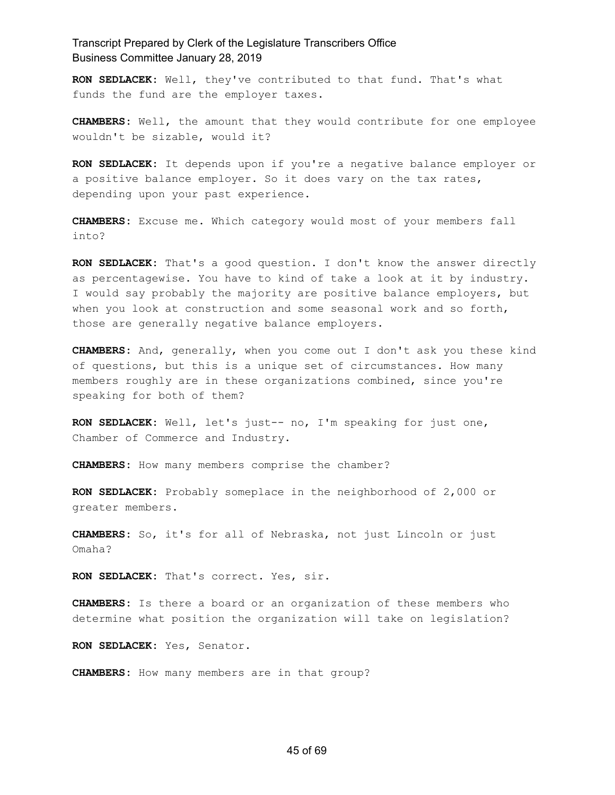**RON SEDLACEK:** Well, they've contributed to that fund. That's what funds the fund are the employer taxes.

**CHAMBERS:** Well, the amount that they would contribute for one employee wouldn't be sizable, would it?

**RON SEDLACEK:** It depends upon if you're a negative balance employer or a positive balance employer. So it does vary on the tax rates, depending upon your past experience.

**CHAMBERS:** Excuse me. Which category would most of your members fall into?

**RON SEDLACEK:** That's a good question. I don't know the answer directly as percentagewise. You have to kind of take a look at it by industry. I would say probably the majority are positive balance employers, but when you look at construction and some seasonal work and so forth, those are generally negative balance employers.

**CHAMBERS:** And, generally, when you come out I don't ask you these kind of questions, but this is a unique set of circumstances. How many members roughly are in these organizations combined, since you're speaking for both of them?

**RON SEDLACEK:** Well, let's just-- no, I'm speaking for just one, Chamber of Commerce and Industry.

**CHAMBERS:** How many members comprise the chamber?

**RON SEDLACEK:** Probably someplace in the neighborhood of 2,000 or greater members.

**CHAMBERS:** So, it's for all of Nebraska, not just Lincoln or just Omaha?

**RON SEDLACEK:** That's correct. Yes, sir.

**CHAMBERS:** Is there a board or an organization of these members who determine what position the organization will take on legislation?

**RON SEDLACEK:** Yes, Senator.

**CHAMBERS:** How many members are in that group?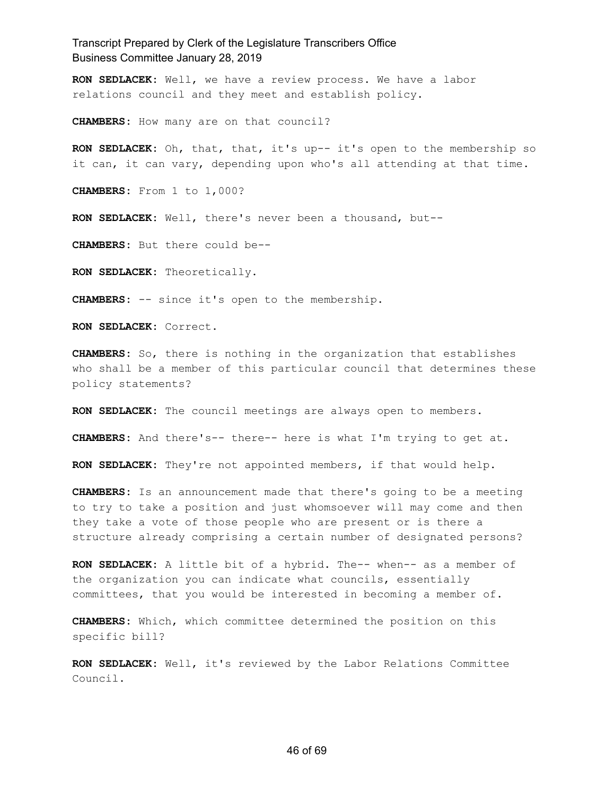**RON SEDLACEK:** Well, we have a review process. We have a labor relations council and they meet and establish policy.

**CHAMBERS:** How many are on that council?

**RON SEDLACEK:** Oh, that, that, it's up-- it's open to the membership so it can, it can vary, depending upon who's all attending at that time.

**CHAMBERS:** From 1 to 1,000?

**RON SEDLACEK:** Well, there's never been a thousand, but--

**CHAMBERS:** But there could be--

**RON SEDLACEK:** Theoretically.

**CHAMBERS:** -- since it's open to the membership.

**RON SEDLACEK:** Correct.

**CHAMBERS:** So, there is nothing in the organization that establishes who shall be a member of this particular council that determines these policy statements?

**RON SEDLACEK:** The council meetings are always open to members.

**CHAMBERS:** And there's-- there-- here is what I'm trying to get at.

**RON SEDLACEK:** They're not appointed members, if that would help.

**CHAMBERS:** Is an announcement made that there's going to be a meeting to try to take a position and just whomsoever will may come and then they take a vote of those people who are present or is there a structure already comprising a certain number of designated persons?

**RON SEDLACEK:** A little bit of a hybrid. The-- when-- as a member of the organization you can indicate what councils, essentially committees, that you would be interested in becoming a member of.

**CHAMBERS:** Which, which committee determined the position on this specific bill?

**RON SEDLACEK:** Well, it's reviewed by the Labor Relations Committee Council.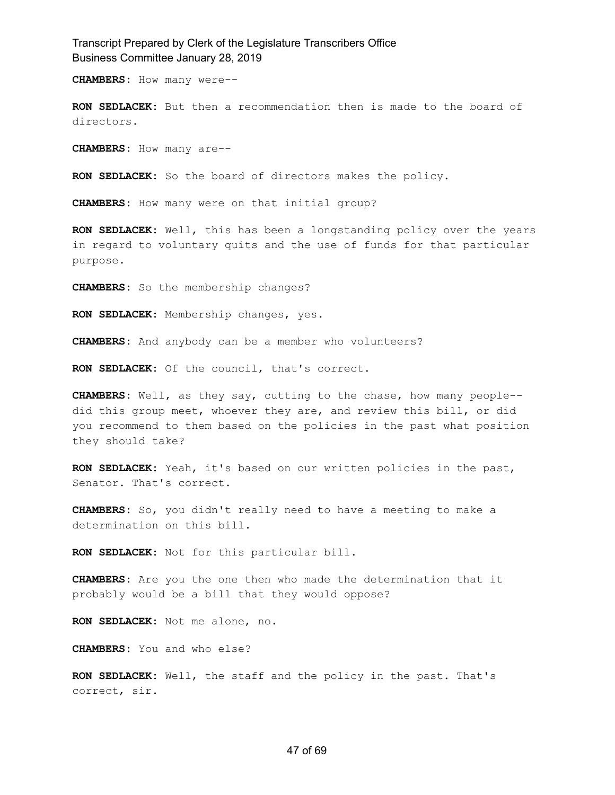**CHAMBERS:** How many were--

**RON SEDLACEK:** But then a recommendation then is made to the board of directors.

**CHAMBERS:** How many are--

**RON SEDLACEK:** So the board of directors makes the policy.

**CHAMBERS:** How many were on that initial group?

**RON SEDLACEK:** Well, this has been a longstanding policy over the years in regard to voluntary quits and the use of funds for that particular purpose.

**CHAMBERS:** So the membership changes?

**RON SEDLACEK:** Membership changes, yes.

**CHAMBERS:** And anybody can be a member who volunteers?

**RON SEDLACEK:** Of the council, that's correct.

**CHAMBERS:** Well, as they say, cutting to the chase, how many people- did this group meet, whoever they are, and review this bill, or did you recommend to them based on the policies in the past what position they should take?

**RON SEDLACEK:** Yeah, it's based on our written policies in the past, Senator. That's correct.

**CHAMBERS:** So, you didn't really need to have a meeting to make a determination on this bill.

**RON SEDLACEK:** Not for this particular bill.

**CHAMBERS:** Are you the one then who made the determination that it probably would be a bill that they would oppose?

**RON SEDLACEK:** Not me alone, no.

**CHAMBERS:** You and who else?

**RON SEDLACEK:** Well, the staff and the policy in the past. That's correct, sir.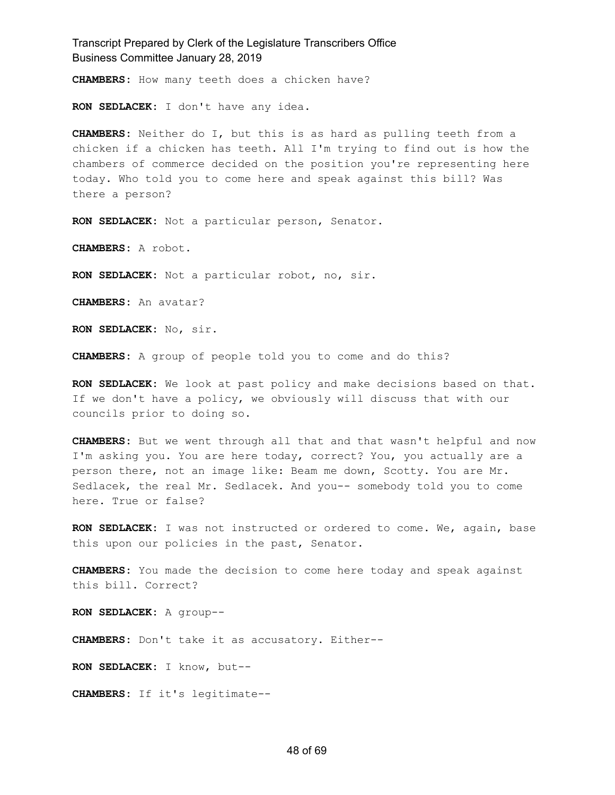**CHAMBERS:** How many teeth does a chicken have?

**RON SEDLACEK:** I don't have any idea.

**CHAMBERS:** Neither do I, but this is as hard as pulling teeth from a chicken if a chicken has teeth. All I'm trying to find out is how the chambers of commerce decided on the position you're representing here today. Who told you to come here and speak against this bill? Was there a person?

**RON SEDLACEK:** Not a particular person, Senator.

**CHAMBERS:** A robot.

**RON SEDLACEK:** Not a particular robot, no, sir.

**CHAMBERS:** An avatar?

**RON SEDLACEK:** No, sir.

**CHAMBERS:** A group of people told you to come and do this?

**RON SEDLACEK:** We look at past policy and make decisions based on that. If we don't have a policy, we obviously will discuss that with our councils prior to doing so.

**CHAMBERS:** But we went through all that and that wasn't helpful and now I'm asking you. You are here today, correct? You, you actually are a person there, not an image like: Beam me down, Scotty. You are Mr. Sedlacek, the real Mr. Sedlacek. And you-- somebody told you to come here. True or false?

**RON SEDLACEK:** I was not instructed or ordered to come. We, again, base this upon our policies in the past, Senator.

**CHAMBERS:** You made the decision to come here today and speak against this bill. Correct?

**RON SEDLACEK:** A group--

**CHAMBERS:** Don't take it as accusatory. Either--

**RON SEDLACEK:** I know, but--

**CHAMBERS:** If it's legitimate--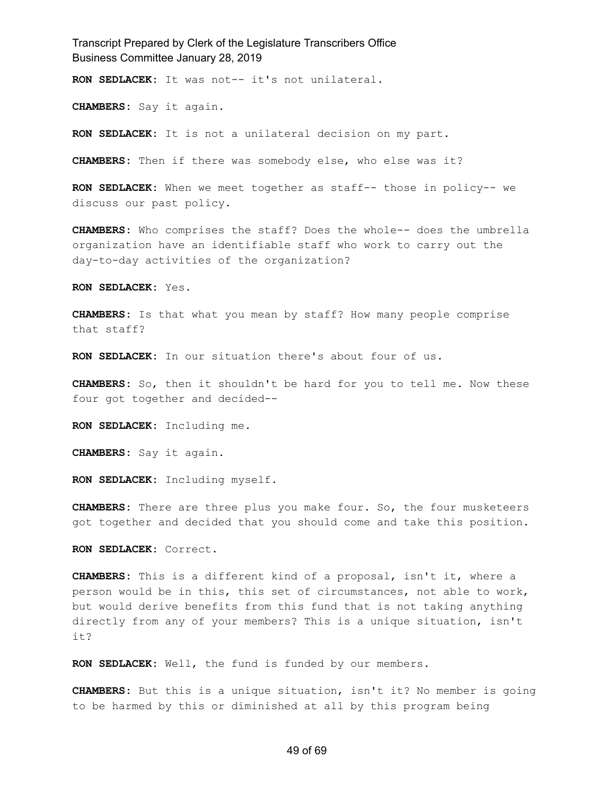**RON SEDLACEK:** It was not-- it's not unilateral.

**CHAMBERS:** Say it again.

**RON SEDLACEK:** It is not a unilateral decision on my part.

**CHAMBERS:** Then if there was somebody else, who else was it?

**RON SEDLACEK:** When we meet together as staff-- those in policy-- we discuss our past policy.

**CHAMBERS:** Who comprises the staff? Does the whole-- does the umbrella organization have an identifiable staff who work to carry out the day-to-day activities of the organization?

**RON SEDLACEK:** Yes.

**CHAMBERS:** Is that what you mean by staff? How many people comprise that staff?

**RON SEDLACEK:** In our situation there's about four of us.

**CHAMBERS:** So, then it shouldn't be hard for you to tell me. Now these four got together and decided--

**RON SEDLACEK:** Including me.

**CHAMBERS:** Say it again.

**RON SEDLACEK:** Including myself.

**CHAMBERS:** There are three plus you make four. So, the four musketeers got together and decided that you should come and take this position.

**RON SEDLACEK:** Correct.

**CHAMBERS:** This is a different kind of a proposal, isn't it, where a person would be in this, this set of circumstances, not able to work, but would derive benefits from this fund that is not taking anything directly from any of your members? This is a unique situation, isn't it?

**RON SEDLACEK:** Well, the fund is funded by our members.

**CHAMBERS:** But this is a unique situation, isn't it? No member is going to be harmed by this or diminished at all by this program being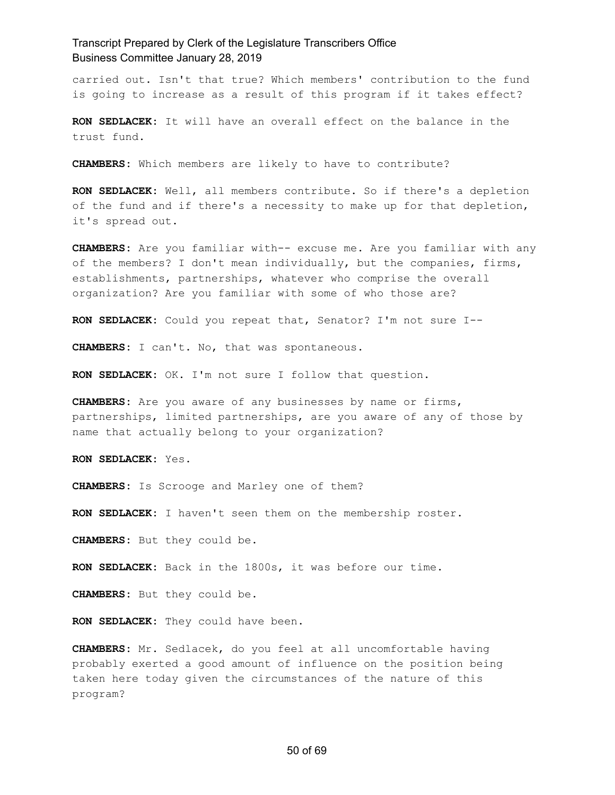carried out. Isn't that true? Which members' contribution to the fund is going to increase as a result of this program if it takes effect?

**RON SEDLACEK:** It will have an overall effect on the balance in the trust fund.

**CHAMBERS:** Which members are likely to have to contribute?

**RON SEDLACEK:** Well, all members contribute. So if there's a depletion of the fund and if there's a necessity to make up for that depletion, it's spread out.

**CHAMBERS:** Are you familiar with-- excuse me. Are you familiar with any of the members? I don't mean individually, but the companies, firms, establishments, partnerships, whatever who comprise the overall organization? Are you familiar with some of who those are?

**RON SEDLACEK:** Could you repeat that, Senator? I'm not sure I--

**CHAMBERS:** I can't. No, that was spontaneous.

**RON SEDLACEK:** OK. I'm not sure I follow that question.

**CHAMBERS:** Are you aware of any businesses by name or firms, partnerships, limited partnerships, are you aware of any of those by name that actually belong to your organization?

**RON SEDLACEK:** Yes.

**CHAMBERS:** Is Scrooge and Marley one of them?

**RON SEDLACEK:** I haven't seen them on the membership roster.

**CHAMBERS:** But they could be.

**RON SEDLACEK:** Back in the 1800s, it was before our time.

**CHAMBERS:** But they could be.

**RON SEDLACEK:** They could have been.

**CHAMBERS:** Mr. Sedlacek, do you feel at all uncomfortable having probably exerted a good amount of influence on the position being taken here today given the circumstances of the nature of this program?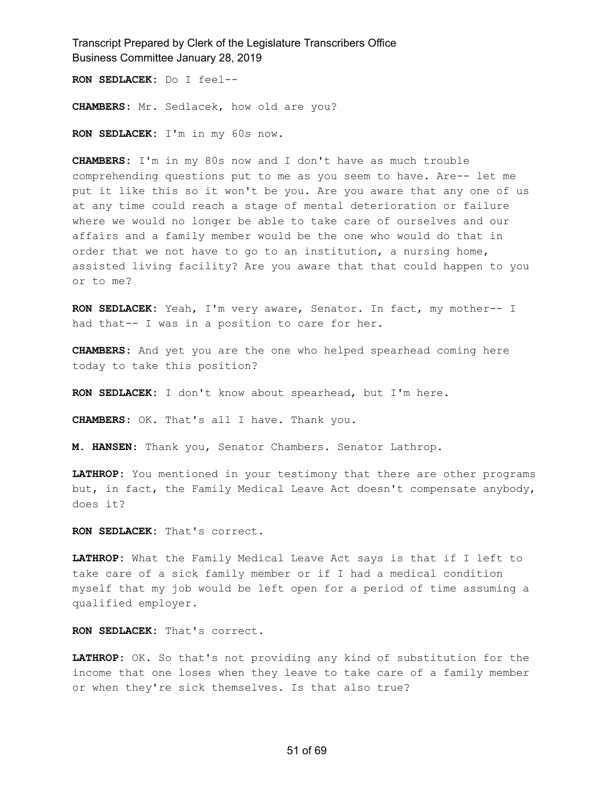**RON SEDLACEK:** Do I feel--

**CHAMBERS:** Mr. Sedlacek, how old are you?

**RON SEDLACEK:** I'm in my 60s now.

**CHAMBERS:** I'm in my 80s now and I don't have as much trouble comprehending questions put to me as you seem to have. Are-- let me put it like this so it won't be you. Are you aware that any one of us at any time could reach a stage of mental deterioration or failure where we would no longer be able to take care of ourselves and our affairs and a family member would be the one who would do that in order that we not have to go to an institution, a nursing home, assisted living facility? Are you aware that that could happen to you or to me?

**RON SEDLACEK:** Yeah, I'm very aware, Senator. In fact, my mother-- I had that-- I was in a position to care for her.

**CHAMBERS:** And yet you are the one who helped spearhead coming here today to take this position?

**RON SEDLACEK:** I don't know about spearhead, but I'm here.

**CHAMBERS:** OK. That's all I have. Thank you.

**M. HANSEN:** Thank you, Senator Chambers. Senator Lathrop.

**LATHROP:** You mentioned in your testimony that there are other programs but, in fact, the Family Medical Leave Act doesn't compensate anybody, does it?

**RON SEDLACEK:** That's correct.

**LATHROP:** What the Family Medical Leave Act says is that if I left to take care of a sick family member or if I had a medical condition myself that my job would be left open for a period of time assuming a qualified employer.

**RON SEDLACEK:** That's correct.

**LATHROP:** OK. So that's not providing any kind of substitution for the income that one loses when they leave to take care of a family member or when they're sick themselves. Is that also true?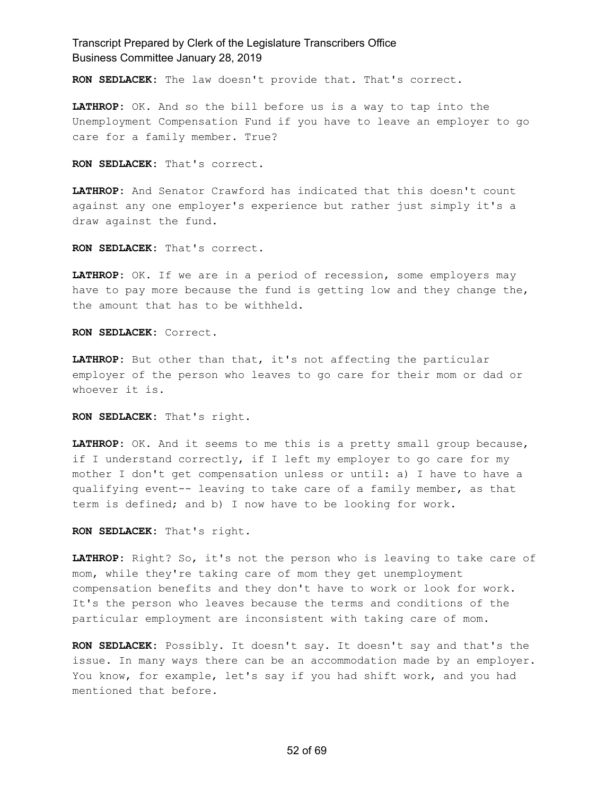**RON SEDLACEK:** The law doesn't provide that. That's correct.

**LATHROP:** OK. And so the bill before us is a way to tap into the Unemployment Compensation Fund if you have to leave an employer to go care for a family member. True?

**RON SEDLACEK:** That's correct.

**LATHROP:** And Senator Crawford has indicated that this doesn't count against any one employer's experience but rather just simply it's a draw against the fund.

**RON SEDLACEK:** That's correct.

**LATHROP:** OK. If we are in a period of recession, some employers may have to pay more because the fund is getting low and they change the, the amount that has to be withheld.

**RON SEDLACEK:** Correct.

**LATHROP:** But other than that, it's not affecting the particular employer of the person who leaves to go care for their mom or dad or whoever it is.

**RON SEDLACEK:** That's right.

**LATHROP:** OK. And it seems to me this is a pretty small group because, if I understand correctly, if I left my employer to go care for my mother I don't get compensation unless or until: a) I have to have a qualifying event-- leaving to take care of a family member, as that term is defined; and b) I now have to be looking for work.

**RON SEDLACEK:** That's right.

**LATHROP:** Right? So, it's not the person who is leaving to take care of mom, while they're taking care of mom they get unemployment compensation benefits and they don't have to work or look for work. It's the person who leaves because the terms and conditions of the particular employment are inconsistent with taking care of mom.

**RON SEDLACEK:** Possibly. It doesn't say. It doesn't say and that's the issue. In many ways there can be an accommodation made by an employer. You know, for example, let's say if you had shift work, and you had mentioned that before.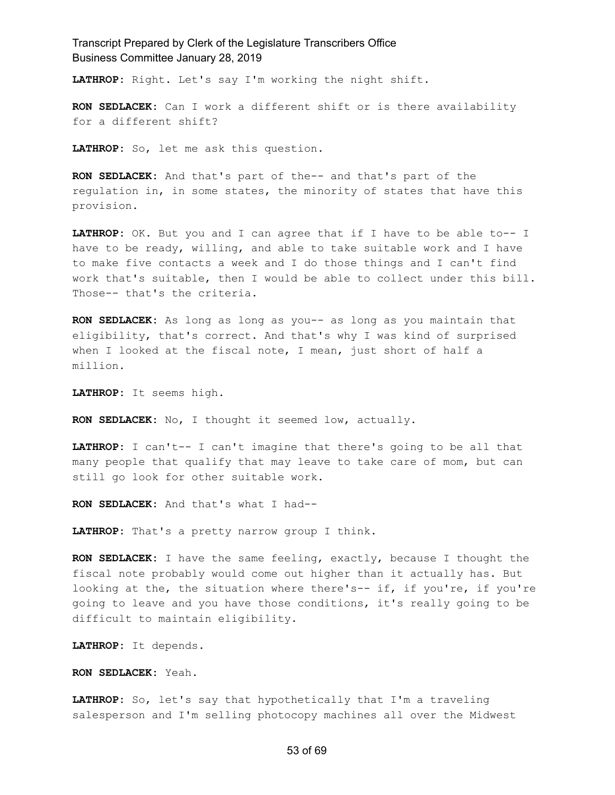**LATHROP:** Right. Let's say I'm working the night shift.

**RON SEDLACEK:** Can I work a different shift or is there availability for a different shift?

**LATHROP:** So, let me ask this question.

**RON SEDLACEK:** And that's part of the-- and that's part of the regulation in, in some states, the minority of states that have this provision.

**LATHROP:** OK. But you and I can agree that if I have to be able to-- I have to be ready, willing, and able to take suitable work and I have to make five contacts a week and I do those things and I can't find work that's suitable, then I would be able to collect under this bill. Those-- that's the criteria.

**RON SEDLACEK:** As long as long as you-- as long as you maintain that eligibility, that's correct. And that's why I was kind of surprised when I looked at the fiscal note, I mean, just short of half a million.

**LATHROP:** It seems high.

**RON SEDLACEK:** No, I thought it seemed low, actually.

**LATHROP:** I can't-- I can't imagine that there's going to be all that many people that qualify that may leave to take care of mom, but can still go look for other suitable work.

**RON SEDLACEK:** And that's what I had--

**LATHROP:** That's a pretty narrow group I think.

**RON SEDLACEK:** I have the same feeling, exactly, because I thought the fiscal note probably would come out higher than it actually has. But looking at the, the situation where there's-- if, if you're, if you're going to leave and you have those conditions, it's really going to be difficult to maintain eligibility.

**LATHROP:** It depends.

**RON SEDLACEK:** Yeah.

**LATHROP:** So, let's say that hypothetically that I'm a traveling salesperson and I'm selling photocopy machines all over the Midwest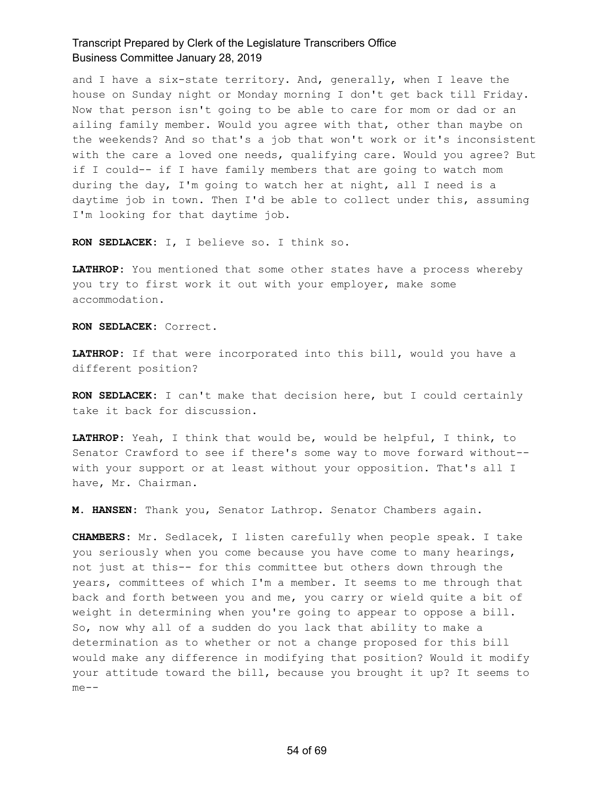and I have a six-state territory. And, generally, when I leave the house on Sunday night or Monday morning I don't get back till Friday. Now that person isn't going to be able to care for mom or dad or an ailing family member. Would you agree with that, other than maybe on the weekends? And so that's a job that won't work or it's inconsistent with the care a loved one needs, qualifying care. Would you agree? But if I could-- if I have family members that are going to watch mom during the day, I'm going to watch her at night, all I need is a daytime job in town. Then I'd be able to collect under this, assuming I'm looking for that daytime job.

**RON SEDLACEK:** I, I believe so. I think so.

**LATHROP:** You mentioned that some other states have a process whereby you try to first work it out with your employer, make some accommodation.

**RON SEDLACEK:** Correct.

**LATHROP:** If that were incorporated into this bill, would you have a different position?

**RON SEDLACEK:** I can't make that decision here, but I could certainly take it back for discussion.

**LATHROP:** Yeah, I think that would be, would be helpful, I think, to Senator Crawford to see if there's some way to move forward without- with your support or at least without your opposition. That's all I have, Mr. Chairman.

**M. HANSEN:** Thank you, Senator Lathrop. Senator Chambers again.

**CHAMBERS:** Mr. Sedlacek, I listen carefully when people speak. I take you seriously when you come because you have come to many hearings, not just at this-- for this committee but others down through the years, committees of which I'm a member. It seems to me through that back and forth between you and me, you carry or wield quite a bit of weight in determining when you're going to appear to oppose a bill. So, now why all of a sudden do you lack that ability to make a determination as to whether or not a change proposed for this bill would make any difference in modifying that position? Would it modify your attitude toward the bill, because you brought it up? It seems to me--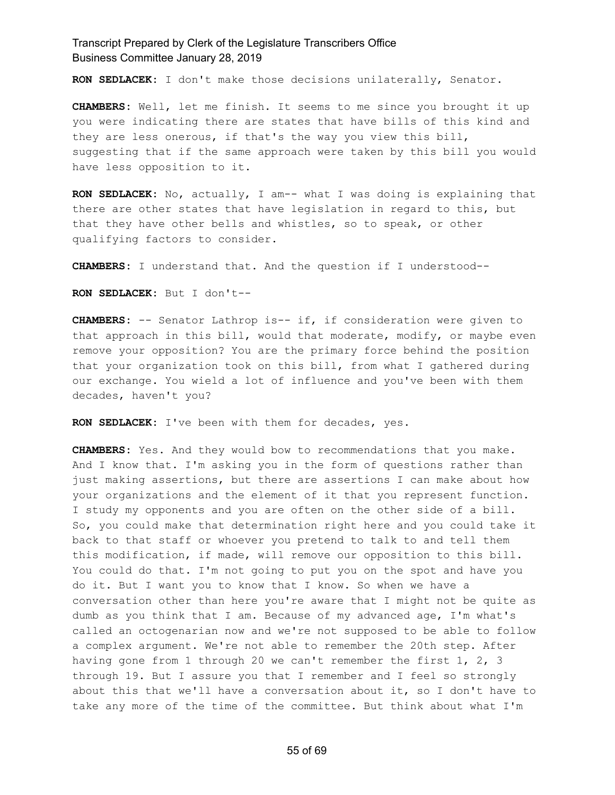**RON SEDLACEK:** I don't make those decisions unilaterally, Senator.

**CHAMBERS:** Well, let me finish. It seems to me since you brought it up you were indicating there are states that have bills of this kind and they are less onerous, if that's the way you view this bill, suggesting that if the same approach were taken by this bill you would have less opposition to it.

**RON SEDLACEK:** No, actually, I am-- what I was doing is explaining that there are other states that have legislation in regard to this, but that they have other bells and whistles, so to speak, or other qualifying factors to consider.

**CHAMBERS:** I understand that. And the question if I understood--

**RON SEDLACEK:** But I don't--

**CHAMBERS:** -- Senator Lathrop is-- if, if consideration were given to that approach in this bill, would that moderate, modify, or maybe even remove your opposition? You are the primary force behind the position that your organization took on this bill, from what I gathered during our exchange. You wield a lot of influence and you've been with them decades, haven't you?

**RON SEDLACEK:** I've been with them for decades, yes.

**CHAMBERS:** Yes. And they would bow to recommendations that you make. And I know that. I'm asking you in the form of questions rather than just making assertions, but there are assertions I can make about how your organizations and the element of it that you represent function. I study my opponents and you are often on the other side of a bill. So, you could make that determination right here and you could take it back to that staff or whoever you pretend to talk to and tell them this modification, if made, will remove our opposition to this bill. You could do that. I'm not going to put you on the spot and have you do it. But I want you to know that I know. So when we have a conversation other than here you're aware that I might not be quite as dumb as you think that I am. Because of my advanced age, I'm what's called an octogenarian now and we're not supposed to be able to follow a complex argument. We're not able to remember the 20th step. After having gone from 1 through 20 we can't remember the first 1, 2, 3 through 19. But I assure you that I remember and I feel so strongly about this that we'll have a conversation about it, so I don't have to take any more of the time of the committee. But think about what I'm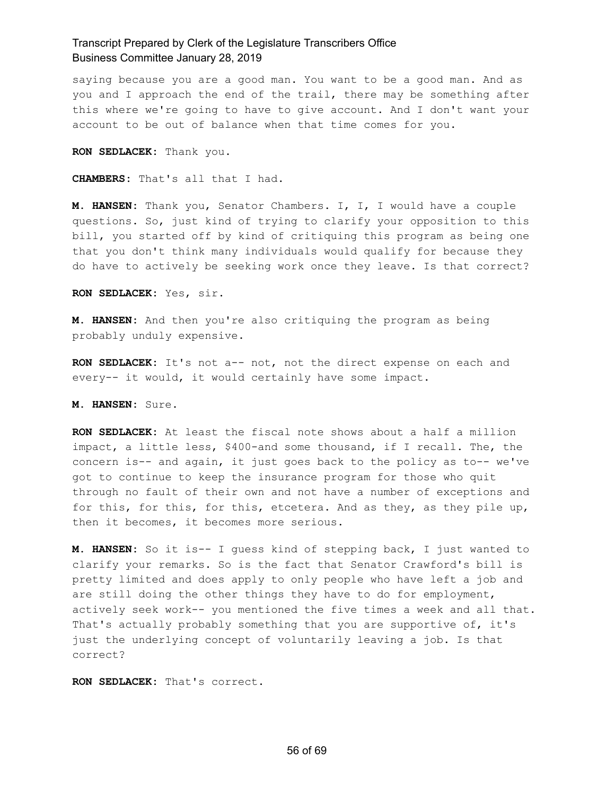saying because you are a good man. You want to be a good man. And as you and I approach the end of the trail, there may be something after this where we're going to have to give account. And I don't want your account to be out of balance when that time comes for you.

**RON SEDLACEK:** Thank you.

**CHAMBERS:** That's all that I had.

**M. HANSEN:** Thank you, Senator Chambers. I, I, I would have a couple questions. So, just kind of trying to clarify your opposition to this bill, you started off by kind of critiquing this program as being one that you don't think many individuals would qualify for because they do have to actively be seeking work once they leave. Is that correct?

**RON SEDLACEK:** Yes, sir.

**M. HANSEN:** And then you're also critiquing the program as being probably unduly expensive.

**RON SEDLACEK:** It's not a-- not, not the direct expense on each and every-- it would, it would certainly have some impact.

**M. HANSEN:** Sure.

**RON SEDLACEK:** At least the fiscal note shows about a half a million impact, a little less, \$400-and some thousand, if I recall. The, the concern is-- and again, it just goes back to the policy as to-- we've got to continue to keep the insurance program for those who quit through no fault of their own and not have a number of exceptions and for this, for this, for this, etcetera. And as they, as they pile up, then it becomes, it becomes more serious.

**M. HANSEN:** So it is-- I guess kind of stepping back, I just wanted to clarify your remarks. So is the fact that Senator Crawford's bill is pretty limited and does apply to only people who have left a job and are still doing the other things they have to do for employment, actively seek work-- you mentioned the five times a week and all that. That's actually probably something that you are supportive of, it's just the underlying concept of voluntarily leaving a job. Is that correct?

**RON SEDLACEK:** That's correct.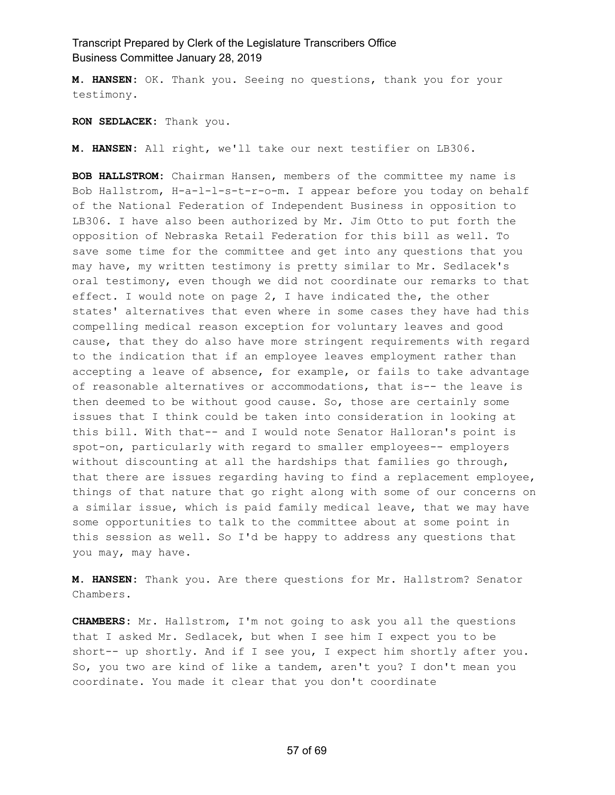**M. HANSEN:** OK. Thank you. Seeing no questions, thank you for your testimony.

**RON SEDLACEK:** Thank you.

**M. HANSEN:** All right, we'll take our next testifier on LB306.

**BOB HALLSTROM:** Chairman Hansen, members of the committee my name is Bob Hallstrom, H-a-l-l-s-t-r-o-m. I appear before you today on behalf of the National Federation of Independent Business in opposition to LB306. I have also been authorized by Mr. Jim Otto to put forth the opposition of Nebraska Retail Federation for this bill as well. To save some time for the committee and get into any questions that you may have, my written testimony is pretty similar to Mr. Sedlacek's oral testimony, even though we did not coordinate our remarks to that effect. I would note on page 2, I have indicated the, the other states' alternatives that even where in some cases they have had this compelling medical reason exception for voluntary leaves and good cause, that they do also have more stringent requirements with regard to the indication that if an employee leaves employment rather than accepting a leave of absence, for example, or fails to take advantage of reasonable alternatives or accommodations, that is-- the leave is then deemed to be without good cause. So, those are certainly some issues that I think could be taken into consideration in looking at this bill. With that-- and I would note Senator Halloran's point is spot-on, particularly with regard to smaller employees-- employers without discounting at all the hardships that families go through, that there are issues regarding having to find a replacement employee, things of that nature that go right along with some of our concerns on a similar issue, which is paid family medical leave, that we may have some opportunities to talk to the committee about at some point in this session as well. So I'd be happy to address any questions that you may, may have.

**M. HANSEN:** Thank you. Are there questions for Mr. Hallstrom? Senator Chambers.

**CHAMBERS:** Mr. Hallstrom, I'm not going to ask you all the questions that I asked Mr. Sedlacek, but when I see him I expect you to be short-- up shortly. And if I see you, I expect him shortly after you. So, you two are kind of like a tandem, aren't you? I don't mean you coordinate. You made it clear that you don't coordinate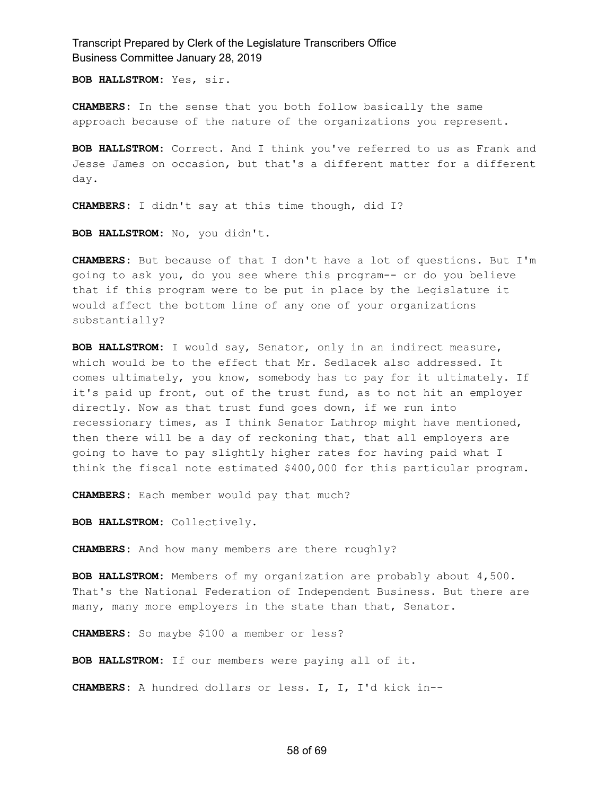**BOB HALLSTROM:** Yes, sir.

**CHAMBERS:** In the sense that you both follow basically the same approach because of the nature of the organizations you represent.

**BOB HALLSTROM:** Correct. And I think you've referred to us as Frank and Jesse James on occasion, but that's a different matter for a different day.

**CHAMBERS:** I didn't say at this time though, did I?

**BOB HALLSTROM:** No, you didn't.

**CHAMBERS:** But because of that I don't have a lot of questions. But I'm going to ask you, do you see where this program-- or do you believe that if this program were to be put in place by the Legislature it would affect the bottom line of any one of your organizations substantially?

**BOB HALLSTROM:** I would say, Senator, only in an indirect measure, which would be to the effect that Mr. Sedlacek also addressed. It comes ultimately, you know, somebody has to pay for it ultimately. If it's paid up front, out of the trust fund, as to not hit an employer directly. Now as that trust fund goes down, if we run into recessionary times, as I think Senator Lathrop might have mentioned, then there will be a day of reckoning that, that all employers are going to have to pay slightly higher rates for having paid what I think the fiscal note estimated \$400,000 for this particular program.

**CHAMBERS:** Each member would pay that much?

**BOB HALLSTROM:** Collectively.

**CHAMBERS:** And how many members are there roughly?

**BOB HALLSTROM:** Members of my organization are probably about 4,500. That's the National Federation of Independent Business. But there are many, many more employers in the state than that, Senator.

**CHAMBERS:** So maybe \$100 a member or less?

**BOB HALLSTROM:** If our members were paying all of it.

**CHAMBERS:** A hundred dollars or less. I, I, I'd kick in--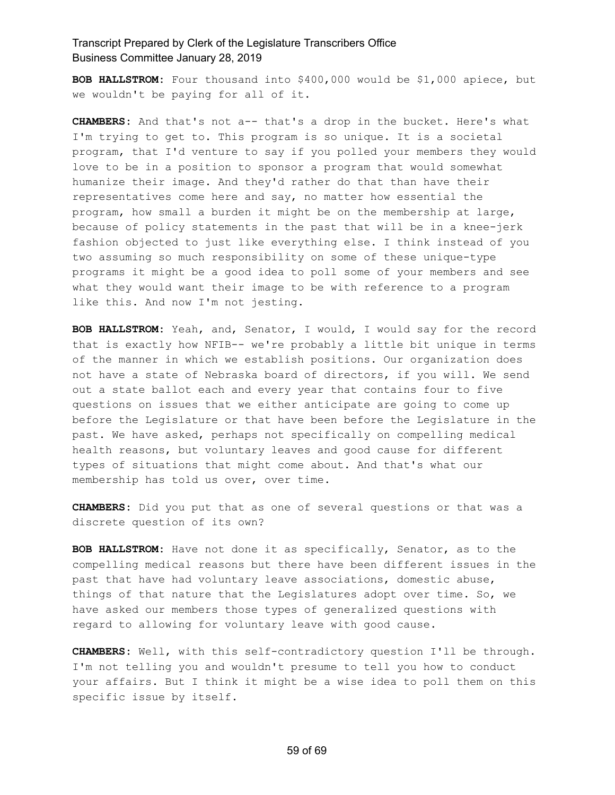**BOB HALLSTROM:** Four thousand into \$400,000 would be \$1,000 apiece, but we wouldn't be paying for all of it.

**CHAMBERS:** And that's not a-- that's a drop in the bucket. Here's what I'm trying to get to. This program is so unique. It is a societal program, that I'd venture to say if you polled your members they would love to be in a position to sponsor a program that would somewhat humanize their image. And they'd rather do that than have their representatives come here and say, no matter how essential the program, how small a burden it might be on the membership at large, because of policy statements in the past that will be in a knee-jerk fashion objected to just like everything else. I think instead of you two assuming so much responsibility on some of these unique-type programs it might be a good idea to poll some of your members and see what they would want their image to be with reference to a program like this. And now I'm not jesting.

**BOB HALLSTROM:** Yeah, and, Senator, I would, I would say for the record that is exactly how NFIB-- we're probably a little bit unique in terms of the manner in which we establish positions. Our organization does not have a state of Nebraska board of directors, if you will. We send out a state ballot each and every year that contains four to five questions on issues that we either anticipate are going to come up before the Legislature or that have been before the Legislature in the past. We have asked, perhaps not specifically on compelling medical health reasons, but voluntary leaves and good cause for different types of situations that might come about. And that's what our membership has told us over, over time.

**CHAMBERS:** Did you put that as one of several questions or that was a discrete question of its own?

**BOB HALLSTROM:** Have not done it as specifically, Senator, as to the compelling medical reasons but there have been different issues in the past that have had voluntary leave associations, domestic abuse, things of that nature that the Legislatures adopt over time. So, we have asked our members those types of generalized questions with regard to allowing for voluntary leave with good cause.

**CHAMBERS:** Well, with this self-contradictory question I'll be through. I'm not telling you and wouldn't presume to tell you how to conduct your affairs. But I think it might be a wise idea to poll them on this specific issue by itself.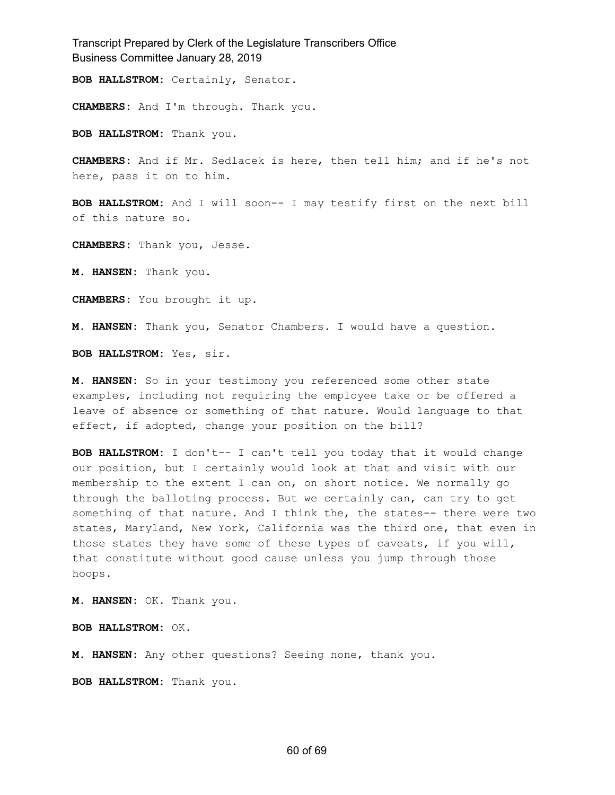**BOB HALLSTROM:** Certainly, Senator.

**CHAMBERS:** And I'm through. Thank you.

**BOB HALLSTROM:** Thank you.

**CHAMBERS:** And if Mr. Sedlacek is here, then tell him; and if he's not here, pass it on to him.

**BOB HALLSTROM:** And I will soon-- I may testify first on the next bill of this nature so.

**CHAMBERS:** Thank you, Jesse.

**M. HANSEN:** Thank you.

**CHAMBERS:** You brought it up.

**M. HANSEN:** Thank you, Senator Chambers. I would have a question.

**BOB HALLSTROM:** Yes, sir.

**M. HANSEN:** So in your testimony you referenced some other state examples, including not requiring the employee take or be offered a leave of absence or something of that nature. Would language to that effect, if adopted, change your position on the bill?

**BOB HALLSTROM:** I don't-- I can't tell you today that it would change our position, but I certainly would look at that and visit with our membership to the extent I can on, on short notice. We normally go through the balloting process. But we certainly can, can try to get something of that nature. And I think the, the states-- there were two states, Maryland, New York, California was the third one, that even in those states they have some of these types of caveats, if you will, that constitute without good cause unless you jump through those hoops.

**M. HANSEN:** OK. Thank you.

**BOB HALLSTROM:** OK.

**M. HANSEN:** Any other questions? Seeing none, thank you.

**BOB HALLSTROM:** Thank you.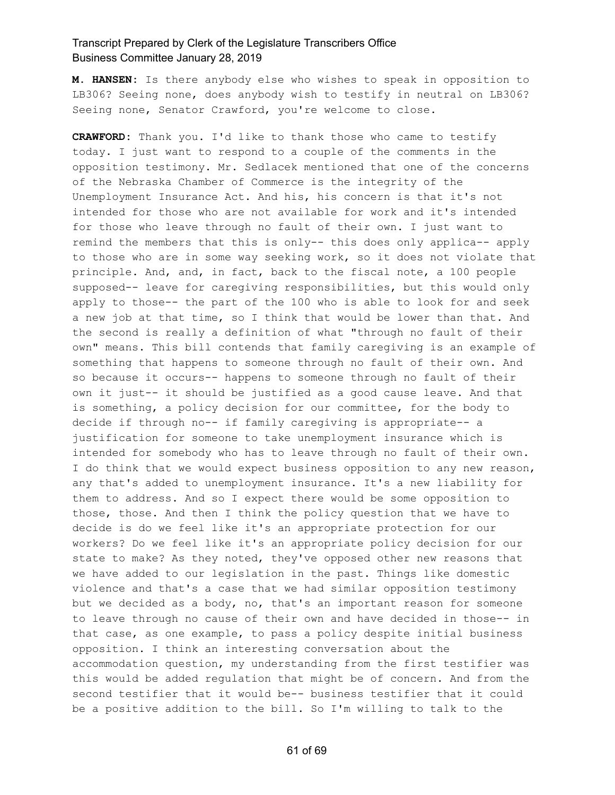**M. HANSEN:** Is there anybody else who wishes to speak in opposition to LB306? Seeing none, does anybody wish to testify in neutral on LB306? Seeing none, Senator Crawford, you're welcome to close.

**CRAWFORD:** Thank you. I'd like to thank those who came to testify today. I just want to respond to a couple of the comments in the opposition testimony. Mr. Sedlacek mentioned that one of the concerns of the Nebraska Chamber of Commerce is the integrity of the Unemployment Insurance Act. And his, his concern is that it's not intended for those who are not available for work and it's intended for those who leave through no fault of their own. I just want to remind the members that this is only-- this does only applica-- apply to those who are in some way seeking work, so it does not violate that principle. And, and, in fact, back to the fiscal note, a 100 people supposed-- leave for caregiving responsibilities, but this would only apply to those-- the part of the 100 who is able to look for and seek a new job at that time, so I think that would be lower than that. And the second is really a definition of what "through no fault of their own" means. This bill contends that family caregiving is an example of something that happens to someone through no fault of their own. And so because it occurs-- happens to someone through no fault of their own it just-- it should be justified as a good cause leave. And that is something, a policy decision for our committee, for the body to decide if through no-- if family caregiving is appropriate-- a justification for someone to take unemployment insurance which is intended for somebody who has to leave through no fault of their own. I do think that we would expect business opposition to any new reason, any that's added to unemployment insurance. It's a new liability for them to address. And so I expect there would be some opposition to those, those. And then I think the policy question that we have to decide is do we feel like it's an appropriate protection for our workers? Do we feel like it's an appropriate policy decision for our state to make? As they noted, they've opposed other new reasons that we have added to our legislation in the past. Things like domestic violence and that's a case that we had similar opposition testimony but we decided as a body, no, that's an important reason for someone to leave through no cause of their own and have decided in those-- in that case, as one example, to pass a policy despite initial business opposition. I think an interesting conversation about the accommodation question, my understanding from the first testifier was this would be added regulation that might be of concern. And from the second testifier that it would be-- business testifier that it could be a positive addition to the bill. So I'm willing to talk to the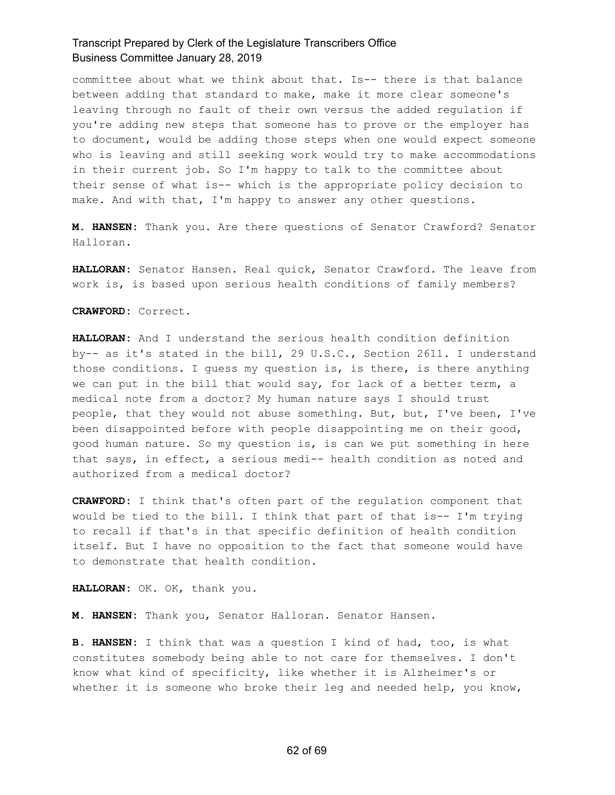committee about what we think about that. Is-- there is that balance between adding that standard to make, make it more clear someone's leaving through no fault of their own versus the added regulation if you're adding new steps that someone has to prove or the employer has to document, would be adding those steps when one would expect someone who is leaving and still seeking work would try to make accommodations in their current job. So I'm happy to talk to the committee about their sense of what is-- which is the appropriate policy decision to make. And with that, I'm happy to answer any other questions.

**M. HANSEN:** Thank you. Are there questions of Senator Crawford? Senator Halloran.

**HALLORAN:** Senator Hansen. Real quick, Senator Crawford. The leave from work is, is based upon serious health conditions of family members?

**CRAWFORD:** Correct.

**HALLORAN:** And I understand the serious health condition definition by-- as it's stated in the bill, 29 U.S.C., Section 2611. I understand those conditions. I guess my question is, is there, is there anything we can put in the bill that would say, for lack of a better term, a medical note from a doctor? My human nature says I should trust people, that they would not abuse something. But, but, I've been, I've been disappointed before with people disappointing me on their good, good human nature. So my question is, is can we put something in here that says, in effect, a serious medi-- health condition as noted and authorized from a medical doctor?

**CRAWFORD:** I think that's often part of the regulation component that would be tied to the bill. I think that part of that is-- I'm trying to recall if that's in that specific definition of health condition itself. But I have no opposition to the fact that someone would have to demonstrate that health condition.

**HALLORAN:** OK. OK, thank you.

**M. HANSEN:** Thank you, Senator Halloran. Senator Hansen.

**B. HANSEN:** I think that was a question I kind of had, too, is what constitutes somebody being able to not care for themselves. I don't know what kind of specificity, like whether it is Alzheimer's or whether it is someone who broke their leg and needed help, you know,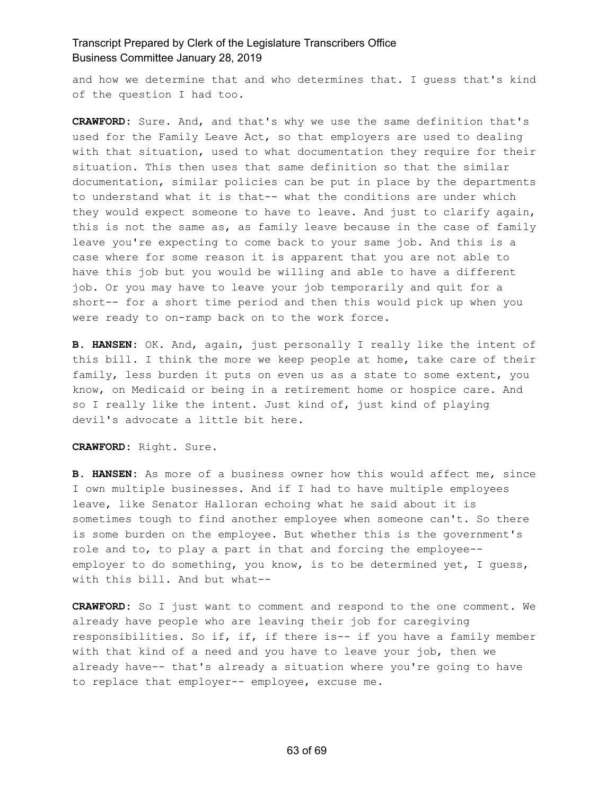and how we determine that and who determines that. I guess that's kind of the question I had too.

**CRAWFORD:** Sure. And, and that's why we use the same definition that's used for the Family Leave Act, so that employers are used to dealing with that situation, used to what documentation they require for their situation. This then uses that same definition so that the similar documentation, similar policies can be put in place by the departments to understand what it is that-- what the conditions are under which they would expect someone to have to leave. And just to clarify again, this is not the same as, as family leave because in the case of family leave you're expecting to come back to your same job. And this is a case where for some reason it is apparent that you are not able to have this job but you would be willing and able to have a different job. Or you may have to leave your job temporarily and quit for a short-- for a short time period and then this would pick up when you were ready to on-ramp back on to the work force.

**B. HANSEN:** OK. And, again, just personally I really like the intent of this bill. I think the more we keep people at home, take care of their family, less burden it puts on even us as a state to some extent, you know, on Medicaid or being in a retirement home or hospice care. And so I really like the intent. Just kind of, just kind of playing devil's advocate a little bit here.

**CRAWFORD:** Right. Sure.

**B. HANSEN:** As more of a business owner how this would affect me, since I own multiple businesses. And if I had to have multiple employees leave, like Senator Halloran echoing what he said about it is sometimes tough to find another employee when someone can't. So there is some burden on the employee. But whether this is the government's role and to, to play a part in that and forcing the employee- employer to do something, you know, is to be determined yet, I guess, with this bill. And but what--

**CRAWFORD:** So I just want to comment and respond to the one comment. We already have people who are leaving their job for caregiving responsibilities. So if, if, if there is-- if you have a family member with that kind of a need and you have to leave your job, then we already have-- that's already a situation where you're going to have to replace that employer-- employee, excuse me.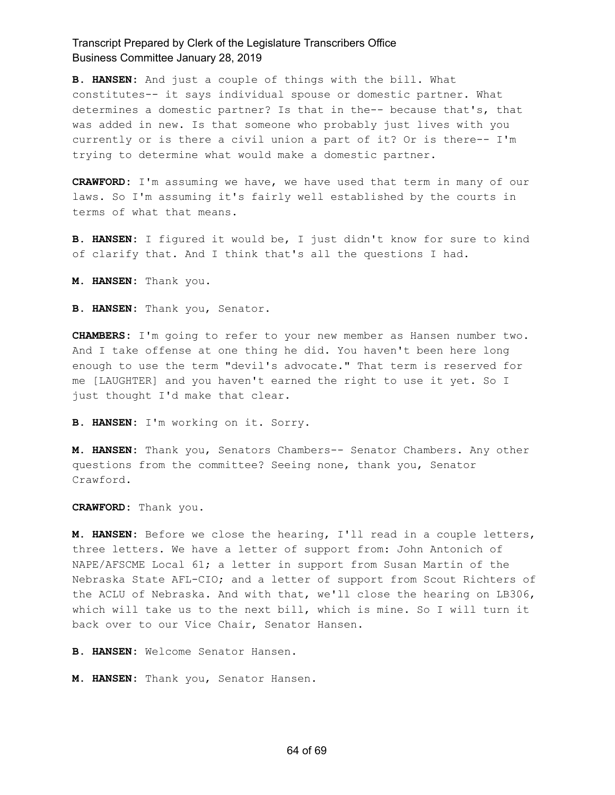**B. HANSEN:** And just a couple of things with the bill. What constitutes-- it says individual spouse or domestic partner. What determines a domestic partner? Is that in the-- because that's, that was added in new. Is that someone who probably just lives with you currently or is there a civil union a part of it? Or is there-- I'm trying to determine what would make a domestic partner.

**CRAWFORD:** I'm assuming we have, we have used that term in many of our laws. So I'm assuming it's fairly well established by the courts in terms of what that means.

**B. HANSEN:** I figured it would be, I just didn't know for sure to kind of clarify that. And I think that's all the questions I had.

**M. HANSEN:** Thank you.

**B. HANSEN:** Thank you, Senator.

**CHAMBERS:** I'm going to refer to your new member as Hansen number two. And I take offense at one thing he did. You haven't been here long enough to use the term "devil's advocate." That term is reserved for me [LAUGHTER] and you haven't earned the right to use it yet. So I just thought I'd make that clear.

**B. HANSEN:** I'm working on it. Sorry.

**M. HANSEN:** Thank you, Senators Chambers-- Senator Chambers. Any other questions from the committee? Seeing none, thank you, Senator Crawford.

**CRAWFORD:** Thank you.

**M. HANSEN:** Before we close the hearing, I'll read in a couple letters, three letters. We have a letter of support from: John Antonich of NAPE/AFSCME Local 61; a letter in support from Susan Martin of the Nebraska State AFL-CIO; and a letter of support from Scout Richters of the ACLU of Nebraska. And with that, we'll close the hearing on LB306, which will take us to the next bill, which is mine. So I will turn it back over to our Vice Chair, Senator Hansen.

**B. HANSEN:** Welcome Senator Hansen.

**M. HANSEN:** Thank you, Senator Hansen.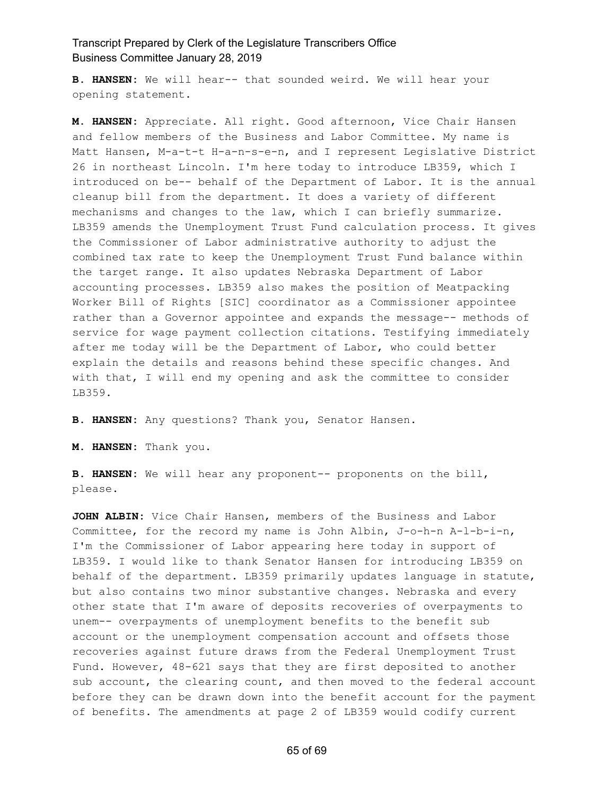**B. HANSEN:** We will hear-- that sounded weird. We will hear your opening statement.

**M. HANSEN:** Appreciate. All right. Good afternoon, Vice Chair Hansen and fellow members of the Business and Labor Committee. My name is Matt Hansen, M-a-t-t H-a-n-s-e-n, and I represent Legislative District 26 in northeast Lincoln. I'm here today to introduce LB359, which I introduced on be-- behalf of the Department of Labor. It is the annual cleanup bill from the department. It does a variety of different mechanisms and changes to the law, which I can briefly summarize. LB359 amends the Unemployment Trust Fund calculation process. It gives the Commissioner of Labor administrative authority to adjust the combined tax rate to keep the Unemployment Trust Fund balance within the target range. It also updates Nebraska Department of Labor accounting processes. LB359 also makes the position of Meatpacking Worker Bill of Rights [SIC] coordinator as a Commissioner appointee rather than a Governor appointee and expands the message-- methods of service for wage payment collection citations. Testifying immediately after me today will be the Department of Labor, who could better explain the details and reasons behind these specific changes. And with that, I will end my opening and ask the committee to consider LB359.

**B. HANSEN:** Any questions? Thank you, Senator Hansen.

**M. HANSEN:** Thank you.

**B. HANSEN:** We will hear any proponent-- proponents on the bill, please.

**JOHN ALBIN:** Vice Chair Hansen, members of the Business and Labor Committee, for the record my name is John Albin, J-o-h-n A-l-b-i-n, I'm the Commissioner of Labor appearing here today in support of LB359. I would like to thank Senator Hansen for introducing LB359 on behalf of the department. LB359 primarily updates language in statute, but also contains two minor substantive changes. Nebraska and every other state that I'm aware of deposits recoveries of overpayments to unem-- overpayments of unemployment benefits to the benefit sub account or the unemployment compensation account and offsets those recoveries against future draws from the Federal Unemployment Trust Fund. However, 48-621 says that they are first deposited to another sub account, the clearing count, and then moved to the federal account before they can be drawn down into the benefit account for the payment of benefits. The amendments at page 2 of LB359 would codify current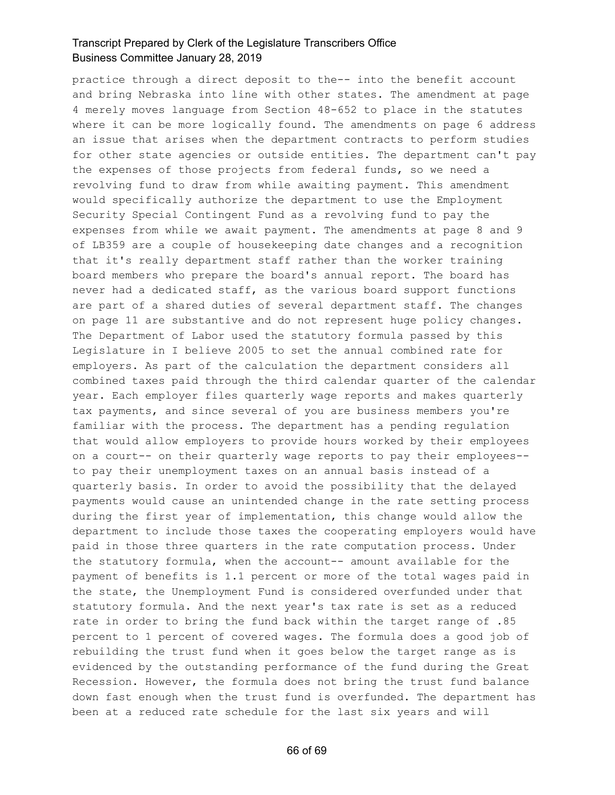practice through a direct deposit to the-- into the benefit account and bring Nebraska into line with other states. The amendment at page 4 merely moves language from Section 48-652 to place in the statutes where it can be more logically found. The amendments on page 6 address an issue that arises when the department contracts to perform studies for other state agencies or outside entities. The department can't pay the expenses of those projects from federal funds, so we need a revolving fund to draw from while awaiting payment. This amendment would specifically authorize the department to use the Employment Security Special Contingent Fund as a revolving fund to pay the expenses from while we await payment. The amendments at page 8 and 9 of LB359 are a couple of housekeeping date changes and a recognition that it's really department staff rather than the worker training board members who prepare the board's annual report. The board has never had a dedicated staff, as the various board support functions are part of a shared duties of several department staff. The changes on page 11 are substantive and do not represent huge policy changes. The Department of Labor used the statutory formula passed by this Legislature in I believe 2005 to set the annual combined rate for employers. As part of the calculation the department considers all combined taxes paid through the third calendar quarter of the calendar year. Each employer files quarterly wage reports and makes quarterly tax payments, and since several of you are business members you're familiar with the process. The department has a pending regulation that would allow employers to provide hours worked by their employees on a court-- on their quarterly wage reports to pay their employees- to pay their unemployment taxes on an annual basis instead of a quarterly basis. In order to avoid the possibility that the delayed payments would cause an unintended change in the rate setting process during the first year of implementation, this change would allow the department to include those taxes the cooperating employers would have paid in those three quarters in the rate computation process. Under the statutory formula, when the account-- amount available for the payment of benefits is 1.1 percent or more of the total wages paid in the state, the Unemployment Fund is considered overfunded under that statutory formula. And the next year's tax rate is set as a reduced rate in order to bring the fund back within the target range of .85 percent to 1 percent of covered wages. The formula does a good job of rebuilding the trust fund when it goes below the target range as is evidenced by the outstanding performance of the fund during the Great Recession. However, the formula does not bring the trust fund balance down fast enough when the trust fund is overfunded. The department has been at a reduced rate schedule for the last six years and will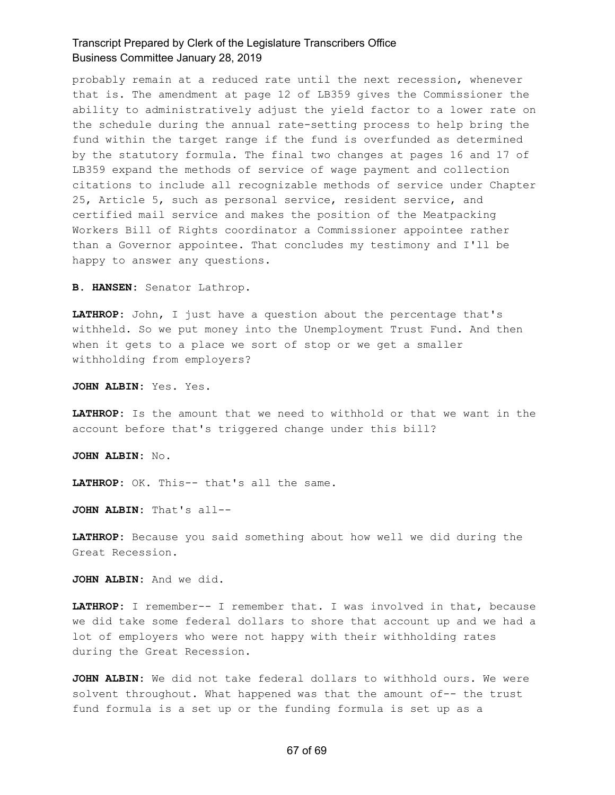probably remain at a reduced rate until the next recession, whenever that is. The amendment at page 12 of LB359 gives the Commissioner the ability to administratively adjust the yield factor to a lower rate on the schedule during the annual rate-setting process to help bring the fund within the target range if the fund is overfunded as determined by the statutory formula. The final two changes at pages 16 and 17 of LB359 expand the methods of service of wage payment and collection citations to include all recognizable methods of service under Chapter 25, Article 5, such as personal service, resident service, and certified mail service and makes the position of the Meatpacking Workers Bill of Rights coordinator a Commissioner appointee rather than a Governor appointee. That concludes my testimony and I'll be happy to answer any questions.

**B. HANSEN:** Senator Lathrop.

**LATHROP:** John, I just have a question about the percentage that's withheld. So we put money into the Unemployment Trust Fund. And then when it gets to a place we sort of stop or we get a smaller withholding from employers?

**JOHN ALBIN:** Yes. Yes.

**LATHROP:** Is the amount that we need to withhold or that we want in the account before that's triggered change under this bill?

**JOHN ALBIN:** No.

**LATHROP:** OK. This-- that's all the same.

**JOHN ALBIN:** That's all--

**LATHROP:** Because you said something about how well we did during the Great Recession.

**JOHN ALBIN:** And we did.

**LATHROP:** I remember-- I remember that. I was involved in that, because we did take some federal dollars to shore that account up and we had a lot of employers who were not happy with their withholding rates during the Great Recession.

**JOHN ALBIN:** We did not take federal dollars to withhold ours. We were solvent throughout. What happened was that the amount of-- the trust fund formula is a set up or the funding formula is set up as a

#### 67 of 69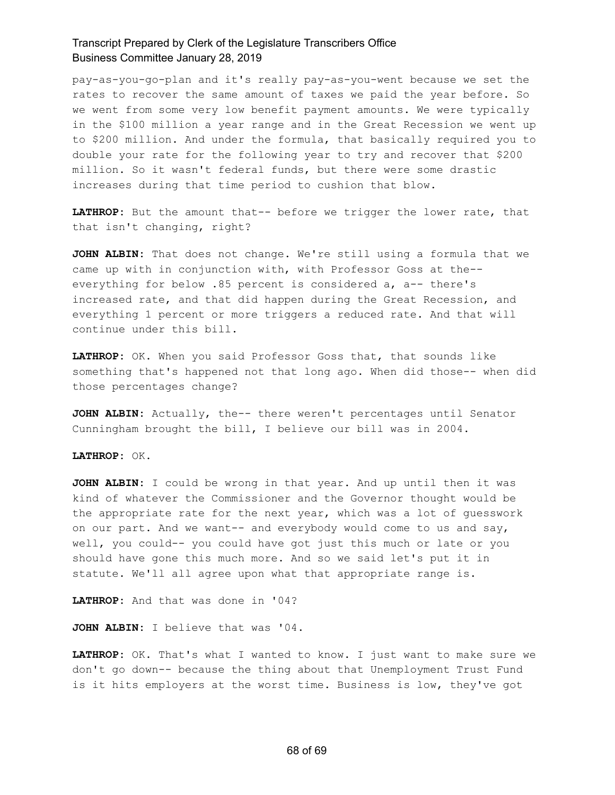pay-as-you-go-plan and it's really pay-as-you-went because we set the rates to recover the same amount of taxes we paid the year before. So we went from some very low benefit payment amounts. We were typically in the \$100 million a year range and in the Great Recession we went up to \$200 million. And under the formula, that basically required you to double your rate for the following year to try and recover that \$200 million. So it wasn't federal funds, but there were some drastic increases during that time period to cushion that blow.

**LATHROP:** But the amount that-- before we trigger the lower rate, that that isn't changing, right?

**JOHN ALBIN:** That does not change. We're still using a formula that we came up with in conjunction with, with Professor Goss at the- everything for below .85 percent is considered a, a-- there's increased rate, and that did happen during the Great Recession, and everything 1 percent or more triggers a reduced rate. And that will continue under this bill.

**LATHROP:** OK. When you said Professor Goss that, that sounds like something that's happened not that long ago. When did those-- when did those percentages change?

**JOHN ALBIN:** Actually, the-- there weren't percentages until Senator Cunningham brought the bill, I believe our bill was in 2004.

**LATHROP:** OK.

**JOHN ALBIN:** I could be wrong in that year. And up until then it was kind of whatever the Commissioner and the Governor thought would be the appropriate rate for the next year, which was a lot of guesswork on our part. And we want-- and everybody would come to us and say, well, you could-- you could have got just this much or late or you should have gone this much more. And so we said let's put it in statute. We'll all agree upon what that appropriate range is.

**LATHROP:** And that was done in '04?

**JOHN ALBIN:** I believe that was '04.

**LATHROP:** OK. That's what I wanted to know. I just want to make sure we don't go down-- because the thing about that Unemployment Trust Fund is it hits employers at the worst time. Business is low, they've got